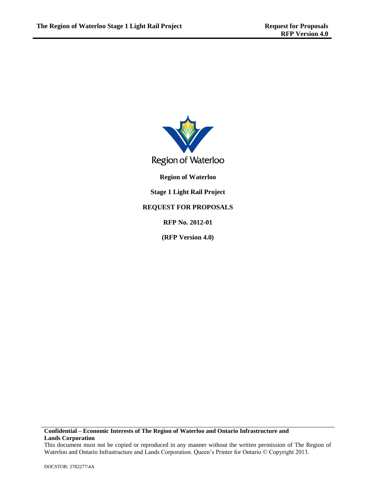

### **Confidential – Economic Interests of The Region of Waterloo and Ontario Infrastructure and Lands Corporation**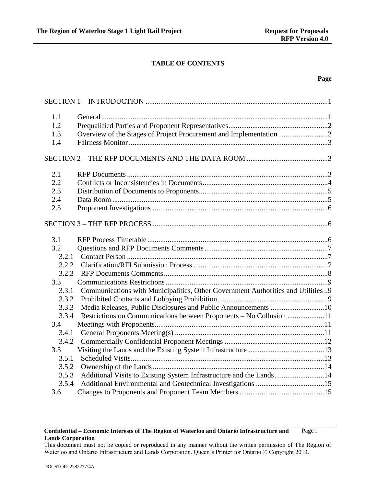## **TABLE OF CONTENTS**

### **Page**

| 1.1   |                                                                                  |  |
|-------|----------------------------------------------------------------------------------|--|
| 1.2   |                                                                                  |  |
| 1.3   |                                                                                  |  |
| 1.4   |                                                                                  |  |
|       |                                                                                  |  |
| 2.1   |                                                                                  |  |
| 2.2   |                                                                                  |  |
| 2.3   |                                                                                  |  |
| 2.4   |                                                                                  |  |
| 2.5   |                                                                                  |  |
|       |                                                                                  |  |
| 3.1   |                                                                                  |  |
| 3.2   |                                                                                  |  |
| 3.2.1 |                                                                                  |  |
| 3.2.2 |                                                                                  |  |
| 3.2.3 |                                                                                  |  |
| 3.3   |                                                                                  |  |
| 3.3.1 | Communications with Municipalities, Other Government Authorities and Utilities 9 |  |
| 3.3.2 |                                                                                  |  |
| 3.3.3 | Media Releases, Public Disclosures and Public Announcements 10                   |  |
| 3.3.4 | Restrictions on Communications between Proponents – No Collusion 11              |  |
| 3.4   |                                                                                  |  |
| 3.4.1 |                                                                                  |  |
| 3.4.2 |                                                                                  |  |
| 3.5   |                                                                                  |  |
| 3.5.1 |                                                                                  |  |
| 3.5.2 |                                                                                  |  |
| 3.5.3 | Additional Visits to Existing System Infrastructure and the Lands14              |  |
| 3.5.4 |                                                                                  |  |
| 3.6   |                                                                                  |  |

This document must not be copied or reproduced in any manner without the written permission of The Region of Waterloo and Ontario Infrastructure and Lands Corporation. Queen's Printer for Ontario © Copyright 2013.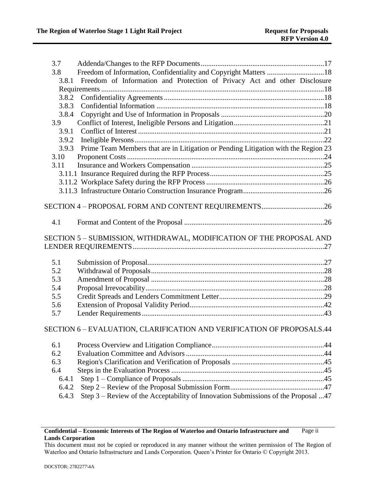| 3.7   |                                                                                    |  |
|-------|------------------------------------------------------------------------------------|--|
| 3.8   | Freedom of Information, Confidentiality and Copyright Matters 18                   |  |
| 3.8.1 | Freedom of Information and Protection of Privacy Act and other Disclosure          |  |
|       |                                                                                    |  |
| 3.8.2 |                                                                                    |  |
| 3.8.3 |                                                                                    |  |
| 3.8.4 |                                                                                    |  |
| 3.9   |                                                                                    |  |
| 3.9.1 |                                                                                    |  |
| 3.9.2 |                                                                                    |  |
| 3.9.3 | Prime Team Members that are in Litigation or Pending Litigation with the Region 23 |  |
| 3.10  |                                                                                    |  |
| 3.11  |                                                                                    |  |
|       |                                                                                    |  |
|       |                                                                                    |  |
|       |                                                                                    |  |
|       |                                                                                    |  |
|       | SECTION 4 - PROPOSAL FORM AND CONTENT REQUIREMENTS26                               |  |
|       |                                                                                    |  |
| 4.1   |                                                                                    |  |
|       |                                                                                    |  |
|       |                                                                                    |  |
|       | SECTION 5 - SUBMISSION, WITHDRAWAL, MODIFICATION OF THE PROPOSAL AND               |  |
|       |                                                                                    |  |
|       |                                                                                    |  |
| 5.1   |                                                                                    |  |
| 5.2   |                                                                                    |  |
| 5.3   |                                                                                    |  |
| 5.4   |                                                                                    |  |
| 5.5   |                                                                                    |  |
| 5.6   |                                                                                    |  |
| 5.7   |                                                                                    |  |
|       | SECTION 6 - EVALUATION, CLARIFICATION AND VERIFICATION OF PROPOSALS.44             |  |
|       |                                                                                    |  |
| 6.1   |                                                                                    |  |
| 6.2   |                                                                                    |  |
| 6.3   |                                                                                    |  |
| 6.4   |                                                                                    |  |
| 6.4.1 |                                                                                    |  |
| 6.4.2 | Step 3 - Review of the Acceptability of Innovation Submissions of the Proposal 47  |  |

### **Confidential – Economic Interests of The Region of Waterloo and Ontario Infrastructure and Lands Corporation** Page ii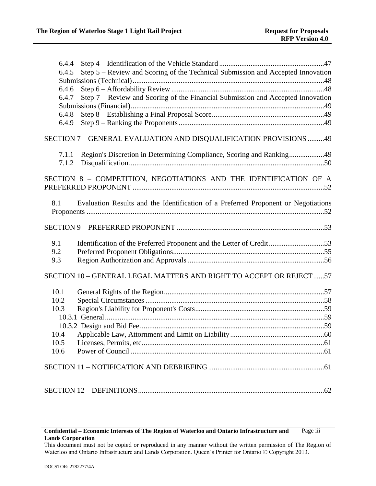| 6.4.4                                                                                     |  |
|-------------------------------------------------------------------------------------------|--|
| Step 5 - Review and Scoring of the Technical Submission and Accepted Innovation<br>6.4.5  |  |
|                                                                                           |  |
| 6.4.6                                                                                     |  |
| Step 7 – Review and Scoring of the Financial Submission and Accepted Innovation<br>6.4.7  |  |
|                                                                                           |  |
| 6.4.8                                                                                     |  |
| 6.4.9                                                                                     |  |
| SECTION 7 - GENERAL EVALUATION AND DISQUALIFICATION PROVISIONS 49                         |  |
| Region's Discretion in Determining Compliance, Scoring and Ranking49<br>7.1.1             |  |
| 7.1.2                                                                                     |  |
|                                                                                           |  |
| SECTION 8 - COMPETITION, NEGOTIATIONS AND THE IDENTIFICATION OF A                         |  |
|                                                                                           |  |
| Evaluation Results and the Identification of a Preferred Proponent or Negotiations<br>8.1 |  |
|                                                                                           |  |
|                                                                                           |  |
|                                                                                           |  |
|                                                                                           |  |
| Identification of the Preferred Proponent and the Letter of Credit53<br>9.1               |  |
| 9.2<br>9.3                                                                                |  |
|                                                                                           |  |
| SECTION 10 - GENERAL LEGAL MATTERS AND RIGHT TO ACCEPT OR REJECT57                        |  |
| 10.1                                                                                      |  |
| 10.2                                                                                      |  |
| 10.3                                                                                      |  |
|                                                                                           |  |
|                                                                                           |  |
|                                                                                           |  |
| 10.5                                                                                      |  |
| 10.6                                                                                      |  |
|                                                                                           |  |
|                                                                                           |  |
|                                                                                           |  |

This document must not be copied or reproduced in any manner without the written permission of The Region of Waterloo and Ontario Infrastructure and Lands Corporation. Queen's Printer for Ontario © Copyright 2013.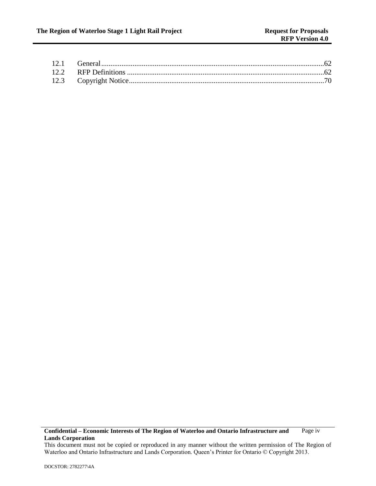**Confidential – Economic Interests of The Region of Waterloo and Ontario Infrastructure and Lands Corporation** Page iv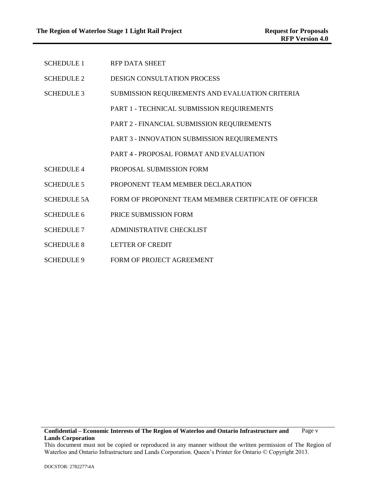| <b>SCHEDULE 1</b>  | <b>RFP DATA SHEET</b>                                |
|--------------------|------------------------------------------------------|
| <b>SCHEDULE 2</b>  | <b>DESIGN CONSULTATION PROCESS</b>                   |
| <b>SCHEDULE 3</b>  | SUBMISSION REQUIREMENTS AND EVALUATION CRITERIA      |
|                    | PART 1 - TECHNICAL SUBMISSION REQUIREMENTS           |
|                    | PART 2 - FINANCIAL SUBMISSION REQUIREMENTS           |
|                    | PART 3 - INNOVATION SUBMISSION REQUIREMENTS          |
|                    | PART 4 - PROPOSAL FORMAT AND EVALUATION              |
| <b>SCHEDULE 4</b>  | PROPOSAL SUBMISSION FORM                             |
| <b>SCHEDULE 5</b>  | PROPONENT TEAM MEMBER DECLARATION                    |
| <b>SCHEDULE 5A</b> | FORM OF PROPONENT TEAM MEMBER CERTIFICATE OF OFFICER |
| <b>SCHEDULE 6</b>  | PRICE SUBMISSION FORM                                |
| <b>SCHEDULE 7</b>  | ADMINISTRATIVE CHECKLIST                             |
| <b>SCHEDULE 8</b>  | <b>LETTER OF CREDIT</b>                              |
| <b>SCHEDULE 9</b>  | FORM OF PROJECT AGREEMENT                            |

This document must not be copied or reproduced in any manner without the written permission of The Region of Waterloo and Ontario Infrastructure and Lands Corporation. Queen's Printer for Ontario © Copyright 2013.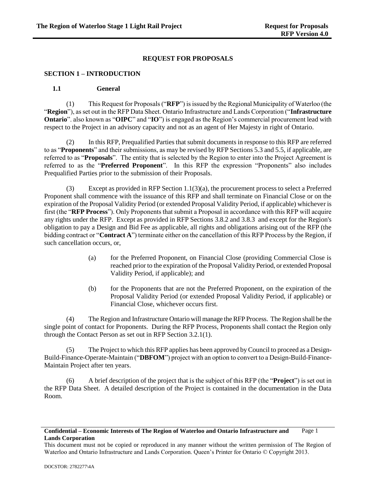## **REQUEST FOR PROPOSALS**

### <span id="page-6-0"></span>**SECTION 1 – INTRODUCTION**

### <span id="page-6-1"></span>**1.1 General**

(1) This Request for Proposals ("**RFP**") is issued by the Regional Municipality of Waterloo (the "**Region**"), as set out in the RFP Data Sheet. Ontario Infrastructure and Lands Corporation ("**Infrastructure Ontario**". also known as "**OIPC**" and "**IO**") is engaged as the Region's commercial procurement lead with respect to the Project in an advisory capacity and not as an agent of Her Majesty in right of Ontario.

(2) In this RFP, Prequalified Parties that submit documents in response to this RFP are referred to as "**Proponents**" and their submissions, as may be revised by RFP Sections [5.3](#page-33-1) an[d 5.5,](#page-34-0) if applicable, are referred to as "**Proposals**". The entity that is selected by the Region to enter into the Project Agreement is referred to as the "**Preferred Proponent**". In this RFP the expression "Proponents" also includes Prequalified Parties prior to the submission of their Proposals.

(3) Except as provided in RFP Section [1.1\(3\)\(a\),](#page-6-2) the procurement process to select a Preferred Proponent shall commence with the issuance of this RFP and shall terminate on Financial Close or on the expiration of the Proposal Validity Period (or extended Proposal Validity Period, if applicable) whichever is first (the "**RFP Process**"). Only Proponents that submit a Proposal in accordance with this RFP will acquire any rights under the RFP. Except as provided in RFP Sections [3.8.2](#page-23-2) and [3.8.3](#page-23-3) and except for the Region's obligation to pay a Design and Bid Fee as applicable, all rights and obligations arising out of the RFP (the bidding contract or "**Contract A**") terminate either on the cancellation of this RFP Process by the Region, if such cancellation occurs, or,

- <span id="page-6-2"></span>(a) for the Preferred Proponent, on Financial Close (providing Commercial Close is reached prior to the expiration of the Proposal Validity Period, or extended Proposal Validity Period, if applicable); and
- (b) for the Proponents that are not the Preferred Proponent, on the expiration of the Proposal Validity Period (or extended Proposal Validity Period, if applicable) or Financial Close, whichever occurs first.

(4) The Region and Infrastructure Ontario will manage the RFP Process. The Region shall be the single point of contact for Proponents. During the RFP Process, Proponents shall contact the Region only through the Contact Person as set out in RFP Section [3.2.1\(1\).](#page-12-3)

(5) The Project to which this RFP applies has been approved by Council to proceed as a Design-Build-Finance-Operate-Maintain ("**DBFOM**") project with an option to convert to a Design-Build-Finance-Maintain Project after ten years.

(6) A brief description of the project that is the subject of this RFP (the "**Project**") is set out in the RFP Data Sheet. A detailed description of the Project is contained in the documentation in the Data Room.

This document must not be copied or reproduced in any manner without the written permission of The Region of Waterloo and Ontario Infrastructure and Lands Corporation. Queen's Printer for Ontario © Copyright 2013.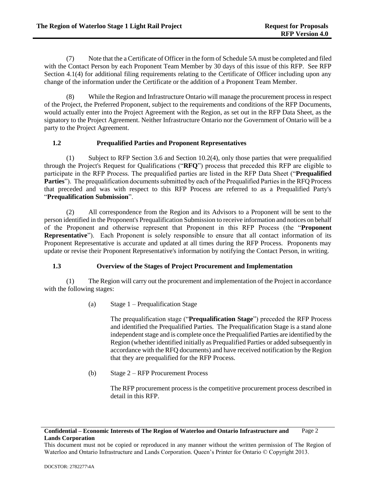(7) Note that the a Certificate of Officer in the form of Schedule 5A must be completed and filed with the Contact Person by each Proponent Team Member by 30 days of this issue of this RFP. See RFP Section 4.1(4) for additional filing requirements relating to the Certificate of Officer including upon any change of the information under the Certificate or the addition of a Proponent Team Member.

(8) While the Region and Infrastructure Ontario will manage the procurement process in respect of the Project, the Preferred Proponent, subject to the requirements and conditions of the RFP Documents, would actually enter into the Project Agreement with the Region, as set out in the RFP Data Sheet, as the signatory to the Project Agreement. Neither Infrastructure Ontario nor the Government of Ontario will be a party to the Project Agreement.

# <span id="page-7-0"></span>**1.2 Prequalified Parties and Proponent Representatives**

(1) Subject to RFP Section [3.6](#page-20-1) and Section [10.2\(4\),](#page-64-3) only those parties that were prequalified through the Project's Request for Qualifications ("**RFQ**") process that preceded this RFP are eligible to participate in the RFP Process. The prequalified parties are listed in the RFP Data Sheet ("**Prequalified Parties**"). The prequalification documents submitted by each of the Prequalified Parties in the RFQ Process that preceded and was with respect to this RFP Process are referred to as a Prequalified Party's "**Prequalification Submission**".

(2) All correspondence from the Region and its Advisors to a Proponent will be sent to the person identified in the Proponent's Prequalification Submission to receive information and notices on behalf of the Proponent and otherwise represent that Proponent in this RFP Process (the "**Proponent Representative**"). Each Proponent is solely responsible to ensure that all contact information of its Proponent Representative is accurate and updated at all times during the RFP Process. Proponents may update or revise their Proponent Representative's information by notifying the Contact Person, in writing.

# <span id="page-7-1"></span>**1.3 Overview of the Stages of Project Procurement and Implementation**

(1) The Region will carry out the procurement and implementation of the Project in accordance with the following stages:

(a) Stage 1 – Prequalification Stage

The prequalification stage ("**Prequalification Stage**") preceded the RFP Process and identified the Prequalified Parties. The Prequalification Stage is a stand alone independent stage and is complete once the Prequalified Parties are identified by the Region (whether identified initially as Prequalified Parties or added subsequently in accordance with the RFQ documents) and have received notification by the Region that they are prequalified for the RFP Process.

(b) Stage 2 – RFP Procurement Process

The RFP procurement process is the competitive procurement process described in detail in this RFP.

### **Confidential – Economic Interests of The Region of Waterloo and Ontario Infrastructure and Lands Corporation** Page 2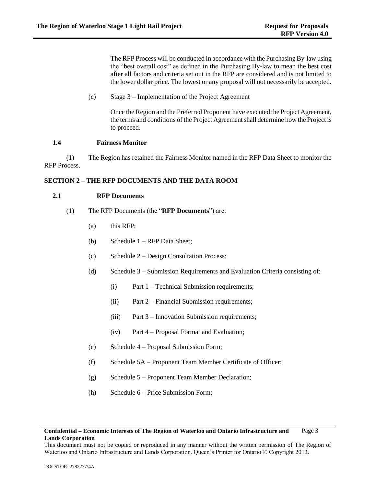The RFP Process will be conducted in accordance with the Purchasing By-law using the "best overall cost" as defined in the Purchasing By-law to mean the best cost after all factors and criteria set out in the RFP are considered and is not limited to the lower dollar price. The lowest or any proposal will not necessarily be accepted.

(c) Stage 3 – Implementation of the Project Agreement

Once the Region and the Preferred Proponent have executed the Project Agreement, the terms and conditions of the Project Agreement shall determine how the Project is to proceed.

## <span id="page-8-0"></span>**1.4 Fairness Monitor**

(1) The Region has retained the Fairness Monitor named in the RFP Data Sheet to monitor the RFP Process.

# <span id="page-8-1"></span>**SECTION 2 – THE RFP DOCUMENTS AND THE DATA ROOM**

## <span id="page-8-2"></span>**2.1 RFP Documents**

- (1) The RFP Documents (the "**RFP Documents**") are:
	- (a) this RFP;
	- (b) Schedule 1 RFP Data Sheet;
	- (c) Schedule 2 Design Consultation Process;
	- (d) Schedule 3 Submission Requirements and Evaluation Criteria consisting of:
		- (i) Part 1 Technical Submission requirements;
		- (ii) Part 2 Financial Submission requirements;
		- (iii) Part 3 Innovation Submission requirements;
		- (iv) Part 4 Proposal Format and Evaluation;
	- (e) Schedule 4 Proposal Submission Form;
	- (f) Schedule 5A Proponent Team Member Certificate of Officer;
	- (g) Schedule 5 Proponent Team Member Declaration;
	- (h) Schedule 6 Price Submission Form;

This document must not be copied or reproduced in any manner without the written permission of The Region of Waterloo and Ontario Infrastructure and Lands Corporation. Queen's Printer for Ontario © Copyright 2013.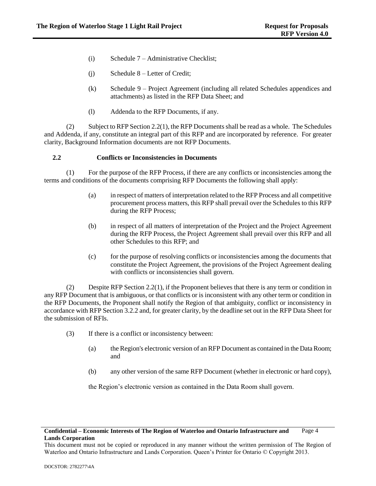- (i) Schedule 7 Administrative Checklist;
- (j) Schedule 8 Letter of Credit;
- (k) Schedule 9 Project Agreement (including all related Schedules appendices and attachments) as listed in the RFP Data Sheet; and
- (l) Addenda to the RFP Documents, if any.

(2) Subject to RFP Sectio[n 2.2\(1\),](#page-9-1) the RFP Documents shall be read as a whole. The Schedules and Addenda, if any, constitute an integral part of this RFP and are incorporated by reference. For greater clarity, Background Information documents are not RFP Documents.

### <span id="page-9-0"></span>**2.2 Conflicts or Inconsistencies in Documents**

<span id="page-9-1"></span>(1) For the purpose of the RFP Process, if there are any conflicts or inconsistencies among the terms and conditions of the documents comprising RFP Documents the following shall apply:

- (a) in respect of matters of interpretation related to the RFP Process and all competitive procurement process matters, this RFP shall prevail over the Schedules to this RFP during the RFP Process;
- (b) in respect of all matters of interpretation of the Project and the Project Agreement during the RFP Process, the Project Agreement shall prevail over this RFP and all other Schedules to this RFP; and
- (c) for the purpose of resolving conflicts or inconsistencies among the documents that constitute the Project Agreement, the provisions of the Project Agreement dealing with conflicts or inconsistencies shall govern.

(2) Despite RFP Section [2.2\(1\),](#page-9-1) if the Proponent believes that there is any term or condition in any RFP Document that is ambiguous, or that conflicts or is inconsistent with any other term or condition in the RFP Documents, the Proponent shall notify the Region of that ambiguity, conflict or inconsistency in accordance with RFP Section [3.2.2](#page-12-2) and, for greater clarity, by the deadline set out in the RFP Data Sheet for the submission of RFIs.

- (3) If there is a conflict or inconsistency between:
	- (a) the Region's electronic version of an RFP Document as contained in the Data Room; and
	- (b) any other version of the same RFP Document (whether in electronic or hard copy),

the Region's electronic version as contained in the Data Room shall govern.

#### **Confidential – Economic Interests of The Region of Waterloo and Ontario Infrastructure and Lands Corporation** Page 4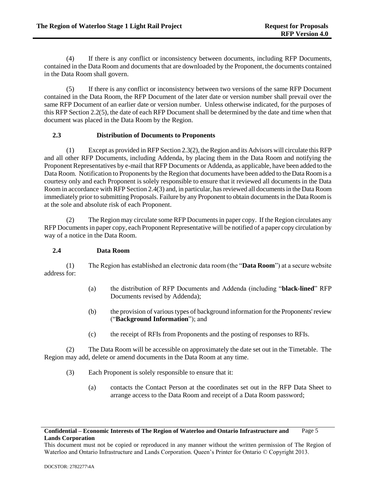(4) If there is any conflict or inconsistency between documents, including RFP Documents, contained in the Data Room and documents that are downloaded by the Proponent, the documents contained in the Data Room shall govern.

<span id="page-10-2"></span>(5) If there is any conflict or inconsistency between two versions of the same RFP Document contained in the Data Room, the RFP Document of the later date or version number shall prevail over the same RFP Document of an earlier date or version number. Unless otherwise indicated, for the purposes of this RFP Sectio[n 2.2\(5\),](#page-10-2) the date of each RFP Document shall be determined by the date and time when that document was placed in the Data Room by the Region.

## <span id="page-10-0"></span>**2.3 Distribution of Documents to Proponents**

(1) Except as provided in RFP Sectio[n 2.3\(2\),](#page-10-3) the Region and its Advisors will circulate this RFP and all other RFP Documents, including Addenda, by placing them in the Data Room and notifying the Proponent Representatives by e-mail that RFP Documents or Addenda, as applicable, have been added to the Data Room. Notification to Proponents by the Region that documents have been added to the Data Room is a courtesy only and each Proponent is solely responsible to ensure that it reviewed all documents in the Data Room in accordance with RFP Sectio[n 2.4\(3\)](#page-10-4) and, in particular, has reviewed all documents in the Data Room immediately prior to submitting Proposals. Failure by any Proponent to obtain documents in the Data Room is at the sole and absolute risk of each Proponent.

<span id="page-10-3"></span>(2) The Region may circulate some RFP Documents in paper copy. If the Region circulates any RFP Documents in paper copy, each Proponent Representative will be notified of a paper copy circulation by way of a notice in the Data Room.

### <span id="page-10-1"></span>**2.4 Data Room**

(1) The Region has established an electronic data room (the "**Data Room**") at a secure website address for:

- (a) the distribution of RFP Documents and Addenda (including "**black-lined**" RFP Documents revised by Addenda);
- (b) the provision of various types of background information for the Proponents' review ("**Background Information**"); and
- (c) the receipt of RFIs from Proponents and the posting of responses to RFIs.

<span id="page-10-4"></span>(2) The Data Room will be accessible on approximately the date set out in the Timetable. The Region may add, delete or amend documents in the Data Room at any time.

- (3) Each Proponent is solely responsible to ensure that it:
	- (a) contacts the Contact Person at the coordinates set out in the RFP Data Sheet to arrange access to the Data Room and receipt of a Data Room password;

**Confidential – Economic Interests of The Region of Waterloo and Ontario Infrastructure and Lands Corporation** Page 5

This document must not be copied or reproduced in any manner without the written permission of The Region of Waterloo and Ontario Infrastructure and Lands Corporation. Queen's Printer for Ontario © Copyright 2013.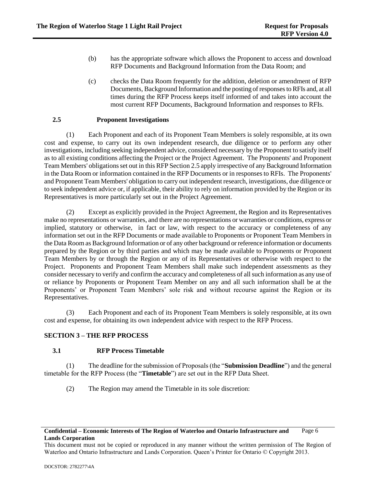- (b) has the appropriate software which allows the Proponent to access and download RFP Documents and Background Information from the Data Room; and
- (c) checks the Data Room frequently for the addition, deletion or amendment of RFP Documents, Background Information and the posting of responses to RFIs and, at all times during the RFP Process keeps itself informed of and takes into account the most current RFP Documents, Background Information and responses to RFIs.

## <span id="page-11-0"></span>**2.5 Proponent Investigations**

(1) Each Proponent and each of its Proponent Team Members is solely responsible, at its own cost and expense, to carry out its own independent research, due diligence or to perform any other investigations, including seeking independent advice, considered necessary by the Proponent to satisfy itself as to all existing conditions affecting the Project or the Project Agreement. The Proponents' and Proponent Team Members' obligations set out in this RFP Sectio[n 2.5](#page-11-0) apply irrespective of any Background Information in the Data Room or information contained in the RFP Documents or in responses to RFIs. The Proponents' and Proponent Team Members' obligation to carry out independent research, investigations, due diligence or to seek independent advice or, if applicable, their ability to rely on information provided by the Region or its Representatives is more particularly set out in the Project Agreement.

(2) Except as explicitly provided in the Project Agreement, the Region and its Representatives make no representations or warranties, and there are no representations or warranties or conditions, express or implied, statutory or otherwise, in fact or law, with respect to the accuracy or completeness of any information set out in the RFP Documents or made available to Proponents or Proponent Team Members in the Data Room as Background Information or of any other background or reference information or documents prepared by the Region or by third parties and which may be made available to Proponents or Proponent Team Members by or through the Region or any of its Representatives or otherwise with respect to the Project. Proponents and Proponent Team Members shall make such independent assessments as they consider necessary to verify and confirm the accuracy and completeness of all such information as any use of or reliance by Proponents or Proponent Team Member on any and all such information shall be at the Proponents' or Proponent Team Members' sole risk and without recourse against the Region or its Representatives.

(3) Each Proponent and each of its Proponent Team Members is solely responsible, at its own cost and expense, for obtaining its own independent advice with respect to the RFP Process.

### <span id="page-11-1"></span>**SECTION 3 – THE RFP PROCESS**

### <span id="page-11-2"></span>**3.1 RFP Process Timetable**

(1) The deadline for the submission of Proposals (the "**Submission Deadline**") and the general timetable for the RFP Process (the "**Timetable**") are set out in the RFP Data Sheet.

(2) The Region may amend the Timetable in its sole discretion:

#### **Confidential – Economic Interests of The Region of Waterloo and Ontario Infrastructure and Lands Corporation** Page 6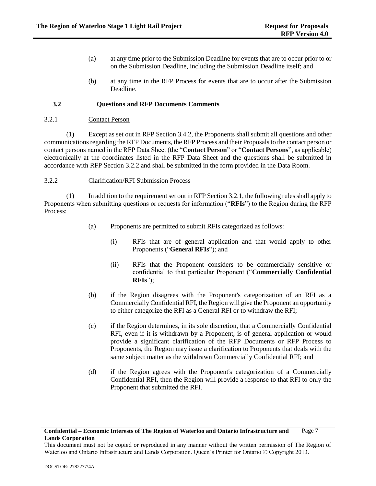- (a) at any time prior to the Submission Deadline for events that are to occur prior to or on the Submission Deadline, including the Submission Deadline itself; and
- (b) at any time in the RFP Process for events that are to occur after the Submission Deadline.

## <span id="page-12-0"></span>**3.2 Questions and RFP Documents Comments**

## <span id="page-12-1"></span>3.2.1 Contact Person

<span id="page-12-3"></span>(1) Except as set out in RFP Section [3.4.2,](#page-17-0) the Proponents shall submit all questions and other communications regarding the RFP Documents, the RFP Process and their Proposals to the contact person or contact persons named in the RFP Data Sheet (the "**Contact Person**" or "**Contact Persons**", as applicable) electronically at the coordinates listed in the RFP Data Sheet and the questions shall be submitted in accordance with RFP Section [3.2.2](#page-12-2) and shall be submitted in the form provided in the Data Room.

### <span id="page-12-2"></span>3.2.2 Clarification/RFI Submission Process

(1) In addition to the requirement set out in RFP Sectio[n 3.2.1,](#page-12-1) the following rules shall apply to Proponents when submitting questions or requests for information ("**RFIs**") to the Region during the RFP Process:

- (a) Proponents are permitted to submit RFIs categorized as follows:
	- (i) RFIs that are of general application and that would apply to other Proponents ("**General RFIs**"); and
	- (ii) RFIs that the Proponent considers to be commercially sensitive or confidential to that particular Proponent ("**Commercially Confidential RFIs**");
- (b) if the Region disagrees with the Proponent's categorization of an RFI as a Commercially Confidential RFI, the Region will give the Proponent an opportunity to either categorize the RFI as a General RFI or to withdraw the RFI;
- (c) if the Region determines, in its sole discretion, that a Commercially Confidential RFI, even if it is withdrawn by a Proponent, is of general application or would provide a significant clarification of the RFP Documents or RFP Process to Proponents, the Region may issue a clarification to Proponents that deals with the same subject matter as the withdrawn Commercially Confidential RFI; and
- (d) if the Region agrees with the Proponent's categorization of a Commercially Confidential RFI, then the Region will provide a response to that RFI to only the Proponent that submitted the RFI.

This document must not be copied or reproduced in any manner without the written permission of The Region of Waterloo and Ontario Infrastructure and Lands Corporation. Queen's Printer for Ontario © Copyright 2013.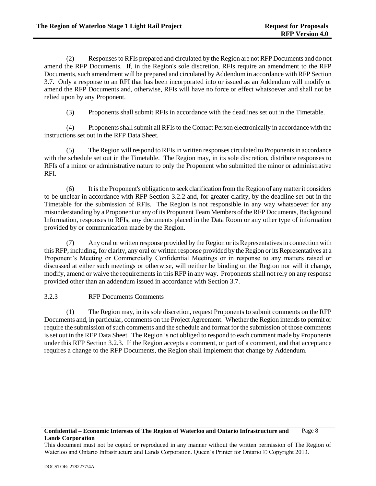(2) Responses to RFIs prepared and circulated by the Region are not RFP Documents and do not amend the RFP Documents. If, in the Region's sole discretion, RFIs require an amendment to the RFP Documents, such amendment will be prepared and circulated by Addendum in accordance with RFP Section [3.7.](#page-22-0) Only a response to an RFI that has been incorporated into or issued as an Addendum will modify or amend the RFP Documents and, otherwise, RFIs will have no force or effect whatsoever and shall not be relied upon by any Proponent.

(3) Proponents shall submit RFIs in accordance with the deadlines set out in the Timetable.

(4) Proponents shall submit all RFIs to the Contact Person electronically in accordance with the instructions set out in the RFP Data Sheet.

(5) The Region will respond to RFIs in written responses circulated to Proponents in accordance with the schedule set out in the Timetable. The Region may, in its sole discretion, distribute responses to RFIs of a minor or administrative nature to only the Proponent who submitted the minor or administrative RFI.

(6) It is the Proponent's obligation to seek clarification from the Region of any matter it considers to be unclear in accordance with RFP Section [3.2.2](#page-12-2) and, for greater clarity, by the deadline set out in the Timetable for the submission of RFIs. The Region is not responsible in any way whatsoever for any misunderstanding by a Proponent or any of its Proponent Team Members of the RFP Documents, Background Information, responses to RFIs, any documents placed in the Data Room or any other type of information provided by or communication made by the Region.

(7) Any oral or written response provided by the Region or its Representatives in connection with this RFP, including, for clarity, any oral or written response provided by the Region or its Representatives at a Proponent's Meeting or Commercially Confidential Meetings or in response to any matters raised or discussed at either such meetings or otherwise, will neither be binding on the Region nor will it change, modify, amend or waive the requirements in this RFP in any way. Proponents shall not rely on any response provided other than an addendum issued in accordance with Section [3.7.](#page-22-0)

# <span id="page-13-0"></span>3.2.3 RFP Documents Comments

(1) The Region may, in its sole discretion, request Proponents to submit comments on the RFP Documents and, in particular, comments on the Project Agreement. Whether the Region intends to permit or require the submission of such comments and the schedule and format for the submission of those comments is set out in the RFP Data Sheet. The Region is not obliged to respond to each comment made by Proponents under this RFP Section [3.2.3.](#page-13-0) If the Region accepts a comment, or part of a comment, and that acceptance requires a change to the RFP Documents, the Region shall implement that change by Addendum.

#### **Confidential – Economic Interests of The Region of Waterloo and Ontario Infrastructure and Lands Corporation** Page 8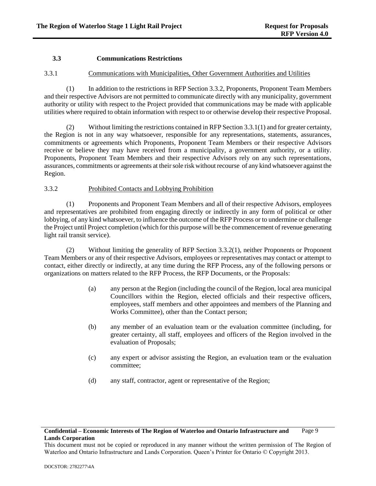## <span id="page-14-0"></span>**3.3 Communications Restrictions**

### <span id="page-14-1"></span>3.3.1 Communications with Municipalities, Other Government Authorities and Utilities

<span id="page-14-3"></span>(1) In addition to the restrictions in RFP Section 3.3.2, Proponents, Proponent Team Members and their respective Advisors are not permitted to communicate directly with any municipality, government authority or utility with respect to the Project provided that communications may be made with applicable utilities where required to obtain information with respect to or otherwise develop their respective Proposal.

(2) Without limiting the restrictions contained in RFP Sectio[n 3.3.1\(1\)](#page-14-3) and for greater certainty, the Region is not in any way whatsoever, responsible for any representations, statements, assurances, commitments or agreements which Proponents, Proponent Team Members or their respective Advisors receive or believe they may have received from a municipality, a government authority, or a utility. Proponents, Proponent Team Members and their respective Advisors rely on any such representations, assurances, commitments or agreements at their sole risk without recourse of any kind whatsoever against the Region.

## <span id="page-14-2"></span>3.3.2 Prohibited Contacts and Lobbying Prohibition

<span id="page-14-4"></span>(1) Proponents and Proponent Team Members and all of their respective Advisors, employees and representatives are prohibited from engaging directly or indirectly in any form of political or other lobbying, of any kind whatsoever, to influence the outcome of the RFP Process or to undermine or challenge the Project until Project completion (which for this purpose will be the commencement of revenue generating light rail transit service).

<span id="page-14-5"></span>(2) Without limiting the generality of RFP Section [3.3.2\(1\),](#page-14-4) neither Proponents or Proponent Team Members or any of their respective Advisors, employees or representatives may contact or attempt to contact, either directly or indirectly, at any time during the RFP Process, any of the following persons or organizations on matters related to the RFP Process, the RFP Documents, or the Proposals:

- (a) any person at the Region (including the council of the Region, local area municipal Councillors within the Region, elected officials and their respective officers, employees, staff members and other appointees and members of the Planning and Works Committee), other than the Contact person;
- (b) any member of an evaluation team or the evaluation committee (including, for greater certainty, all staff, employees and officers of the Region involved in the evaluation of Proposals;
- (c) any expert or advisor assisting the Region, an evaluation team or the evaluation committee;
- (d) any staff, contractor, agent or representative of the Region;

#### **Confidential – Economic Interests of The Region of Waterloo and Ontario Infrastructure and Lands Corporation** Page 9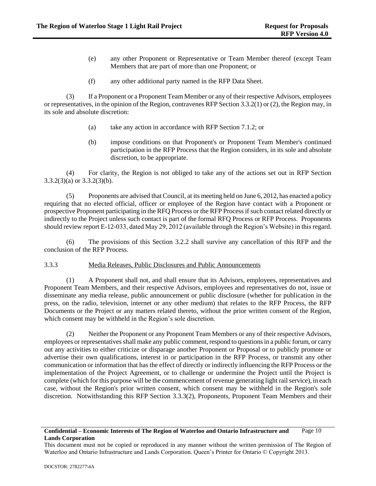- (e) any other Proponent or Representative or Team Member thereof (except Team Members that are part of more than one Proponent; or
- (f) any other additional party named in the RFP Data Sheet.

<span id="page-15-1"></span>(3) If a Proponent or a Proponent Team Member or any of their respective Advisors, employees or representatives, in the opinion of the Region, contravenes RFP Section [3.3.2\(1\)](#page-14-4) o[r \(2\),](#page-14-5) the Region may, in its sole and absolute discretion:

- (a) take any action in accordance with RFP Section 7.1.2; or
- (b) impose conditions on that Proponent's or Proponent Team Member's continued participation in the RFP Process that the Region considers, in its sole and absolute discretion, to be appropriate.

<span id="page-15-2"></span>(4) For clarity, the Region is not obliged to take any of the actions set out in RFP Section [3.3.2\(3\)\(a\)](#page-15-1) o[r 3.3.2\(3\)\(b\).](#page-15-2)

(5) Proponents are advised that Council, at its meeting held on June 6, 2012, has enacted a policy requiring that no elected official, officer or employee of the Region have contact with a Proponent or prospective Proponent participating in the RFQ Process or the RFP Process if such contact related directly or indirectly to the Project unless such contact is part of the formal RFQ Process or RFP Process. Proponents should review report E-12-033, dated May 29, 2012 (available through the Region's Website) in this regard.

(6) The provisions of this Section [3.2.2](#page-12-2) shall survive any cancellation of this RFP and the conclusion of the RFP Process.

## <span id="page-15-0"></span>3.3.3 Media Releases, Public Disclosures and Public Announcements

(1) A Proponent shall not, and shall ensure that its Advisors, employees, representatives and Proponent Team Members, and their respective Advisors, employees and representatives do not, issue or disseminate any media release, public announcement or public disclosure (whether for publication in the press, on the radio, television, internet or any other medium) that relates to the RFP Process, the RFP Documents or the Project or any matters related thereto, without the prior written consent of the Region, which consent may be withheld in the Region's sole discretion.

<span id="page-15-3"></span>(2) Neither the Proponent or any Proponent Team Members or any of their respective Advisors, employees or representatives shall make any public comment, respond to questions in a public forum, or carry out any activities to either criticize or disparage another Proponent or Proposal or to publicly promote or advertise their own qualifications, interest in or participation in the RFP Process, or transmit any other communication or information that has the effect of directly or indirectly influencing the RFP Process or the implementation of the Project Agreement, or to challenge or undermine the Project until the Project is complete (which for this purpose will be the commencement of revenue generating light rail service), in each case, without the Region's prior written consent, which consent may be withheld in the Region's sole discretion. Notwithstanding this RFP Section [3.3.3\(2\),](#page-15-3) Proponents, Proponent Team Members and their

This document must not be copied or reproduced in any manner without the written permission of The Region of Waterloo and Ontario Infrastructure and Lands Corporation. Queen's Printer for Ontario © Copyright 2013.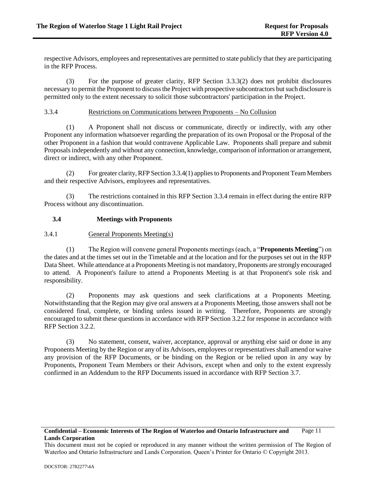respective Advisors, employees and representatives are permitted to state publicly that they are participating in the RFP Process.

(3) For the purpose of greater clarity, RFP Section [3.3.3\(2\)](#page-15-3) does not prohibit disclosures necessary to permit the Proponent to discuss the Project with prospective subcontractors but such disclosure is permitted only to the extent necessary to solicit those subcontractors' participation in the Project.

## <span id="page-16-0"></span>3.3.4 Restrictions on Communications between Proponents – No Collusion

<span id="page-16-3"></span>(1) A Proponent shall not discuss or communicate, directly or indirectly, with any other Proponent any information whatsoever regarding the preparation of its own Proposal or the Proposal of the other Proponent in a fashion that would contravene Applicable Law. Proponents shall prepare and submit Proposals independently and without any connection, knowledge, comparison of information or arrangement, direct or indirect, with any other Proponent.

(2) For greater clarity, RFP Sectio[n 3.3.4\(1\)](#page-16-3) applies to Proponents and Proponent Team Members and their respective Advisors, employees and representatives.

(3) The restrictions contained in this RFP Section [3.3.4](#page-16-0) remain in effect during the entire RFP Process without any discontinuation.

## <span id="page-16-1"></span>**3.4 Meetings with Proponents**

# <span id="page-16-2"></span>3.4.1 General Proponents Meeting(s)

(1) The Region will convene general Proponents meetings (each, a "**Proponents Meeting**") on the dates and at the times set out in the Timetable and at the location and for the purposes set out in the RFP Data Sheet. While attendance at a Proponents Meeting is not mandatory, Proponents are strongly encouraged to attend. A Proponent's failure to attend a Proponents Meeting is at that Proponent's sole risk and responsibility.

(2) Proponents may ask questions and seek clarifications at a Proponents Meeting. Notwithstanding that the Region may give oral answers at a Proponents Meeting, those answers shall not be considered final, complete, or binding unless issued in writing. Therefore, Proponents are strongly encouraged to submit these questions in accordance with RFP Section [3.2.2](#page-12-2) for response in accordance with RFP Section [3.2.2.](#page-12-2)

(3) No statement, consent, waiver, acceptance, approval or anything else said or done in any Proponents Meeting by the Region or any of its Advisors, employees or representatives shall amend or waive any provision of the RFP Documents, or be binding on the Region or be relied upon in any way by Proponents, Proponent Team Members or their Advisors, except when and only to the extent expressly confirmed in an Addendum to the RFP Documents issued in accordance with RFP Section [3.7.](#page-22-0)

#### **Confidential – Economic Interests of The Region of Waterloo and Ontario Infrastructure and Lands Corporation** Page 11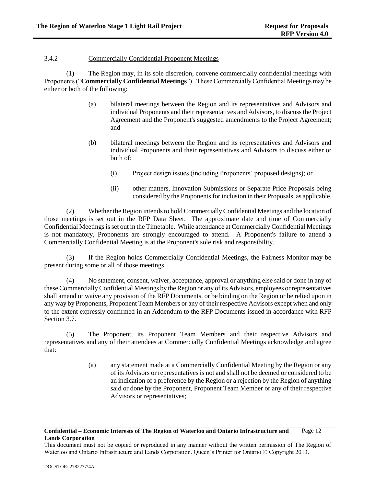### <span id="page-17-0"></span>3.4.2 Commercially Confidential Proponent Meetings

(1) The Region may, in its sole discretion, convene commercially confidential meetings with Proponents ("**Commercially Confidential Meetings**"). These Commercially Confidential Meetings may be either or both of the following:

- (a) bilateral meetings between the Region and its representatives and Advisors and individual Proponents and their representatives and Advisors, to discuss the Project Agreement and the Proponent's suggested amendments to the Project Agreement; and
- (b) bilateral meetings between the Region and its representatives and Advisors and individual Proponents and their representatives and Advisors to discuss either or both of:
	- (i) Project design issues (including Proponents' proposed designs); or
	- (ii) other matters, Innovation Submissions or Separate Price Proposals being considered by the Proponents for inclusion in their Proposals, as applicable.

(2) Whether the Region intends to hold Commercially Confidential Meetings and the location of those meetings is set out in the RFP Data Sheet. The approximate date and time of Commercially Confidential Meetings is set out in the Timetable. While attendance at Commercially Confidential Meetings is not mandatory, Proponents are strongly encouraged to attend. A Proponent's failure to attend a Commercially Confidential Meeting is at the Proponent's sole risk and responsibility.

If the Region holds Commercially Confidential Meetings, the Fairness Monitor may be present during some or all of those meetings.

(4) No statement, consent, waiver, acceptance, approval or anything else said or done in any of these Commercially Confidential Meetings by the Region or any of its Advisors, employees or representatives shall amend or waive any provision of the RFP Documents, or be binding on the Region or be relied upon in any way by Proponents, Proponent Team Members or any of their respective Advisors except when and only to the extent expressly confirmed in an Addendum to the RFP Documents issued in accordance with RFP Sectio[n 3.7.](#page-22-0)

(5) The Proponent, its Proponent Team Members and their respective Advisors and representatives and any of their attendees at Commercially Confidential Meetings acknowledge and agree that:

> (a) any statement made at a Commercially Confidential Meeting by the Region or any of its Advisors or representatives is not and shall not be deemed or considered to be an indication of a preference by the Region or a rejection by the Region of anything said or done by the Proponent, Proponent Team Member or any of their respective Advisors or representatives;

This document must not be copied or reproduced in any manner without the written permission of The Region of Waterloo and Ontario Infrastructure and Lands Corporation. Queen's Printer for Ontario © Copyright 2013.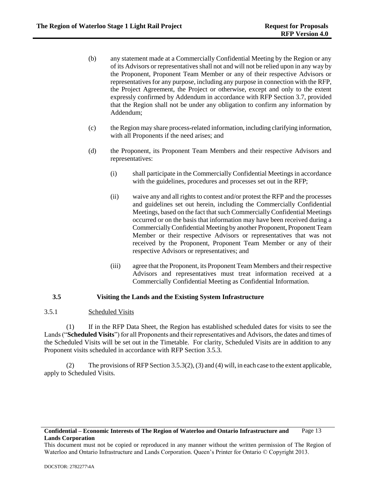- (b) any statement made at a Commercially Confidential Meeting by the Region or any of its Advisors or representatives shall not and will not be relied upon in any way by the Proponent, Proponent Team Member or any of their respective Advisors or representatives for any purpose, including any purpose in connection with the RFP, the Project Agreement, the Project or otherwise, except and only to the extent expressly confirmed by Addendum in accordance with RFP Sectio[n 3.7,](#page-22-0) provided that the Region shall not be under any obligation to confirm any information by Addendum;
- (c) the Region may share process-related information, including clarifying information, with all Proponents if the need arises; and
- (d) the Proponent, its Proponent Team Members and their respective Advisors and representatives:
	- (i) shall participate in the Commercially Confidential Meetings in accordance with the guidelines, procedures and processes set out in the RFP;
	- (ii) waive any and all rights to contest and/or protest the RFP and the processes and guidelines set out herein, including the Commercially Confidential Meetings, based on the fact that such Commercially Confidential Meetings occurred or on the basis that information may have been received during a Commercially Confidential Meeting by another Proponent, Proponent Team Member or their respective Advisors or representatives that was not received by the Proponent, Proponent Team Member or any of their respective Advisors or representatives; and
	- (iii) agree that the Proponent, its Proponent Team Members and their respective Advisors and representatives must treat information received at a Commercially Confidential Meeting as Confidential Information.

# <span id="page-18-0"></span>**3.5 Visiting the Lands and the Existing System Infrastructure**

### <span id="page-18-1"></span>3.5.1 Scheduled Visits

(1) If in the RFP Data Sheet, the Region has established scheduled dates for visits to see the Lands ("**Scheduled Visits**") for all Proponents and their representatives and Advisors, the dates and times of the Scheduled Visits will be set out in the Timetable. For clarity, Scheduled Visits are in addition to any Proponent visits scheduled in accordance with RFP Section [3.5.3.](#page-19-1)

(2) The provisions of RFP Sectio[n 3.5.3\(2\)](#page-19-2)[, \(3\)](#page-19-3) an[d \(4\)](#page-20-2) will, in each case to the extent applicable, apply to Scheduled Visits.

#### **Confidential – Economic Interests of The Region of Waterloo and Ontario Infrastructure and Lands Corporation** Page 13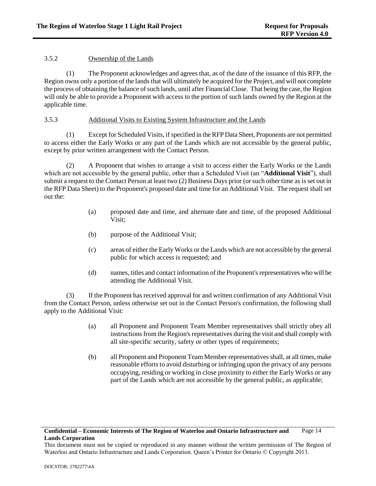# <span id="page-19-0"></span>3.5.2 Ownership of the Lands

(1) The Proponent acknowledges and agrees that, as of the date of the issuance of this RFP, the Region owns only a portion of the lands that will ultimately be acquired for the Project, and will not complete the process of obtaining the balance of such lands, until after Financial Close. That being the case, the Region will only be able to provide a Proponent with access to the portion of such lands owned by the Region at the applicable time.

## <span id="page-19-1"></span>3.5.3 Additional Visits to Existing System Infrastructure and the Lands

(1) Except for Scheduled Visits, if specified in the RFP Data Sheet, Proponents are not permitted to access either the Early Works or any part of the Lands which are not accessible by the general public, except by prior written arrangement with the Contact Person.

<span id="page-19-2"></span>(2) A Proponent that wishes to arrange a visit to access either the Early Works or the Lands which are not accessible by the general public, other than a Scheduled Visit (an "**Additional Visit**"), shall submit a request to the Contact Person at least two (2) Business Days prior (or such other time as is set out in the RFP Data Sheet) to the Proponent's proposed date and time for an Additional Visit. The request shall set out the:

- (a) proposed date and time, and alternate date and time, of the proposed Additional Visit;
- (b) purpose of the Additional Visit;
- (c) areas of either the Early Works or the Lands which are not accessible by the general public for which access is requested; and
- (d) names, titles and contact information of the Proponent's representatives who will be attending the Additional Visit.

<span id="page-19-3"></span>(3) If the Proponent has received approval for and written confirmation of any Additional Visit from the Contact Person, unless otherwise set out in the Contact Person's confirmation, the following shall apply to the Additional Visit:

- (a) all Proponent and Proponent Team Member representatives shall strictly obey all instructions from the Region's representatives during the visit and shall comply with all site-specific security, safety or other types of requirements;
- (b) all Proponent and Proponent Team Member representatives shall, at all times, make reasonable efforts to avoid disturbing or infringing upon the privacy of any persons occupying, residing or working in close proximity to either the Early Works or any part of the Lands which are not accessible by the general public, as applicable;

#### **Confidential – Economic Interests of The Region of Waterloo and Ontario Infrastructure and Lands Corporation** Page 14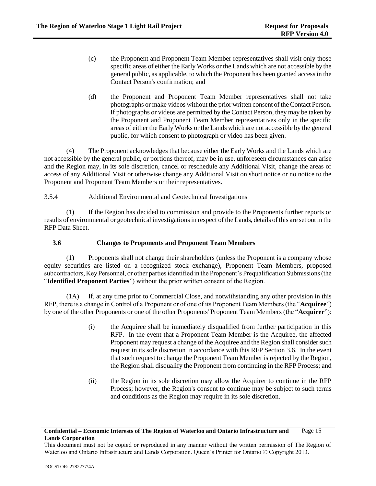- (c) the Proponent and Proponent Team Member representatives shall visit only those specific areas of either the Early Works or the Lands which are not accessible by the general public, as applicable, to which the Proponent has been granted access in the Contact Person's confirmation; and
- (d) the Proponent and Proponent Team Member representatives shall not take photographs or make videos without the prior written consent of the Contact Person. If photographs or videos are permitted by the Contact Person, they may be taken by the Proponent and Proponent Team Member representatives only in the specific areas of either the Early Works or the Lands which are not accessible by the general public, for which consent to photograph or video has been given.

<span id="page-20-2"></span>(4) The Proponent acknowledges that because either the Early Works and the Lands which are not accessible by the general public, or portions thereof, may be in use, unforeseen circumstances can arise and the Region may, in its sole discretion, cancel or reschedule any Additional Visit, change the areas of access of any Additional Visit or otherwise change any Additional Visit on short notice or no notice to the Proponent and Proponent Team Members or their representatives.

## <span id="page-20-0"></span>3.5.4 Additional Environmental and Geotechnical Investigations

(1) If the Region has decided to commission and provide to the Proponents further reports or results of environmental or geotechnical investigations in respect of the Lands, details of this are set out in the RFP Data Sheet.

## <span id="page-20-1"></span>**3.6 Changes to Proponents and Proponent Team Members**

<span id="page-20-3"></span>(1) Proponents shall not change their shareholders (unless the Proponent is a company whose equity securities are listed on a recognized stock exchange), Proponent Team Members, proposed subcontractors, Key Personnel, or other parties identified in the Proponent's Prequalification Submissions (the "**Identified Proponent Parties**") without the prior written consent of the Region.

(1A) If, at any time prior to Commercial Close, and notwithstanding any other provision in this RFP, there is a change in Control of a Proponent or of one of its Proponent Team Members (the "**Acquiree**") by one of the other Proponents or one of the other Proponents' Proponent Team Members (the "**Acquirer**"):

- (i) the Acquiree shall be immediately disqualified from further participation in this RFP. In the event that a Proponent Team Member is the Acquiree, the affected Proponent may request a change of the Acquiree and the Region shall consider such request in its sole discretion in accordance with this RFP Sectio[n 3.6.](#page-20-1) In the event that such request to change the Proponent Team Member is rejected by the Region, the Region shall disqualify the Proponent from continuing in the RFP Process; and
- (ii) the Region in its sole discretion may allow the Acquirer to continue in the RFP Process; however, the Region's consent to continue may be subject to such terms and conditions as the Region may require in its sole discretion.

#### **Confidential – Economic Interests of The Region of Waterloo and Ontario Infrastructure and Lands Corporation** Page 15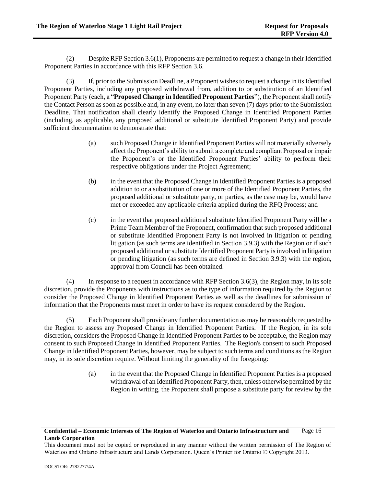(2) Despite RFP Sectio[n 3.6\(1\),](#page-20-3) Proponents are permitted to request a change in their Identified Proponent Parties in accordance with this RFP Section [3.6.](#page-20-1)

<span id="page-21-0"></span>(3) If, prior to the Submission Deadline, a Proponent wishes to request a change in its Identified Proponent Parties, including any proposed withdrawal from, addition to or substitution of an Identified Proponent Party (each, a "**Proposed Change in Identified Proponent Parties**"), the Proponent shall notify the Contact Person as soon as possible and, in any event, no later than seven (7) days prior to the Submission Deadline. That notification shall clearly identify the Proposed Change in Identified Proponent Parties (including, as applicable, any proposed additional or substitute Identified Proponent Party) and provide sufficient documentation to demonstrate that:

- (a) such Proposed Change in Identified Proponent Parties will not materially adversely affect the Proponent's ability to submit a complete and compliant Proposal or impair the Proponent's or the Identified Proponent Parties' ability to perform their respective obligations under the Project Agreement;
- (b) in the event that the Proposed Change in Identified Proponent Parties is a proposed addition to or a substitution of one or more of the Identified Proponent Parties, the proposed additional or substitute party, or parties, as the case may be, would have met or exceeded any applicable criteria applied during the RFQ Process; and
- (c) in the event that proposed additional substitute Identified Proponent Party will be a Prime Team Member of the Proponent, confirmation that such proposed additional or substitute Identified Proponent Party is not involved in litigation or pending litigation (as such terms are identified in Section [3.9.3\)](#page-28-0) with the Region or if such proposed additional or substitute Identified Proponent Party is involved in litigation or pending litigation (as such terms are defined in Section [3.9.3\)](#page-28-0) with the region, approval from Council has been obtained.

(4) In response to a request in accordance with RFP Section [3.6\(3\),](#page-21-0) the Region may, in its sole discretion, provide the Proponents with instructions as to the type of information required by the Region to consider the Proposed Change in Identified Proponent Parties as well as the deadlines for submission of information that the Proponents must meet in order to have its request considered by the Region.

(5) Each Proponent shall provide any further documentation as may be reasonably requested by the Region to assess any Proposed Change in Identified Proponent Parties. If the Region, in its sole discretion, considers the Proposed Change in Identified Proponent Parties to be acceptable, the Region may consent to such Proposed Change in Identified Proponent Parties. The Region's consent to such Proposed Change in Identified Proponent Parties, however, may be subject to such terms and conditions as the Region may, in its sole discretion require. Without limiting the generality of the foregoing:

> (a) in the event that the Proposed Change in Identified Proponent Parties is a proposed withdrawal of an Identified Proponent Party, then, unless otherwise permitted by the Region in writing, the Proponent shall propose a substitute party for review by the

This document must not be copied or reproduced in any manner without the written permission of The Region of Waterloo and Ontario Infrastructure and Lands Corporation. Queen's Printer for Ontario © Copyright 2013.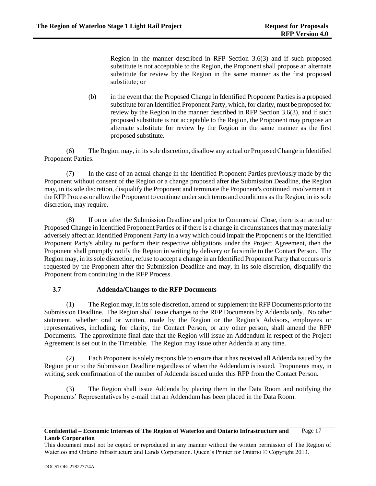Region in the manner described in RFP Section [3.6\(3\)](#page-21-0) and if such proposed substitute is not acceptable to the Region, the Proponent shall propose an alternate substitute for review by the Region in the same manner as the first proposed substitute; or

(b) in the event that the Proposed Change in Identified Proponent Parties is a proposed substitute for an Identified Proponent Party, which, for clarity, must be proposed for review by the Region in the manner described in RFP Section [3.6\(3\),](#page-21-0) and if such proposed substitute is not acceptable to the Region, the Proponent may propose an alternate substitute for review by the Region in the same manner as the first proposed substitute.

(6) The Region may, in its sole discretion, disallow any actual or Proposed Change in Identified Proponent Parties.

(7) In the case of an actual change in the Identified Proponent Parties previously made by the Proponent without consent of the Region or a change proposed after the Submission Deadline, the Region may, in its sole discretion, disqualify the Proponent and terminate the Proponent's continued involvement in the RFP Process or allow the Proponent to continue under such terms and conditions as the Region, in its sole discretion, may require.

(8) If on or after the Submission Deadline and prior to Commercial Close, there is an actual or Proposed Change in Identified Proponent Parties or if there is a change in circumstances that may materially adversely affect an Identified Proponent Party in a way which could impair the Proponent's or the Identified Proponent Party's ability to perform their respective obligations under the Project Agreement, then the Proponent shall promptly notify the Region in writing by delivery or facsimile to the Contact Person. The Region may, in its sole discretion, refuse to accept a change in an Identified Proponent Party that occurs or is requested by the Proponent after the Submission Deadline and may, in its sole discretion, disqualify the Proponent from continuing in the RFP Process.

# <span id="page-22-0"></span>**3.7 Addenda/Changes to the RFP Documents**

(1) The Region may, in its sole discretion, amend or supplement the RFP Documents prior to the Submission Deadline. The Region shall issue changes to the RFP Documents by Addenda only. No other statement, whether oral or written, made by the Region or the Region's Advisors, employees or representatives, including, for clarity, the Contact Person, or any other person, shall amend the RFP Documents. The approximate final date that the Region will issue an Addendum in respect of the Project Agreement is set out in the Timetable. The Region may issue other Addenda at any time.

(2) Each Proponent is solely responsible to ensure that it has received all Addenda issued by the Region prior to the Submission Deadline regardless of when the Addendum is issued. Proponents may, in writing, seek confirmation of the number of Addenda issued under this RFP from the Contact Person.

(3) The Region shall issue Addenda by placing them in the Data Room and notifying the Proponents' Representatives by e-mail that an Addendum has been placed in the Data Room.

This document must not be copied or reproduced in any manner without the written permission of The Region of Waterloo and Ontario Infrastructure and Lands Corporation. Queen's Printer for Ontario © Copyright 2013.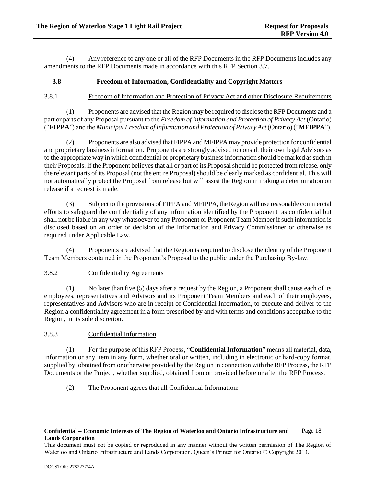(4) Any reference to any one or all of the RFP Documents in the RFP Documents includes any amendments to the RFP Documents made in accordance with this RFP Section [3.7.](#page-22-0)

# <span id="page-23-0"></span>**3.8 Freedom of Information, Confidentiality and Copyright Matters**

## <span id="page-23-1"></span>3.8.1 Freedom of Information and Protection of Privacy Act and other Disclosure Requirements

(1) Proponents are advised that the Region may be required to disclose the RFP Documents and a part or parts of any Proposal pursuant to the *Freedom of Information and Protection of Privacy Act* (Ontario) ("**FIPPA**") and the *Municipal Freedom of Information and Protection of Privacy Act* (Ontario) ("**MFIPPA**").

(2) Proponents are also advised that FIPPA and MFIPPA may provide protection for confidential and proprietary business information. Proponents are strongly advised to consult their own legal Advisors as to the appropriate way in which confidential or proprietary business information should be marked as such in their Proposals. If the Proponent believes that all or part of its Proposal should be protected from release, only the relevant parts of its Proposal (not the entire Proposal) should be clearly marked as confidential. This will not automatically protect the Proposal from release but will assist the Region in making a determination on release if a request is made.

(3) Subject to the provisions of FIPPA and MFIPPA, the Region will use reasonable commercial efforts to safeguard the confidentiality of any information identified by the Proponent as confidential but shall not be liable in any way whatsoever to any Proponent or Proponent Team Member if such information is disclosed based on an order or decision of the Information and Privacy Commissioner or otherwise as required under Applicable Law.

(4) Proponents are advised that the Region is required to disclose the identity of the Proponent Team Members contained in the Proponent's Proposal to the public under the Purchasing By-law.

# <span id="page-23-2"></span>3.8.2 Confidentiality Agreements

(1) No later than five (5) days after a request by the Region, a Proponent shall cause each of its employees, representatives and Advisors and its Proponent Team Members and each of their employees, representatives and Advisors who are in receipt of Confidential Information, to execute and deliver to the Region a confidentiality agreement in a form prescribed by and with terms and conditions acceptable to the Region, in its sole discretion.

# <span id="page-23-3"></span>3.8.3 Confidential Information

(1) For the purpose of this RFP Process, "**Confidential Information**" means all material, data, information or any item in any form, whether oral or written, including in electronic or hard-copy format, supplied by, obtained from or otherwise provided by the Region in connection with the RFP Process, the RFP Documents or the Project, whether supplied, obtained from or provided before or after the RFP Process.

(2) The Proponent agrees that all Confidential Information:

### **Confidential – Economic Interests of The Region of Waterloo and Ontario Infrastructure and Lands Corporation** Page 18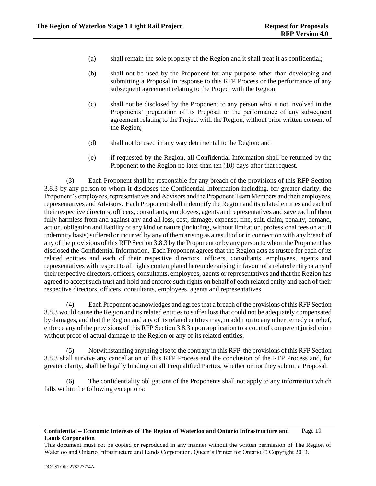- (a) shall remain the sole property of the Region and it shall treat it as confidential;
- (b) shall not be used by the Proponent for any purpose other than developing and submitting a Proposal in response to this RFP Process or the performance of any subsequent agreement relating to the Project with the Region;
- (c) shall not be disclosed by the Proponent to any person who is not involved in the Proponents' preparation of its Proposal or the performance of any subsequent agreement relating to the Project with the Region, without prior written consent of the Region;
- (d) shall not be used in any way detrimental to the Region; and
- (e) if requested by the Region, all Confidential Information shall be returned by the Proponent to the Region no later than ten (10) days after that request.

(3) Each Proponent shall be responsible for any breach of the provisions of this RFP Section [3.8.3](#page-23-3) by any person to whom it discloses the Confidential Information including, for greater clarity, the Proponent's employees, representatives and Advisors and the Proponent Team Members and their employees, representatives and Advisors. Each Proponent shall indemnify the Region and its related entities and each of their respective directors, officers, consultants, employees, agents and representatives and save each of them fully harmless from and against any and all loss, cost, damage, expense, fine, suit, claim, penalty, demand, action, obligation and liability of any kind or nature (including, without limitation, professional fees on a full indemnity basis) suffered or incurred by any of them arising as a result of or in connection with any breach of any of the provisions of this RFP Sectio[n 3.8.3](#page-23-3) by the Proponent or by any person to whom the Proponent has disclosed the Confidential Information. Each Proponent agrees that the Region acts as trustee for each of its related entities and each of their respective directors, officers, consultants, employees, agents and representatives with respect to all rights contemplated hereunder arising in favour of a related entity or any of their respective directors, officers, consultants, employees, agents or representatives and that the Region has agreed to accept such trust and hold and enforce such rights on behalf of each related entity and each of their respective directors, officers, consultants, employees, agents and representatives.

(4) Each Proponent acknowledges and agrees that a breach of the provisions of this RFP Section [3.8.3](#page-23-3) would cause the Region and its related entities to suffer loss that could not be adequately compensated by damages, and that the Region and any of its related entities may, in addition to any other remedy or relief, enforce any of the provisions of this RFP Sectio[n 3.8.3](#page-23-3) upon application to a court of competent jurisdiction without proof of actual damage to the Region or any of its related entities.

(5) Notwithstanding anything else to the contrary in this RFP, the provisions of this RFP Section [3.8.3](#page-23-3) shall survive any cancellation of this RFP Process and the conclusion of the RFP Process and, for greater clarity, shall be legally binding on all Prequalified Parties, whether or not they submit a Proposal.

(6) The confidentiality obligations of the Proponents shall not apply to any information which falls within the following exceptions:

This document must not be copied or reproduced in any manner without the written permission of The Region of Waterloo and Ontario Infrastructure and Lands Corporation. Queen's Printer for Ontario © Copyright 2013.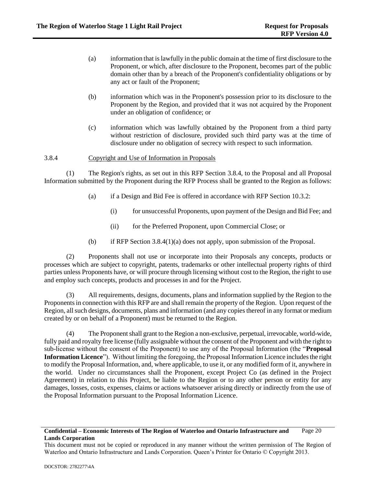- (a) information that is lawfully in the public domain at the time of first disclosure to the Proponent, or which, after disclosure to the Proponent, becomes part of the public domain other than by a breach of the Proponent's confidentiality obligations or by any act or fault of the Proponent;
- (b) information which was in the Proponent's possession prior to its disclosure to the Proponent by the Region, and provided that it was not acquired by the Proponent under an obligation of confidence; or
- (c) information which was lawfully obtained by the Proponent from a third party without restriction of disclosure, provided such third party was at the time of disclosure under no obligation of secrecy with respect to such information.

### <span id="page-25-0"></span>3.8.4 Copyright and Use of Information in Proposals

<span id="page-25-1"></span>(1) The Region's rights, as set out in this RFP Section [3.8.4,](#page-25-0) to the Proposal and all Proposal Information submitted by the Proponent during the RFP Process shall be granted to the Region as follows:

- (a) if a Design and Bid Fee is offered in accordance with RFP Section 10.3.2:
	- (i) for unsuccessful Proponents, upon payment of the Design and Bid Fee; and
	- (ii) for the Preferred Proponent, upon Commercial Close; or
- (b) if RFP Section [3.8.4\(1\)\(a\)](#page-25-1) does not apply, upon submission of the Proposal.

(2) Proponents shall not use or incorporate into their Proposals any concepts, products or processes which are subject to copyright, patents, trademarks or other intellectual property rights of third parties unless Proponents have, or will procure through licensing without cost to the Region, the right to use and employ such concepts, products and processes in and for the Project.

(3) All requirements, designs, documents, plans and information supplied by the Region to the Proponents in connection with this RFP are and shall remain the property of the Region. Upon request of the Region, all such designs, documents, plans and information (and any copies thereof in any format or medium created by or on behalf of a Proponent) must be returned to the Region.

The Proponent shall grant to the Region a non-exclusive, perpetual, irrevocable, world-wide, fully paid and royalty free license (fully assignable without the consent of the Proponent and with the right to sub-license without the consent of the Proponent) to use any of the Proposal Information (the "**Proposal Information Licence**"). Without limiting the foregoing, the Proposal Information Licence includes the right to modify the Proposal Information, and, where applicable, to use it, or any modified form of it, anywhere in the world. Under no circumstances shall the Proponent, except Project Co (as defined in the Project Agreement) in relation to this Project, be liable to the Region or to any other person or entity for any damages, losses, costs, expenses, claims or actions whatsoever arising directly or indirectly from the use of the Proposal Information pursuant to the Proposal Information Licence.

This document must not be copied or reproduced in any manner without the written permission of The Region of Waterloo and Ontario Infrastructure and Lands Corporation. Queen's Printer for Ontario © Copyright 2013.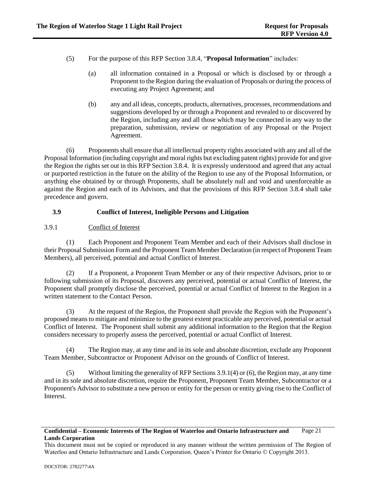- (5) For the purpose of this RFP Section [3.8.4,](#page-25-0) "**Proposal Information**" includes:
	- (a) all information contained in a Proposal or which is disclosed by or through a Proponent to the Region during the evaluation of Proposals or during the process of executing any Project Agreement; and
	- (b) any and all ideas, concepts, products, alternatives, processes, recommendations and suggestions developed by or through a Proponent and revealed to or discovered by the Region, including any and all those which may be connected in any way to the preparation, submission, review or negotiation of any Proposal or the Project Agreement.

(6) Proponents shall ensure that all intellectual property rights associated with any and all of the Proposal Information (including copyright and moral rights but excluding patent rights) provide for and give the Region the rights set out in this RFP Section 3.8.4. It is expressly understood and agreed that any actual or purported restriction in the future on the ability of the Region to use any of the Proposal Information, or anything else obtained by or through Proponents, shall be absolutely null and void and unenforceable as against the Region and each of its Advisors, and that the provisions of this RFP Section 3.8.4 shall take precedence and govern.

# <span id="page-26-0"></span>**3.9 Conflict of Interest, Ineligible Persons and Litigation**

# <span id="page-26-1"></span>3.9.1 Conflict of Interest

(1) Each Proponent and Proponent Team Member and each of their Advisors shall disclose in their Proposal Submission Form and the Proponent Team Member Declaration (in respect of Proponent Team Members), all perceived, potential and actual Conflict of Interest.

(2) If a Proponent, a Proponent Team Member or any of their respective Advisors, prior to or following submission of its Proposal, discovers any perceived, potential or actual Conflict of Interest, the Proponent shall promptly disclose the perceived, potential or actual Conflict of Interest to the Region in a written statement to the Contact Person.

(3) At the request of the Region, the Proponent shall provide the Region with the Proponent's proposed means to mitigate and minimize to the greatest extent practicable any perceived, potential or actual Conflict of Interest. The Proponent shall submit any additional information to the Region that the Region considers necessary to properly assess the perceived, potential or actual Conflict of Interest.

<span id="page-26-2"></span>(4) The Region may, at any time and in its sole and absolute discretion, exclude any Proponent Team Member, Subcontractor or Proponent Advisor on the grounds of Conflict of Interest.

(5) Without limiting the generality of RFP Section[s 3.9.1\(4\)](#page-26-2) o[r \(6\),](#page-27-1) the Region may, at any time and in its sole and absolute discretion, require the Proponent, Proponent Team Member, Subcontractor or a Proponent's Advisor to substitute a new person or entity for the person or entity giving rise to the Conflict of Interest.

### **Confidential – Economic Interests of The Region of Waterloo and Ontario Infrastructure and Lands Corporation** Page 21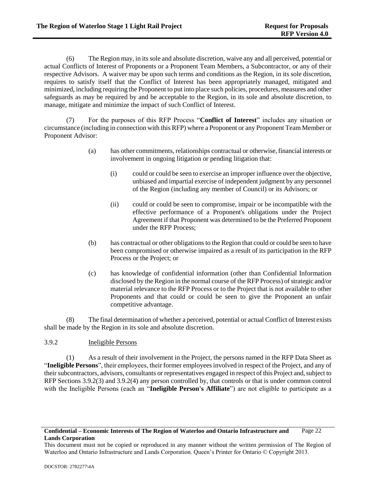<span id="page-27-1"></span>(6) The Region may, in its sole and absolute discretion, waive any and all perceived, potential or actual Conflicts of Interest of Proponents or a Proponent Team Members, a Subcontractor, or any of their respective Advisors. A waiver may be upon such terms and conditions as the Region, in its sole discretion, requires to satisfy itself that the Conflict of Interest has been appropriately managed, mitigated and minimized, including requiring the Proponent to put into place such policies, procedures, measures and other safeguards as may be required by and be acceptable to the Region, in its sole and absolute discretion, to manage, mitigate and minimize the impact of such Conflict of Interest.

(7) For the purposes of this RFP Process "**Conflict of Interest**" includes any situation or circumstance (including in connection with this RFP) where a Proponent or any Proponent Team Member or Proponent Advisor:

- (a) has other commitments, relationships contractual or otherwise, financial interests or involvement in ongoing litigation or pending litigation that:
	- (i) could or could be seen to exercise an improper influence over the objective, unbiased and impartial exercise of independent judgment by any personnel of the Region (including any member of Council) or its Advisors; or
	- (ii) could or could be seen to compromise, impair or be incompatible with the effective performance of a Proponent's obligations under the Project Agreement if that Proponent was determined to be the Preferred Proponent under the RFP Process;
- (b) has contractual or other obligations to the Region that could or could be seen to have been compromised or otherwise impaired as a result of its participation in the RFP Process or the Project; or
- (c) has knowledge of confidential information (other than Confidential Information disclosed by the Region in the normal course of the RFP Process) of strategic and/or material relevance to the RFP Process or to the Project that is not available to other Proponents and that could or could be seen to give the Proponent an unfair competitive advantage.

(8) The final determination of whether a perceived, potential or actual Conflict of Interest exists shall be made by the Region in its sole and absolute discretion.

# <span id="page-27-0"></span>3.9.2 Ineligible Persons

(1) As a result of their involvement in the Project, the persons named in the RFP Data Sheet as "**Ineligible Persons**", their employees, their former employees involved in respect of the Project, and any of their subcontractors, advisors, consultants or representatives engaged in respect of this Project and, subject to RFP Sections [3.9.2\(3\)](#page-28-1) and [3.9.2\(4\)](#page-28-2) any person controlled by, that controls or that is under common control with the Ineligible Persons (each an "**Ineligible Person's Affiliate**") are not eligible to participate as a

This document must not be copied or reproduced in any manner without the written permission of The Region of Waterloo and Ontario Infrastructure and Lands Corporation. Queen's Printer for Ontario © Copyright 2013.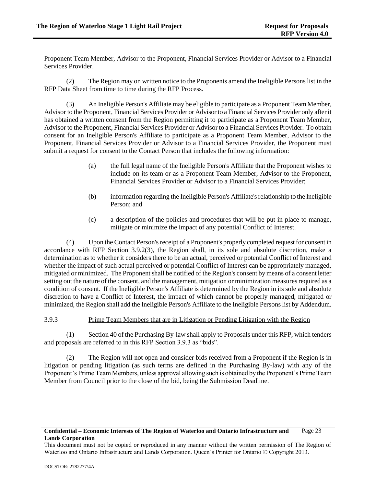Proponent Team Member, Advisor to the Proponent, Financial Services Provider or Advisor to a Financial Services Provider.

(2) The Region may on written notice to the Proponents amend the Ineligible Persons list in the RFP Data Sheet from time to time during the RFP Process.

<span id="page-28-1"></span>(3) An Ineligible Person's Affiliate may be eligible to participate as a Proponent Team Member, Advisor to the Proponent, Financial Services Provider or Advisor to a Financial Services Provider only after it has obtained a written consent from the Region permitting it to participate as a Proponent Team Member, Advisor to the Proponent, Financial Services Provider or Advisor to a Financial Services Provider. To obtain consent for an Ineligible Person's Affiliate to participate as a Proponent Team Member, Advisor to the Proponent, Financial Services Provider or Advisor to a Financial Services Provider, the Proponent must submit a request for consent to the Contact Person that includes the following information:

- (a) the full legal name of the Ineligible Person's Affiliate that the Proponent wishes to include on its team or as a Proponent Team Member, Advisor to the Proponent, Financial Services Provider or Advisor to a Financial Services Provider;
- (b) information regarding the Ineligible Person's Affiliate's relationship to the Ineligible Person; and
- (c) a description of the policies and procedures that will be put in place to manage, mitigate or minimize the impact of any potential Conflict of Interest.

<span id="page-28-2"></span>(4) Upon the Contact Person's receipt of a Proponent's properly completed request for consent in accordance with RFP Section [3.9.2\(3\),](#page-28-1) the Region shall, in its sole and absolute discretion, make a determination as to whether it considers there to be an actual, perceived or potential Conflict of Interest and whether the impact of such actual perceived or potential Conflict of Interest can be appropriately managed, mitigated or minimized. The Proponent shall be notified of the Region's consent by means of a consent letter setting out the nature of the consent, and the management, mitigation or minimization measures required as a condition of consent. If the Ineligible Person's Affiliate is determined by the Region in its sole and absolute discretion to have a Conflict of Interest, the impact of which cannot be properly managed, mitigated or minimized, the Region shall add the Ineligible Person's Affiliate to the Ineligible Persons list by Addendum.

### <span id="page-28-0"></span>3.9.3 Prime Team Members that are in Litigation or Pending Litigation with the Region

(1) Section 40 of the Purchasing By-law shall apply to Proposals under this RFP, which tenders and proposals are referred to in this RFP Section 3.9.3 as "bids".

(2) The Region will not open and consider bids received from a Proponent if the Region is in litigation or pending litigation (as such terms are defined in the Purchasing By-law) with any of the Proponent's Prime Team Members, unless approval allowing such is obtained by the Proponent's Prime Team Member from Council prior to the close of the bid, being the Submission Deadline.

This document must not be copied or reproduced in any manner without the written permission of The Region of Waterloo and Ontario Infrastructure and Lands Corporation. Queen's Printer for Ontario © Copyright 2013.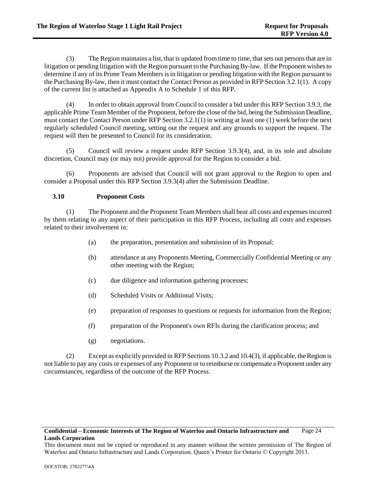(3) The Region maintains a list, that is updated from time to time, that sets out persons that are in litigation or pending litigation with the Region pursuant to the Purchasing By-law. If the Proponent wishes to determine if any of its Prime Team Members is in litigation or pending litigation with the Region pursuant to the Purchasing By-law, then it must contact the Contact Person as provided in RFP Sectio[n 3.2.1\(1\).](#page-12-3) A copy of the current list is attached as Appendix A to Schedule 1 of this RFP.

<span id="page-29-1"></span>(4) In order to obtain approval from Council to consider a bid under this RFP Sectio[n 3.9.3,](#page-28-0) the applicable Prime Team Member of the Proponent, before the close of the bid, being the Submission Deadline, must contact the Contact Person under RFP Section [3.2.1\(1\)](#page-12-3) in writing at least one (1) week before the next regularly scheduled Council meeting, setting out the request and any grounds to support the request. The request will then be presented to Council for its consideration.

(5) Council will review a request under RFP Section [3.9.3\(4\),](#page-29-1) and, in its sole and absolute discretion, Council may (or may not) provide approval for the Region to consider a bid.

(6) Proponents are advised that Council will not grant approval to the Region to open and consider a Proposal under this RFP Section [3.9.3\(4\)](#page-29-1) after the Submission Deadline.

# <span id="page-29-0"></span>**3.10 Proponent Costs**

<span id="page-29-2"></span>(1) The Proponent and the Proponent Team Members shall bear all costs and expenses incurred by them relating to any aspect of their participation in this RFP Process, including all costs and expenses related to their involvement in:

- (a) the preparation, presentation and submission of its Proposal;
- (b) attendance at any Proponents Meeting, Commercially Confidential Meeting or any other meeting with the Region;
- (c) due diligence and information gathering processes;
- (d) Scheduled Visits or Additional Visits;
- (e) preparation of responses to questions or requests for information from the Region;
- (f) preparation of the Proponent's own RFIs during the clarification process; and
- (g) negotiations.

<span id="page-29-3"></span>(2) Except as explicitly provided in RFP Section[s 10.3.2](#page-64-2) an[d 10.4\(3\),](#page-66-3) if applicable, the Region is not liable to pay any costs or expenses of any Proponent or to reimburse or compensate a Proponent under any circumstances, regardless of the outcome of the RFP Process.

### **Confidential – Economic Interests of The Region of Waterloo and Ontario Infrastructure and Lands Corporation** Page 24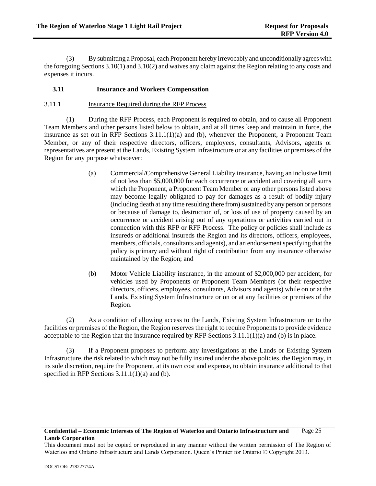(3) By submitting a Proposal, each Proponent hereby irrevocably and unconditionally agrees with the foregoing Section[s 3.10\(1\)](#page-29-2) and [3.10\(2\)](#page-29-3) and waives any claim against the Region relating to any costs and expenses it incurs.

# <span id="page-30-0"></span>**3.11 Insurance and Workers Compensation**

## <span id="page-30-1"></span>3.11.1 Insurance Required during the RFP Process

(1) During the RFP Process, each Proponent is required to obtain, and to cause all Proponent Team Members and other persons listed below to obtain, and at all times keep and maintain in force, the insurance as set out in RFP Sections [3.11.1\(1\)\(a\)](#page-30-2) and [\(b\),](#page-30-3) whenever the Proponent, a Proponent Team Member, or any of their respective directors, officers, employees, consultants, Advisors, agents or representatives are present at the Lands, Existing System Infrastructure or at any facilities or premises of the Region for any purpose whatsoever:

- <span id="page-30-2"></span>(a) Commercial/Comprehensive General Liability insurance, having an inclusive limit of not less than \$5,000,000 for each occurrence or accident and covering all sums which the Proponent, a Proponent Team Member or any other persons listed above may become legally obligated to pay for damages as a result of bodily injury (including death at any time resulting there from) sustained by any person or persons or because of damage to, destruction of, or loss of use of property caused by an occurrence or accident arising out of any operations or activities carried out in connection with this RFP or RFP Process. The policy or policies shall include as insureds or additional insureds the Region and its directors, officers, employees, members, officials, consultants and agents), and an endorsement specifying that the policy is primary and without right of contribution from any insurance otherwise maintained by the Region; and
- <span id="page-30-3"></span>(b) Motor Vehicle Liability insurance, in the amount of \$2,000,000 per accident, for vehicles used by Proponents or Proponent Team Members (or their respective directors, officers, employees, consultants, Advisors and agents) while on or at the Lands, Existing System Infrastructure or on or at any facilities or premises of the Region.

(2) As a condition of allowing access to the Lands, Existing System Infrastructure or to the facilities or premises of the Region, the Region reserves the right to require Proponents to provide evidence acceptable to the Region that the insurance required by RFP Sections  $3.11.1(1)(a)$  and [\(b\)](#page-30-3) is in place.

(3) If a Proponent proposes to perform any investigations at the Lands or Existing System Infrastructure, the risk related to which may not be fully insured under the above policies, the Region may, in its sole discretion, require the Proponent, at its own cost and expense, to obtain insurance additional to that specified in RFP Sections [3.11.1\(1\)\(a\)](#page-30-2) and [\(b\).](#page-30-3)

This document must not be copied or reproduced in any manner without the written permission of The Region of Waterloo and Ontario Infrastructure and Lands Corporation. Queen's Printer for Ontario © Copyright 2013.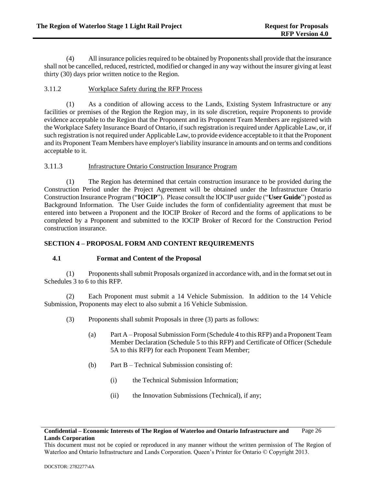(4) All insurance policies required to be obtained by Proponents shall provide that the insurance shall not be cancelled, reduced, restricted, modified or changed in any way without the insurer giving at least thirty (30) days prior written notice to the Region.

# <span id="page-31-0"></span>3.11.2 Workplace Safety during the RFP Process

(1) As a condition of allowing access to the Lands, Existing System Infrastructure or any facilities or premises of the Region the Region may, in its sole discretion, require Proponents to provide evidence acceptable to the Region that the Proponent and its Proponent Team Members are registered with the Workplace Safety Insurance Board of Ontario, if such registration is required under Applicable Law, or, if such registration is not required under Applicable Law, to provide evidence acceptable to it that the Proponent and its Proponent Team Members have employer's liability insurance in amounts and on terms and conditions acceptable to it.

# <span id="page-31-1"></span>3.11.3 Infrastructure Ontario Construction Insurance Program

(1) The Region has determined that certain construction insurance to be provided during the Construction Period under the Project Agreement will be obtained under the Infrastructure Ontario Construction Insurance Program ("**IOCIP**"). Please consult the IOCIP user guide ("**User Guide**") posted as Background Information. The User Guide includes the form of confidentiality agreement that must be entered into between a Proponent and the IOCIP Broker of Record and the forms of applications to be completed by a Proponent and submitted to the IOCIP Broker of Record for the Construction Period construction insurance.

# <span id="page-31-2"></span>**SECTION 4 – PROPOSAL FORM AND CONTENT REQUIREMENTS**

# <span id="page-31-3"></span>**4.1 Format and Content of the Proposal**

(1) Proponents shall submit Proposals organized in accordance with, and in the format set out in Schedules 3 to 6 to this RFP.

(2) Each Proponent must submit a 14 Vehicle Submission. In addition to the 14 Vehicle Submission, Proponents may elect to also submit a 16 Vehicle Submission.

- (3) Proponents shall submit Proposals in three (3) parts as follows:
	- (a) Part A Proposal Submission Form (Schedule 4 to this RFP) and a Proponent Team Member Declaration (Schedule 5 to this RFP) and Certificate of Officer (Schedule 5A to this RFP) for each Proponent Team Member;
	- (b) Part B Technical Submission consisting of:
		- (i) the Technical Submission Information;
		- (ii) the Innovation Submissions (Technical), if any;

**Confidential – Economic Interests of The Region of Waterloo and Ontario Infrastructure and Lands Corporation** Page 26

This document must not be copied or reproduced in any manner without the written permission of The Region of Waterloo and Ontario Infrastructure and Lands Corporation. Queen's Printer for Ontario © Copyright 2013.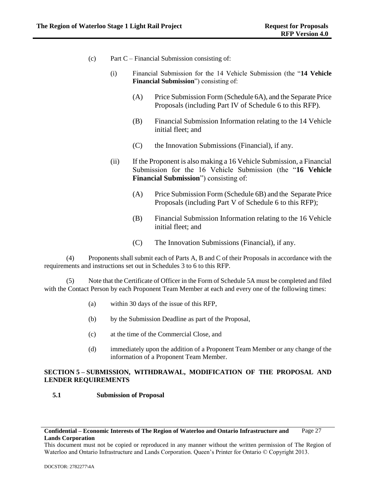- (c) Part C Financial Submission consisting of:
	- (i) Financial Submission for the 14 Vehicle Submission (the "**14 Vehicle Financial Submission**") consisting of:
		- (A) Price Submission Form (Schedule 6A), and the Separate Price Proposals (including Part IV of Schedule 6 to this RFP).
		- (B) Financial Submission Information relating to the 14 Vehicle initial fleet; and
		- (C) the Innovation Submissions (Financial), if any.
	- (ii) If the Proponent is also making a 16 Vehicle Submission, a Financial Submission for the 16 Vehicle Submission (the "**16 Vehicle Financial Submission**") consisting of:
		- (A) Price Submission Form (Schedule 6B) and the Separate Price Proposals (including Part V of Schedule 6 to this RFP);
		- (B) Financial Submission Information relating to the 16 Vehicle initial fleet; and
		- (C) The Innovation Submissions (Financial), if any.

(4) Proponents shall submit each of Parts A, B and C of their Proposals in accordance with the requirements and instructions set out in Schedules 3 to 6 to this RFP.

(5) Note that the Certificate of Officer in the Form of Schedule 5A must be completed and filed with the Contact Person by each Proponent Team Member at each and every one of the following times:

- (a) within 30 days of the issue of this RFP,
- (b) by the Submission Deadline as part of the Proposal,
- (c) at the time of the Commercial Close, and
- (d) immediately upon the addition of a Proponent Team Member or any change of the information of a Proponent Team Member.

# <span id="page-32-0"></span>**SECTION 5 – SUBMISSION, WITHDRAWAL, MODIFICATION OF THE PROPOSAL AND LENDER REQUIREMENTS**

# <span id="page-32-1"></span>**5.1 Submission of Proposal**

### **Confidential – Economic Interests of The Region of Waterloo and Ontario Infrastructure and Lands Corporation** Page 27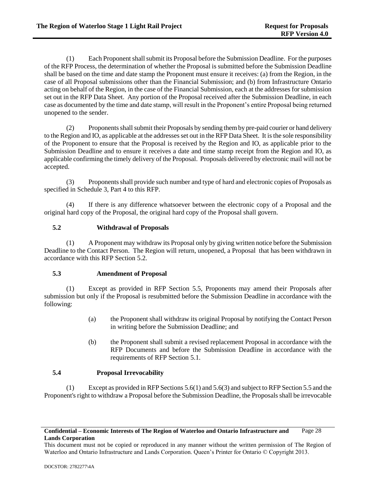(1) Each Proponent shall submit its Proposal before the Submission Deadline. For the purposes of the RFP Process, the determination of whether the Proposal is submitted before the Submission Deadline shall be based on the time and date stamp the Proponent must ensure it receives: (a) from the Region, in the case of all Proposal submissions other than the Financial Submission; and (b) from Infrastructure Ontario acting on behalf of the Region, in the case of the Financial Submission, each at the addresses for submission set out in the RFP Data Sheet. Any portion of the Proposal received after the Submission Deadline, in each case as documented by the time and date stamp, will result in the Proponent's entire Proposal being returned unopened to the sender.

(2) Proponents shall submit their Proposals by sending them by pre-paid courier or hand delivery to the Region and IO, as applicable at the addresses set out in the RFP Data Sheet. It is the sole responsibility of the Proponent to ensure that the Proposal is received by the Region and IO, as applicable prior to the Submission Deadline and to ensure it receives a date and time stamp receipt from the Region and IO, as applicable confirming the timely delivery of the Proposal. Proposals delivered by electronic mail will not be accepted.

(3) Proponents shall provide such number and type of hard and electronic copies of Proposals as specified in Schedule 3, Part 4 to this RFP.

(4) If there is any difference whatsoever between the electronic copy of a Proposal and the original hard copy of the Proposal, the original hard copy of the Proposal shall govern.

# <span id="page-33-0"></span>**5.2 Withdrawal of Proposals**

(1) A Proponent may withdraw its Proposal only by giving written notice before the Submission Deadline to the Contact Person. The Region will return, unopened, a Proposal that has been withdrawn in accordance with this RFP Section [5.2.](#page-33-0)

# <span id="page-33-1"></span>**5.3 Amendment of Proposal**

(1) Except as provided in RFP Section [5.5,](#page-34-0) Proponents may amend their Proposals after submission but only if the Proposal is resubmitted before the Submission Deadline in accordance with the following:

- (a) the Proponent shall withdraw its original Proposal by notifying the Contact Person in writing before the Submission Deadline; and
- (b) the Proponent shall submit a revised replacement Proposal in accordance with the RFP Documents and before the Submission Deadline in accordance with the requirements of RFP Section [5.1.](#page-32-1)

# <span id="page-33-2"></span>**5.4 Proposal Irrevocability**

(1) Except as provided in RFP Section[s 5.6\(1\)](#page-47-1) an[d 5.6\(3\)](#page-48-1) and subject to RFP Sectio[n 5.5](#page-34-0) and the Proponent's right to withdraw a Proposal before the Submission Deadline, the Proposals shall be irrevocable

This document must not be copied or reproduced in any manner without the written permission of The Region of Waterloo and Ontario Infrastructure and Lands Corporation. Queen's Printer for Ontario © Copyright 2013.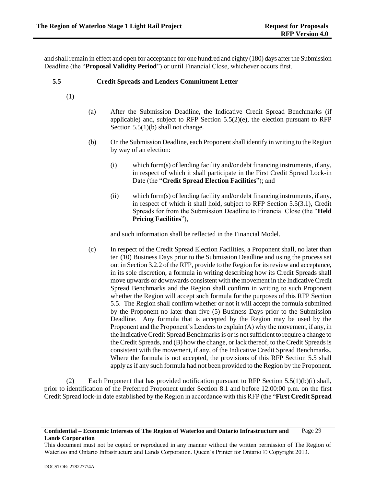and shall remain in effect and open for acceptance for one hundred and eighty (180) days after the Submission Deadline (the "**Proposal Validity Period**") or until Financial Close, whichever occurs first.

## <span id="page-34-0"></span>**5.5 Credit Spreads and Lenders Commitment Letter**

- (1)
- (a) After the Submission Deadline, the Indicative Credit Spread Benchmarks (if applicable) and, subject to RFP Section  $5.5(2)(e)$ , the election pursuant to RFP Sectio[n 5.5\(1\)\(b\)](#page-34-1) shall not change.
- <span id="page-34-2"></span><span id="page-34-1"></span>(b) On the Submission Deadline, each Proponent shall identify in writing to the Region by way of an election:
	- (i) which form(s) of lending facility and/or debt financing instruments, if any, in respect of which it shall participate in the First Credit Spread Lock-in Date (the "**Credit Spread Election Facilities**"); and
	- (ii) which form(s) of lending facility and/or debt financing instruments, if any, in respect of which it shall hold, subject to RFP Section 5.5(3.1), Credit Spreads for from the Submission Deadline to Financial Close (the "**Held Pricing Facilities**"),

and such information shall be reflected in the Financial Model.

(c) In respect of the Credit Spread Election Facilities, a Proponent shall, no later than ten (10) Business Days prior to the Submission Deadline and using the process set out in Sectio[n 3.2.2](#page-12-2) of the RFP, provide to the Region for its review and acceptance, in its sole discretion, a formula in writing describing how its Credit Spreads shall move upwards or downwards consistent with the movement in the Indicative Credit Spread Benchmarks and the Region shall confirm in writing to such Proponent whether the Region will accept such formula for the purposes of this RFP Section [5.5.](#page-34-0) The Region shall confirm whether or not it will accept the formula submitted by the Proponent no later than five (5) Business Days prior to the Submission Deadline. Any formula that is accepted by the Region may be used by the Proponent and the Proponent's Lenders to explain (A) why the movement, if any, in the Indicative Credit Spread Benchmarks is or is not sufficient to require a change to the Credit Spreads, and (B) how the change, or lack thereof, to the Credit Spreads is consistent with the movement, if any, of the Indicative Credit Spread Benchmarks. Where the formula is not accepted, the provisions of this RFP Section [5.5](#page-34-0) shall apply as if any such formula had not been provided to the Region by the Proponent.

(2) Each Proponent that has provided notification pursuant to RFP Section [5.5\(1\)\(b\)\(i\)](#page-34-2) shall, prior to identification of the Preferred Proponent under Section [8.1](#page-57-1) and before 12:00:00 p.m. on the first Credit Spread lock-in date established by the Region in accordance with this RFP (the "**First Credit Spread** 

This document must not be copied or reproduced in any manner without the written permission of The Region of Waterloo and Ontario Infrastructure and Lands Corporation. Queen's Printer for Ontario © Copyright 2013.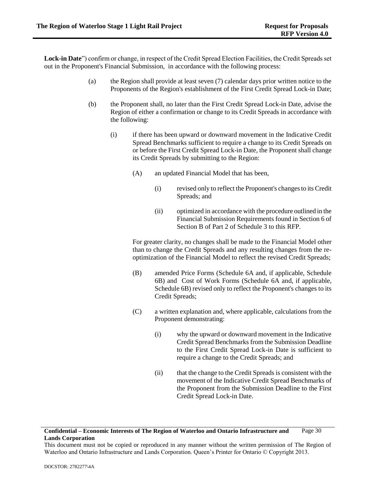**Lock-in Date**") confirm or change, in respect of the Credit Spread Election Facilities, the Credit Spreads set out in the Proponent's Financial Submission, in accordance with the following process:

- (a) the Region shall provide at least seven (7) calendar days prior written notice to the Proponents of the Region's establishment of the First Credit Spread Lock-in Date;
- (b) the Proponent shall, no later than the First Credit Spread Lock-in Date, advise the Region of either a confirmation or change to its Credit Spreads in accordance with the following:
	- (i) if there has been upward or downward movement in the Indicative Credit Spread Benchmarks sufficient to require a change to its Credit Spreads on or before the First Credit Spread Lock-in Date, the Proponent shall change its Credit Spreads by submitting to the Region:
		- (A) an updated Financial Model that has been,
			- (i) revised only to reflect the Proponent's changes to its Credit Spreads; and
			- (ii) optimized in accordance with the procedure outlined in the Financial Submission Requirements found in Section 6 of Section B of Part 2 of Schedule 3 to this RFP.

For greater clarity, no changes shall be made to the Financial Model other than to change the Credit Spreads and any resulting changes from the reoptimization of the Financial Model to reflect the revised Credit Spreads;

- (B) amended Price Forms (Schedule 6A and, if applicable, Schedule 6B) and Cost of Work Forms (Schedule 6A and, if applicable, Schedule 6B) revised only to reflect the Proponent's changes to its Credit Spreads;
- (C) a written explanation and, where applicable, calculations from the Proponent demonstrating:
	- (i) why the upward or downward movement in the Indicative Credit Spread Benchmarks from the Submission Deadline to the First Credit Spread Lock-in Date is sufficient to require a change to the Credit Spreads; and
	- (ii) that the change to the Credit Spreads is consistent with the movement of the Indicative Credit Spread Benchmarks of the Proponent from the Submission Deadline to the First Credit Spread Lock-in Date.

### **Confidential – Economic Interests of The Region of Waterloo and Ontario Infrastructure and Lands Corporation** Page 30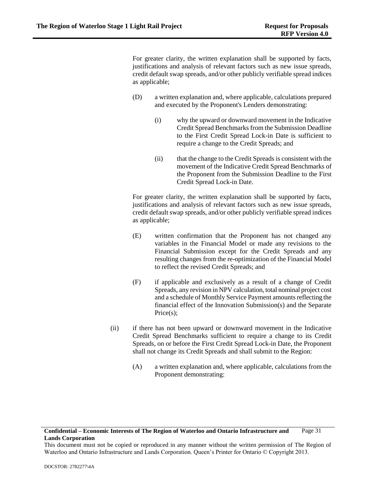For greater clarity, the written explanation shall be supported by facts, justifications and analysis of relevant factors such as new issue spreads, credit default swap spreads, and/or other publicly verifiable spread indices as applicable;

- (D) a written explanation and, where applicable, calculations prepared and executed by the Proponent's Lenders demonstrating:
	- (i) why the upward or downward movement in the Indicative Credit Spread Benchmarks from the Submission Deadline to the First Credit Spread Lock-in Date is sufficient to require a change to the Credit Spreads; and
	- (ii) that the change to the Credit Spreads is consistent with the movement of the Indicative Credit Spread Benchmarks of the Proponent from the Submission Deadline to the First Credit Spread Lock-in Date.

For greater clarity, the written explanation shall be supported by facts, justifications and analysis of relevant factors such as new issue spreads, credit default swap spreads, and/or other publicly verifiable spread indices as applicable;

- (E) written confirmation that the Proponent has not changed any variables in the Financial Model or made any revisions to the Financial Submission except for the Credit Spreads and any resulting changes from the re-optimization of the Financial Model to reflect the revised Credit Spreads; and
- (F) if applicable and exclusively as a result of a change of Credit Spreads, any revision in NPV calculation, total nominal project cost and a schedule of Monthly Service Payment amounts reflecting the financial effect of the Innovation Submission(s) and the Separate Price(s);
- <span id="page-36-0"></span>(ii) if there has not been upward or downward movement in the Indicative Credit Spread Benchmarks sufficient to require a change to its Credit Spreads, on or before the First Credit Spread Lock-in Date, the Proponent shall not change its Credit Spreads and shall submit to the Region:
	- (A) a written explanation and, where applicable, calculations from the Proponent demonstrating:

#### **Confidential – Economic Interests of The Region of Waterloo and Ontario Infrastructure and Lands Corporation** Page 31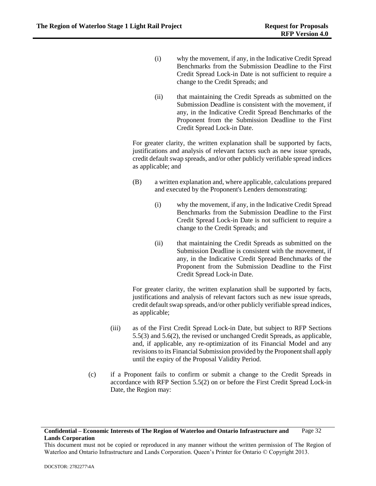- (i) why the movement, if any, in the Indicative Credit Spread Benchmarks from the Submission Deadline to the First Credit Spread Lock-in Date is not sufficient to require a change to the Credit Spreads; and
- (ii) that maintaining the Credit Spreads as submitted on the Submission Deadline is consistent with the movement, if any, in the Indicative Credit Spread Benchmarks of the Proponent from the Submission Deadline to the First Credit Spread Lock-in Date.

For greater clarity, the written explanation shall be supported by facts, justifications and analysis of relevant factors such as new issue spreads, credit default swap spreads, and/or other publicly verifiable spread indices as applicable; and

- (B) a written explanation and, where applicable, calculations prepared and executed by the Proponent's Lenders demonstrating:
	- (i) why the movement, if any, in the Indicative Credit Spread Benchmarks from the Submission Deadline to the First Credit Spread Lock-in Date is not sufficient to require a change to the Credit Spreads; and
	- (ii) that maintaining the Credit Spreads as submitted on the Submission Deadline is consistent with the movement, if any, in the Indicative Credit Spread Benchmarks of the Proponent from the Submission Deadline to the First Credit Spread Lock-in Date.

For greater clarity, the written explanation shall be supported by facts, justifications and analysis of relevant factors such as new issue spreads, credit default swap spreads, and/or other publicly verifiable spread indices, as applicable;

- (iii) as of the First Credit Spread Lock-in Date, but subject to RFP Sections [5.5\(3\)](#page-38-0) and [5.6\(2\),](#page-48-0) the revised or unchanged Credit Spreads, as applicable, and, if applicable, any re-optimization of its Financial Model and any revisions to its Financial Submission provided by the Proponent shall apply until the expiry of the Proposal Validity Period.
- (c) if a Proponent fails to confirm or submit a change to the Credit Spreads in accordance with RFP Section [5.5\(2\)](#page-34-0) on or before the First Credit Spread Lock-in Date, the Region may:

This document must not be copied or reproduced in any manner without the written permission of The Region of Waterloo and Ontario Infrastructure and Lands Corporation. Queen's Printer for Ontario © Copyright 2013.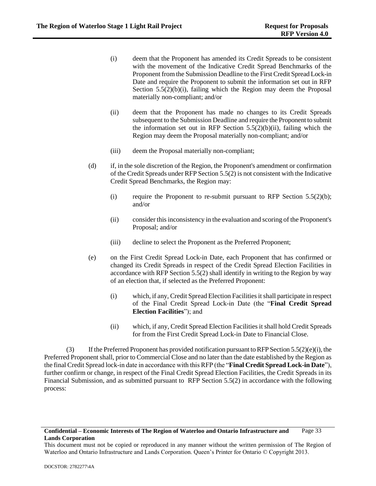- (i) deem that the Proponent has amended its Credit Spreads to be consistent with the movement of the Indicative Credit Spread Benchmarks of the Proponent from the Submission Deadline to the First Credit Spread Lock-in Date and require the Proponent to submit the information set out in RFP Section  $5.5(2)(b)(i)$ , failing which the Region may deem the Proposal materially non-compliant; and/or
- (ii) deem that the Proponent has made no changes to its Credit Spreads subsequent to the Submission Deadline and require the Proponent to submit the information set out in RFP Section  $5.5(2)(b)(ii)$ , failing which the Region may deem the Proposal materially non-compliant; and/or
- (iii) deem the Proposal materially non-compliant;
- (d) if, in the sole discretion of the Region, the Proponent's amendment or confirmation of the Credit Spreads under RFP Section [5.5\(2\)](#page-34-0) is not consistent with the Indicative Credit Spread Benchmarks, the Region may:
	- (i) require the Proponent to re-submit pursuant to RFP Section  $5.5(2)(b)$ ; and/or
	- (ii) consider this inconsistency in the evaluation and scoring of the Proponent's Proposal; and/or
	- (iii) decline to select the Proponent as the Preferred Proponent;
- <span id="page-38-2"></span>(e) on the First Credit Spread Lock-in Date, each Proponent that has confirmed or changed its Credit Spreads in respect of the Credit Spread Election Facilities in accordance with RFP Section [5.5\(2\)](#page-34-0) shall identify in writing to the Region by way of an election that, if selected as the Preferred Proponent:
	- (i) which, if any, Credit Spread Election Facilities it shall participate in respect of the Final Credit Spread Lock-in Date (the "**Final Credit Spread Election Facilities**"); and
	- (ii) which, if any, Credit Spread Election Facilities it shall hold Credit Spreads for from the First Credit Spread Lock-in Date to Financial Close.

<span id="page-38-1"></span><span id="page-38-0"></span>(3) If the Preferred Proponent has provided notification pursuant to RFP Sectio[n 5.5\(2\)\(e\)\(i\),](#page-38-1) the Preferred Proponent shall, prior to Commercial Close and no later than the date established by the Region as the final Credit Spread lock-in date in accordance with this RFP (the "**Final Credit Spread Lock-in Date**"), further confirm or change, in respect of the Final Credit Spread Election Facilities, the Credit Spreads in its Financial Submission, and as submitted pursuant to RFP Section [5.5\(2\)](#page-34-0) in accordance with the following process:

This document must not be copied or reproduced in any manner without the written permission of The Region of Waterloo and Ontario Infrastructure and Lands Corporation. Queen's Printer for Ontario © Copyright 2013.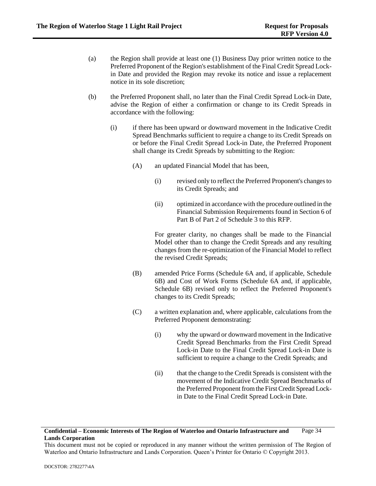- (a) the Region shall provide at least one (1) Business Day prior written notice to the Preferred Proponent of the Region's establishment of the Final Credit Spread Lockin Date and provided the Region may revoke its notice and issue a replacement notice in its sole discretion;
- <span id="page-39-0"></span>(b) the Preferred Proponent shall, no later than the Final Credit Spread Lock-in Date, advise the Region of either a confirmation or change to its Credit Spreads in accordance with the following:
	- (i) if there has been upward or downward movement in the Indicative Credit Spread Benchmarks sufficient to require a change to its Credit Spreads on or before the Final Credit Spread Lock-in Date, the Preferred Proponent shall change its Credit Spreads by submitting to the Region:
		- (A) an updated Financial Model that has been,
			- (i) revised only to reflect the Preferred Proponent's changes to its Credit Spreads; and
			- (ii) optimized in accordance with the procedure outlined in the Financial Submission Requirements found in Section 6 of Part B of Part 2 of Schedule 3 to this RFP.

For greater clarity, no changes shall be made to the Financial Model other than to change the Credit Spreads and any resulting changes from the re-optimization of the Financial Model to reflect the revised Credit Spreads;

- (B) amended Price Forms (Schedule 6A and, if applicable, Schedule 6B) and Cost of Work Forms (Schedule 6A and, if applicable, Schedule 6B) revised only to reflect the Preferred Proponent's changes to its Credit Spreads;
- (C) a written explanation and, where applicable, calculations from the Preferred Proponent demonstrating:
	- (i) why the upward or downward movement in the Indicative Credit Spread Benchmarks from the First Credit Spread Lock-in Date to the Final Credit Spread Lock-in Date is sufficient to require a change to the Credit Spreads; and
	- (ii) that the change to the Credit Spreads is consistent with the movement of the Indicative Credit Spread Benchmarks of the Preferred Proponent from the First Credit Spread Lockin Date to the Final Credit Spread Lock-in Date.

### **Confidential – Economic Interests of The Region of Waterloo and Ontario Infrastructure and Lands Corporation** Page 34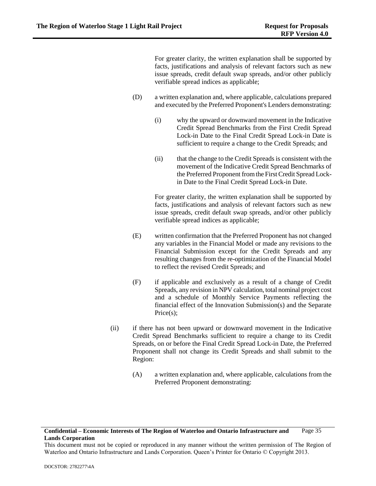For greater clarity, the written explanation shall be supported by facts, justifications and analysis of relevant factors such as new issue spreads, credit default swap spreads, and/or other publicly verifiable spread indices as applicable;

- (D) a written explanation and, where applicable, calculations prepared and executed by the Preferred Proponent's Lenders demonstrating:
	- (i) why the upward or downward movement in the Indicative Credit Spread Benchmarks from the First Credit Spread Lock-in Date to the Final Credit Spread Lock-in Date is sufficient to require a change to the Credit Spreads; and
	- (ii) that the change to the Credit Spreads is consistent with the movement of the Indicative Credit Spread Benchmarks of the Preferred Proponent from the First Credit Spread Lockin Date to the Final Credit Spread Lock-in Date.

For greater clarity, the written explanation shall be supported by facts, justifications and analysis of relevant factors such as new issue spreads, credit default swap spreads, and/or other publicly verifiable spread indices as applicable;

- (E) written confirmation that the Preferred Proponent has not changed any variables in the Financial Model or made any revisions to the Financial Submission except for the Credit Spreads and any resulting changes from the re-optimization of the Financial Model to reflect the revised Credit Spreads; and
- (F) if applicable and exclusively as a result of a change of Credit Spreads, any revision in NPV calculation, total nominal project cost and a schedule of Monthly Service Payments reflecting the financial effect of the Innovation Submission(s) and the Separate Price(s);
- <span id="page-40-0"></span>(ii) if there has not been upward or downward movement in the Indicative Credit Spread Benchmarks sufficient to require a change to its Credit Spreads, on or before the Final Credit Spread Lock-in Date, the Preferred Proponent shall not change its Credit Spreads and shall submit to the Region:
	- (A) a written explanation and, where applicable, calculations from the Preferred Proponent demonstrating:

#### **Confidential – Economic Interests of The Region of Waterloo and Ontario Infrastructure and Lands Corporation** Page 35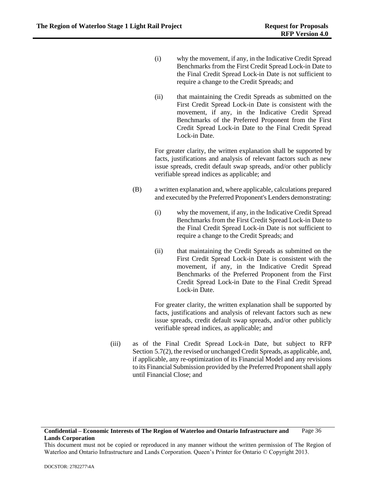- (i) why the movement, if any, in the Indicative Credit Spread Benchmarks from the First Credit Spread Lock-in Date to the Final Credit Spread Lock-in Date is not sufficient to require a change to the Credit Spreads; and
- (ii) that maintaining the Credit Spreads as submitted on the First Credit Spread Lock-in Date is consistent with the movement, if any, in the Indicative Credit Spread Benchmarks of the Preferred Proponent from the First Credit Spread Lock-in Date to the Final Credit Spread Lock-in Date.

For greater clarity, the written explanation shall be supported by facts, justifications and analysis of relevant factors such as new issue spreads, credit default swap spreads, and/or other publicly verifiable spread indices as applicable; and

- (B) a written explanation and, where applicable, calculations prepared and executed by the Preferred Proponent's Lenders demonstrating:
	- (i) why the movement, if any, in the Indicative Credit Spread Benchmarks from the First Credit Spread Lock-in Date to the Final Credit Spread Lock-in Date is not sufficient to require a change to the Credit Spreads; and
	- (ii) that maintaining the Credit Spreads as submitted on the First Credit Spread Lock-in Date is consistent with the movement, if any, in the Indicative Credit Spread Benchmarks of the Preferred Proponent from the First Credit Spread Lock-in Date to the Final Credit Spread Lock-in Date.

For greater clarity, the written explanation shall be supported by facts, justifications and analysis of relevant factors such as new issue spreads, credit default swap spreads, and/or other publicly verifiable spread indices, as applicable; and

(iii) as of the Final Credit Spread Lock-in Date, but subject to RFP Section [5.7\(2\),](#page-49-0) the revised or unchanged Credit Spreads, as applicable, and, if applicable, any re-optimization of its Financial Model and any revisions to its Financial Submission provided by the Preferred Proponent shall apply until Financial Close; and

This document must not be copied or reproduced in any manner without the written permission of The Region of Waterloo and Ontario Infrastructure and Lands Corporation. Queen's Printer for Ontario © Copyright 2013.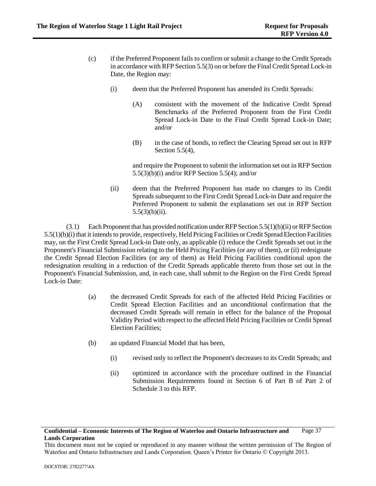- (c) if the Preferred Proponent fails to confirm or submit a change to the Credit Spreads in accordance with RFP Sectio[n 5.5\(3\)](#page-38-0) on or before the Final Credit Spread Lock-in Date, the Region may:
	- (i) deem that the Preferred Proponent has amended its Credit Spreads:
		- (A) consistent with the movement of the Indicative Credit Spread Benchmarks of the Preferred Proponent from the First Credit Spread Lock-in Date to the Final Credit Spread Lock-in Date; and/or
		- (B) in the case of bonds, to reflect the Clearing Spread set out in RFP Sectio[n 5.5\(4\),](#page-43-0)

and require the Proponent to submit the information set out in RFP Section [5.5\(3\)\(b\)\(i\)](#page-39-0) and/or RFP Section [5.5\(4\);](#page-43-0) and/or

(ii) deem that the Preferred Proponent has made no changes to its Credit Spreads subsequent to the First Credit Spread Lock-in Date and require the Preferred Proponent to submit the explanations set out in RFP Section  $5.5(3)(b)(ii)$ .

(3.1) Each Proponent that has provided notification under RFP Sectio[n 5.5\(1\)\(b\)\(ii\)](#page-34-1) or RFP Section [5.5\(1\)\(b\)\(i\)](#page-34-2) that it intends to provide, respectively, Held Pricing Facilities or Credit Spread Election Facilities may, on the First Credit Spread Lock-in Date only, as applicable [\(i\)](#page-27-0) reduce the Credit Spreads set out in the Proponent's Financial Submission relating to the Held Pricing Facilities (or any of them), or (ii) redesignate the Credit Spread Election Facilities (or any of them) as Held Pricing Facilities conditional upon the redesignation resulting in a reduction of the Credit Spreads applicable thereto from those set out in the Proponent's Financial Submission, and, in each case, shall submit to the Region on the First Credit Spread Lock-in Date:

- (a) the decreased Credit Spreads for each of the affected Held Pricing Facilities or Credit Spread Election Facilities and an unconditional confirmation that the decreased Credit Spreads will remain in effect for the balance of the Proposal Validity Period with respect to the affected Held Pricing Facilities or Credit Spread Election Facilities;
- (b) an updated Financial Model that has been,
	- (i) revised only to reflect the Proponent's decreases to its Credit Spreads; and
	- (ii) optimized in accordance with the procedure outlined in the Financial Submission Requirements found in Section 6 of Part B of Part 2 of Schedule 3 to this RFP.

This document must not be copied or reproduced in any manner without the written permission of The Region of Waterloo and Ontario Infrastructure and Lands Corporation. Queen's Printer for Ontario © Copyright 2013.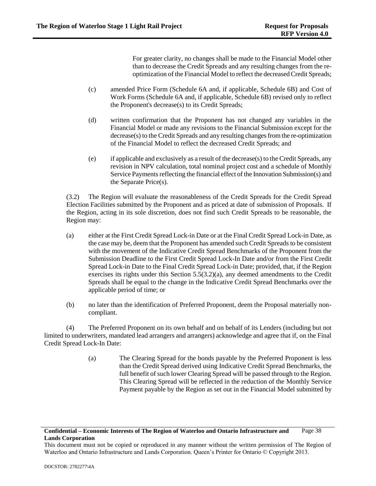For greater clarity, no changes shall be made to the Financial Model other than to decrease the Credit Spreads and any resulting changes from the reoptimization of the Financial Model to reflect the decreased Credit Spreads;

- (c) amended Price Form (Schedule 6A and, if applicable, Schedule 6B) and Cost of Work Forms (Schedule 6A and, if applicable, Schedule 6B) revised only to reflect the Proponent's decrease(s) to its Credit Spreads;
- (d) written confirmation that the Proponent has not changed any variables in the Financial Model or made any revisions to the Financial Submission except for the decrease(s) to the Credit Spreads and any resulting changes from the re-optimization of the Financial Model to reflect the decreased Credit Spreads; and
- (e) if applicable and exclusively as a result of the decrease(s) to the Credit Spreads, any revision in NPV calculation, total nominal project cost and a schedule of Monthly Service Payments reflecting the financial effect of the Innovation Submission(s) and the Separate Price(s).

(3.2) The Region will evaluate the reasonableness of the Credit Spreads for the Credit Spread Election Facilities submitted by the Proponent and as priced at date of submission of Proposals. If the Region, acting in its sole discretion, does not find such Credit Spreads to be reasonable, the Region may:

- (a) either at the First Credit Spread Lock-in Date or at the Final Credit Spread Lock-in Date, as the case may be, deem that the Proponent has amended such Credit Spreads to be consistent with the movement of the Indicative Credit Spread Benchmarks of the Proponent from the Submission Deadline to the First Credit Spread Lock-In Date and/or from the First Credit Spread Lock-in Date to the Final Credit Spread Lock-in Date; provided, that, if the Region exercises its rights under this Section 5.5(3.2)(a), any deemed amendments to the Credit Spreads shall be equal to the change in the Indicative Credit Spread Benchmarks over the applicable period of time; or
- (b) no later than the identification of Preferred Proponent, deem the Proposal materially noncompliant.

<span id="page-43-0"></span>(4) The Preferred Proponent on its own behalf and on behalf of its Lenders (including but not limited to underwriters, mandated lead arrangers and arrangers) acknowledge and agree that if, on the Final Credit Spread Lock-In Date:

> (a) The Clearing Spread for the bonds payable by the Preferred Proponent is less than the Credit Spread derived using Indicative Credit Spread Benchmarks, the full benefit of such lower Clearing Spread will be passed through to the Region. This Clearing Spread will be reflected in the reduction of the Monthly Service Payment payable by the Region as set out in the Financial Model submitted by

This document must not be copied or reproduced in any manner without the written permission of The Region of Waterloo and Ontario Infrastructure and Lands Corporation. Queen's Printer for Ontario © Copyright 2013.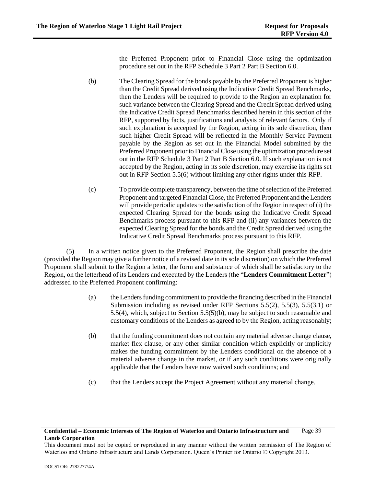the Preferred Proponent prior to Financial Close using the optimization procedure set out in the RFP Schedule 3 Part 2 Part B Section 6.0.

- (b) The Clearing Spread for the bonds payable by the Preferred Proponent is higher than the Credit Spread derived using the Indicative Credit Spread Benchmarks, then the Lenders will be required to provide to the Region an explanation for such variance between the Clearing Spread and the Credit Spread derived using the Indicative Credit Spread Benchmarks described herein in this section of the RFP, supported by facts, justifications and analysis of relevant factors. Only if such explanation is accepted by the Region, acting in its sole discretion, then such higher Credit Spread will be reflected in the Monthly Service Payment payable by the Region as set out in the Financial Model submitted by the Preferred Proponent prior to Financial Close using the optimization procedure set out in the RFP Schedule 3 Part 2 Part B Section 6.0. If such explanation is not accepted by the Region, acting in its sole discretion, may exercise its rights set out in RFP Section [5.5\(6\)](#page-45-0) without limiting any other rights under this RFP.
- (c) To provide complete transparency, between the time of selection of the Preferred Proponent and targeted Financial Close, the Preferred Proponent and the Lenders will provide periodic updates to the satisfaction of the Region in respect o[f \(i\)](#page-27-0) the expected Clearing Spread for the bonds using the Indicative Credit Spread Benchmarks process pursuant to this RFP and (ii) any variances between the expected Clearing Spread for the bonds and the Credit Spread derived using the Indicative Credit Spread Benchmarks process pursuant to this RFP.

<span id="page-44-1"></span>(5) In a written notice given to the Preferred Proponent, the Region shall prescribe the date (provided the Region may give a further notice of a revised date in its sole discretion) on which the Preferred Proponent shall submit to the Region a letter, the form and substance of which shall be satisfactory to the Region, on the letterhead of its Lenders and executed by the Lenders (the "**Lenders Commitment Letter**") addressed to the Preferred Proponent confirming:

- (a) the Lenders funding commitment to provide the financing described in the Financial Submission including as revised under RFP Sections [5.5\(2\),](#page-34-0) [5.5\(3\),](#page-38-0) 5.5(3.1) or [5.5\(4\),](#page-43-0) which, subject to Section [5.5\(5\)\(b\),](#page-44-0) may be subject to such reasonable and customary conditions of the Lenders as agreed to by the Region, acting reasonably;
- <span id="page-44-0"></span>(b) that the funding commitment does not contain any material adverse change clause, market flex clause, or any other similar condition which explicitly or implicitly makes the funding commitment by the Lenders conditional on the absence of a material adverse change in the market, or if any such conditions were originally applicable that the Lenders have now waived such conditions; and
- (c) that the Lenders accept the Project Agreement without any material change.

#### **Confidential – Economic Interests of The Region of Waterloo and Ontario Infrastructure and Lands Corporation** Page 39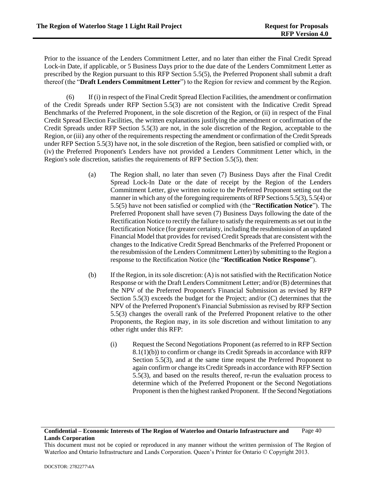Prior to the issuance of the Lenders Commitment Letter, and no later than either the Final Credit Spread Lock-in Date, if applicable, or 5 Business Days prior to the due date of the Lenders Commitment Letter as prescribed by the Region pursuant to this RFP Section [5.5\(5\),](#page-44-1) the Preferred Proponent shall submit a draft thereof (the "**Draft Lenders Commitment Letter**") to the Region for review and comment by the Region.

<span id="page-45-0"></span>(6) If (i) in respect of the Final Credit Spread Election Facilities, the amendment or confirmation of the Credit Spreads under RFP Section [5.5\(3\)](#page-38-0) are not consistent with the Indicative Credit Spread Benchmarks of the Preferred Proponent, in the sole discretion of the Region, or (ii) in respect of the Final Credit Spread Election Facilities, the written explanations justifying the amendment or confirmation of the Credit Spreads under RFP Section [5.5\(3\)](#page-38-0) are not, in the sole discretion of the Region, acceptable to the Region, or (iii) any other of the requirements respecting the amendment or confirmation of the Credit Spreads under RFP Section [5.5\(3\)](#page-38-0) have not, in the sole discretion of the Region, been satisfied or complied with, or (iv) the Preferred Proponent's Lenders have not provided a Lenders Commitment Letter which, in the Region's sole discretion, satisfies the requirements of RFP Section [5.5\(5\),](#page-44-1) then:

- (a) The Region shall, no later than seven (7) Business Days after the Final Credit Spread Lock-In Date or the date of receipt by the Region of the Lenders Commitment Letter, give written notice to the Preferred Proponent setting out the manner in which any of the foregoing requirements of RFP Section[s 5.5\(3\),](#page-38-0) [5.5\(4\)](#page-43-0) or [5.5\(5\)](#page-44-1) have not been satisfied or complied with (the "**Rectification Notice**"). The Preferred Proponent shall have seven (7) Business Days following the date of the Rectification Notice to rectify the failure to satisfy the requirements as set out in the Rectification Notice (for greater certainty, including the resubmission of an updated Financial Model that provides for revised Credit Spreads that are consistent with the changes to the Indicative Credit Spread Benchmarks of the Preferred Proponent or the resubmission of the Lenders Commitment Letter) by submitting to the Region a response to the Rectification Notice (the "**Rectification Notice Response**").
- <span id="page-45-2"></span><span id="page-45-1"></span>(b) If the Region, in its sole discretion: (A) is not satisfied with the Rectification Notice Response or with the Draft Lenders Commitment Letter; and/or (B) determines that the NPV of the Preferred Proponent's Financial Submission as revised by RFP Section [5.5\(3\)](#page-38-0) exceeds the budget for the Project; and/or (C) determines that the NPV of the Preferred Proponent's Financial Submission as revised by RFP Section [5.5\(3\)](#page-38-0) changes the overall rank of the Preferred Proponent relative to the other Proponents, the Region may, in its sole discretion and without limitation to any other right under this RFP:
	- (i) Request the Second Negotiations Proponent (as referred to in RFP Section [8.1\(1\)\(b\)\)](#page-57-0) to confirm or change its Credit Spreads in accordance with RFP Section [5.5\(3\),](#page-38-0) and at the same time request the Preferred Proponent to again confirm or change its Credit Spreads in accordance with RFP Section [5.5\(3\),](#page-38-0) and based on the results thereof, re-run the evaluation process to determine which of the Preferred Proponent or the Second Negotiations Proponent is then the highest ranked Proponent. If the Second Negotiations

This document must not be copied or reproduced in any manner without the written permission of The Region of Waterloo and Ontario Infrastructure and Lands Corporation. Queen's Printer for Ontario © Copyright 2013.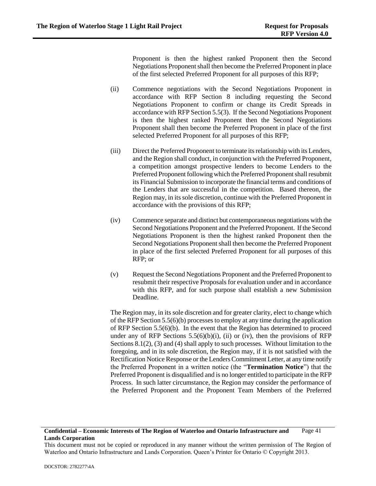Proponent is then the highest ranked Proponent then the Second Negotiations Proponent shall then become the Preferred Proponent in place of the first selected Preferred Proponent for all purposes of this RFP;

- <span id="page-46-0"></span>(ii) Commence negotiations with the Second Negotiations Proponent in accordance with RFP Section 8 including requesting the Second Negotiations Proponent to confirm or change its Credit Spreads in accordance with RFP Sectio[n 5.5\(3\).](#page-38-0) If the Second Negotiations Proponent is then the highest ranked Proponent then the Second Negotiations Proponent shall then become the Preferred Proponent in place of the first selected Preferred Proponent for all purposes of this RFP;
- (iii) Direct the Preferred Proponent to terminate its relationship with its Lenders, and the Region shall conduct, in conjunction with the Preferred Proponent, a competition amongst prospective lenders to become Lenders to the Preferred Proponent following which the Preferred Proponent shall resubmit its Financial Submission to incorporate the financial terms and conditions of the Lenders that are successful in the competition. Based thereon, the Region may, in its sole discretion, continue with the Preferred Proponent in accordance with the provisions of this RFP;
- <span id="page-46-1"></span>(iv) Commence separate and distinct but contemporaneous negotiations with the Second Negotiations Proponent and the Preferred Proponent. If the Second Negotiations Proponent is then the highest ranked Proponent then the Second Negotiations Proponent shall then become the Preferred Proponent in place of the first selected Preferred Proponent for all purposes of this RFP; or
- <span id="page-46-2"></span>(v) Request the Second Negotiations Proponent and the Preferred Proponent to resubmit their respective Proposals for evaluation under and in accordance with this RFP, and for such purpose shall establish a new Submission Deadline.

The Region may, in its sole discretion and for greater clarity, elect to change which of the RFP Sectio[n 5.5\(6\)\(b\)](#page-45-1) processes to employ at any time during the application of RFP Section [5.5\(6\)\(b\).](#page-45-1) In the event that the Region has determined to proceed under any of RFP Sections  $5.5(6)(b)(i)$ , [\(ii\)](#page-46-0) or [\(iv\),](#page-46-1) then the provisions of RFP Section[s 8.1\(2\),](#page-57-1) [\(3\)](#page-57-2) an[d \(4\)](#page-57-3) shall apply to such processes. Without limitation to the foregoing, and in its sole discretion, the Region may, if it is not satisfied with the Rectification Notice Response or the Lenders Commitment Letter, at any time notify the Preferred Proponent in a written notice (the "**Termination Notice**") that the Preferred Proponent is disqualified and is no longer entitled to participate in the RFP Process. In such latter circumstance, the Region may consider the performance of the Preferred Proponent and the Proponent Team Members of the Preferred

This document must not be copied or reproduced in any manner without the written permission of The Region of Waterloo and Ontario Infrastructure and Lands Corporation. Queen's Printer for Ontario © Copyright 2013.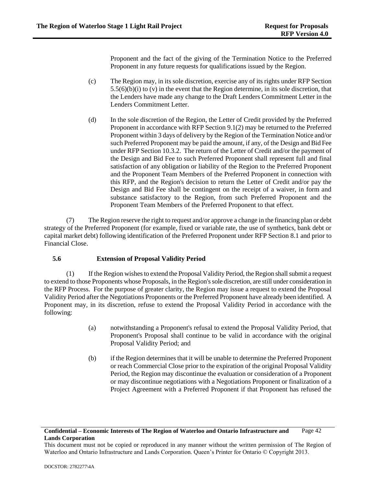Proponent and the fact of the giving of the Termination Notice to the Preferred Proponent in any future requests for qualifications issued by the Region.

- (c) The Region may, in its sole discretion, exercise any of its rights under RFP Section  $5.5(6)(b)(i)$  t[o \(v\)](#page-46-2) in the event that the Region determine, in its sole discretion, that the Lenders have made any change to the Draft Lenders Commitment Letter in the Lenders Commitment Letter.
- (d) In the sole discretion of the Region, the Letter of Credit provided by the Preferred Proponent in accordance with RFP Section [9.1\(2\)](#page-58-0) may be returned to the Preferred Proponent within 3 days of delivery by the Region of the Termination Notice and/or such Preferred Proponent may be paid the amount, if any, of the Design and Bid Fee under RFP Sectio[n 10.3.2.](#page-64-0) The return of the Letter of Credit and/or the payment of the Design and Bid Fee to such Preferred Proponent shall represent full and final satisfaction of any obligation or liability of the Region to the Preferred Proponent and the Proponent Team Members of the Preferred Proponent in connection with this RFP, and the Region's decision to return the Letter of Credit and/or pay the Design and Bid Fee shall be contingent on the receipt of a waiver, in form and substance satisfactory to the Region, from such Preferred Proponent and the Proponent Team Members of the Preferred Proponent to that effect.

(7) The Region reserve the right to request and/or approve a change in the financing plan or debt strategy of the Preferred Proponent (for example, fixed or variable rate, the use of synthetics, bank debt or capital market debt) following identification of the Preferred Proponent under RFP Section [8.1](#page-57-4) and prior to Financial Close.

# **5.6 Extension of Proposal Validity Period**

<span id="page-47-0"></span>(1) If the Region wishes to extend the Proposal Validity Period, the Region shall submit a request to extend to those Proponents whose Proposals, in the Region's sole discretion, are still under consideration in the RFP Process. For the purpose of greater clarity, the Region may issue a request to extend the Proposal Validity Period after the Negotiations Proponents or the Preferred Proponent have already been identified. A Proponent may, in its discretion, refuse to extend the Proposal Validity Period in accordance with the following:

- (a) notwithstanding a Proponent's refusal to extend the Proposal Validity Period, that Proponent's Proposal shall continue to be valid in accordance with the original Proposal Validity Period; and
- (b) if the Region determines that it will be unable to determine the Preferred Proponent or reach Commercial Close prior to the expiration of the original Proposal Validity Period, the Region may discontinue the evaluation or consideration of a Proponent or may discontinue negotiations with a Negotiations Proponent or finalization of a Project Agreement with a Preferred Proponent if that Proponent has refused the

This document must not be copied or reproduced in any manner without the written permission of The Region of Waterloo and Ontario Infrastructure and Lands Corporation. Queen's Printer for Ontario © Copyright 2013.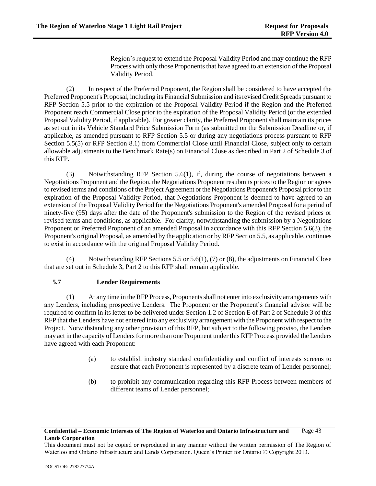Region's request to extend the Proposal Validity Period and may continue the RFP Process with only those Proponents that have agreed to an extension of the Proposal Validity Period.

<span id="page-48-0"></span>(2) In respect of the Preferred Proponent, the Region shall be considered to have accepted the Preferred Proponent's Proposal, including its Financial Submission and its revised Credit Spreads pursuant to RFP Section [5.5](#page-34-3) prior to the expiration of the Proposal Validity Period if the Region and the Preferred Proponent reach Commercial Close prior to the expiration of the Proposal Validity Period (or the extended Proposal Validity Period, if applicable). For greater clarity, the Preferred Proponent shall maintain its prices as set out in its Vehicle Standard Price Submission Form (as submitted on the Submission Deadline or, if applicable, as amended pursuant to RFP Section [5.5](#page-34-3) or during any negotiations process pursuant to RFP Section [5.5\(5\)](#page-44-1) or RFP Section [8.1\)](#page-57-4) from Commercial Close until Financial Close, subject only to certain allowable adjustments to the Benchmark Rate(s) on Financial Close as described in Part 2 of Schedule 3 of this RFP.

<span id="page-48-1"></span>(3) Notwithstanding RFP Section [5.6\(1\),](#page-47-0) if, during the course of negotiations between a Negotiations Proponent and the Region, the Negotiations Proponent resubmits prices to the Region or agrees to revised terms and conditions of the Project Agreement or the Negotiations Proponent's Proposal prior to the expiration of the Proposal Validity Period, that Negotiations Proponent is deemed to have agreed to an extension of the Proposal Validity Period for the Negotiations Proponent's amended Proposal for a period of ninety-five (95) days after the date of the Proponent's submission to the Region of the revised prices or revised terms and conditions, as applicable. For clarity, notwithstanding the submission by a Negotiations Proponent or Preferred Proponent of an amended Proposal in accordance with this RFP Section [5.6\(3\),](#page-48-1) the Proponent's original Proposal, as amended by the application or by RFP Sectio[n 5.5,](#page-34-3) as applicable, continues to exist in accordance with the original Proposal Validity Period.

(4) Notwithstanding RFP Sections [5.5](#page-34-3) or 5.6(1)[, \(7\)](#page-68-0) o[r \(8\),](#page-68-1) the adjustments on Financial Close that are set out in Schedule 3, Part 2 to this RFP shall remain applicable.

# **5.7 Lender Requirements**

(1) At any time in the RFP Process, Proponents shall not enter into exclusivity arrangements with any Lenders, including prospective Lenders. The Proponent or the Proponent's financial advisor will be required to confirm in its letter to be delivered under Section [1.2](#page-7-0) of Section E of Part 2 of Schedule 3 of this RFP that the Lenders have not entered into any exclusivity arrangement with the Proponent with respect to the Project. Notwithstanding any other provision of this RFP, but subject to the following proviso, the Lenders may act in the capacity of Lenders for more than one Proponent under this RFP Process provided the Lenders have agreed with each Proponent:

- (a) to establish industry standard confidentiality and conflict of interests screens to ensure that each Proponent is represented by a discrete team of Lender personnel;
- (b) to prohibit any communication regarding this RFP Process between members of different teams of Lender personnel;

### **Confidential – Economic Interests of The Region of Waterloo and Ontario Infrastructure and Lands Corporation** Page 43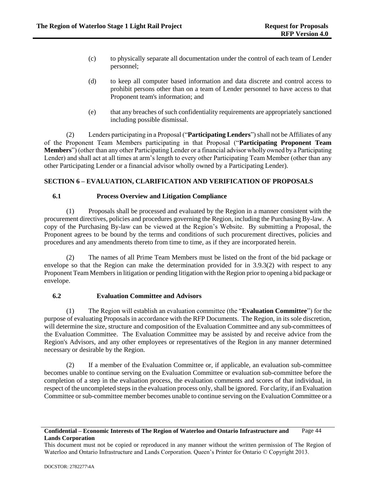- (c) to physically separate all documentation under the control of each team of Lender personnel;
- (d) to keep all computer based information and data discrete and control access to prohibit persons other than on a team of Lender personnel to have access to that Proponent team's information; and
- (e) that any breaches of such confidentiality requirements are appropriately sanctioned including possible dismissal.

<span id="page-49-0"></span>(2) Lenders participating in a Proposal ("**Participating Lenders**")shall not be Affiliates of any of the Proponent Team Members participating in that Proposal ("**Participating Proponent Team Members**") (other than any other Participating Lender or a financial advisor wholly owned by a Participating Lender) and shall act at all times at arm's length to every other Participating Team Member (other than any other Participating Lender or a financial advisor wholly owned by a Participating Lender).

# **SECTION 6 – EVALUATION, CLARIFICATION AND VERIFICATION OF PROPOSALS**

# **6.1 Process Overview and Litigation Compliance**

(1) Proposals shall be processed and evaluated by the Region in a manner consistent with the procurement directives, policies and procedures governing the Region, including the Purchasing By-law. A copy of the Purchasing By-law can be viewed at the Region's Website. By submitting a Proposal, the Proponent agrees to be bound by the terms and conditions of such procurement directives, policies and procedures and any amendments thereto from time to time, as if they are incorporated herein.

(2) The names of all Prime Team Members must be listed on the front of the bid package or envelope so that the Region can make the determination provided for in [3.9.3\(2\)](#page-28-0) with respect to any Proponent Team Members in litigation or pending litigation with the Region prior to opening a bid package or envelope.

### **6.2 Evaluation Committee and Advisors**

<span id="page-49-1"></span>(1) The Region will establish an evaluation committee (the "**Evaluation Committee**") for the purpose of evaluating Proposals in accordance with the RFP Documents. The Region, in its sole discretion, will determine the size, structure and composition of the Evaluation Committee and any sub-committees of the Evaluation Committee. The Evaluation Committee may be assisted by and receive advice from the Region's Advisors, and any other employees or representatives of the Region in any manner determined necessary or desirable by the Region.

(2) If a member of the Evaluation Committee or, if applicable, an evaluation sub-committee becomes unable to continue serving on the Evaluation Committee or evaluation sub-committee before the completion of a step in the evaluation process, the evaluation comments and scores of that individual, in respect of the uncompleted steps in the evaluation process only, shall be ignored. For clarity, if an Evaluation Committee or sub-committee member becomes unable to continue serving on the Evaluation Committee or a

This document must not be copied or reproduced in any manner without the written permission of The Region of Waterloo and Ontario Infrastructure and Lands Corporation. Queen's Printer for Ontario © Copyright 2013.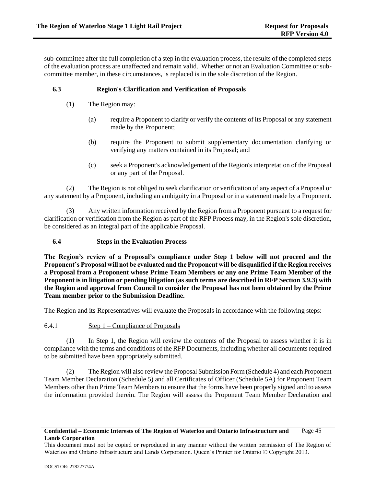sub-committee after the full completion of a step in the evaluation process, the results of the completed steps of the evaluation process are unaffected and remain valid. Whether or not an Evaluation Committee or subcommittee member, in these circumstances, is replaced is in the sole discretion of the Region.

# **6.3 Region's Clarification and Verification of Proposals**

- (1) The Region may:
	- (a) require a Proponent to clarify or verify the contents of its Proposal or any statement made by the Proponent;
	- (b) require the Proponent to submit supplementary documentation clarifying or verifying any matters contained in its Proposal; and
	- (c) seek a Proponent's acknowledgement of the Region's interpretation of the Proposal or any part of the Proposal.

(2) The Region is not obliged to seek clarification or verification of any aspect of a Proposal or any statement by a Proponent, including an ambiguity in a Proposal or in a statement made by a Proponent.

(3) Any written information received by the Region from a Proponent pursuant to a request for clarification or verification from the Region as part of the RFP Process may, in the Region's sole discretion, be considered as an integral part of the applicable Proposal.

### **6.4 Steps in the Evaluation Process**

**The Region's review of a Proposal's compliance under Step 1 below will not proceed and the Proponent's Proposal will not be evaluated and the Proponent will be disqualified if the Region receives a Proposal from a Proponent whose Prime Team Members or any one Prime Team Member of the Proponent is in litigation or pending litigation (as such terms are described in RFP Sectio[n 3.9.3\)](#page-28-1) with the Region and approval from Council to consider the Proposal has not been obtained by the Prime Team member prior to the Submission Deadline.** 

The Region and its Representatives will evaluate the Proposals in accordance with the following steps:

<span id="page-50-0"></span>6.4.1 Step 1 – Compliance of Proposals

(1) In Step 1, the Region will review the contents of the Proposal to assess whether it is in compliance with the terms and conditions of the RFP Documents, including whether all documents required to be submitted have been appropriately submitted.

(2) The Region will also review the Proposal Submission Form (Schedule 4) and each Proponent Team Member Declaration (Schedule 5) and all Certificates of Officer (Schedule 5A) for Proponent Team Members other than Prime Team Members to ensure that the forms have been properly signed and to assess the information provided therein. The Region will assess the Proponent Team Member Declaration and

This document must not be copied or reproduced in any manner without the written permission of The Region of Waterloo and Ontario Infrastructure and Lands Corporation. Queen's Printer for Ontario © Copyright 2013.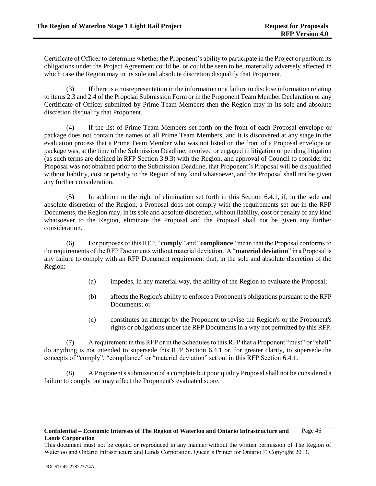Certificate of Officer to determine whether the Proponent's ability to participate in the Project or perform its obligations under the Project Agreement could be, or could be seen to be, materially adversely affected in which case the Region may in its sole and absolute discretion disqualify that Proponent.

If there is a misrepresentation in the information or a failure to disclose information relating to items 2.3 and 2.4 of the Proposal Submission Form or in the Proponent Team Member Declaration or any Certificate of Officer submitted by Prime Team Members then the Region may in its sole and absolute discretion disqualify that Proponent.

(4) If the list of Prime Team Members set forth on the front of each Proposal envelope or package does not contain the names of all Prime Team Members, and it is discovered at any stage in the evaluation process that a Prime Team Member who was not listed on the front of a Proposal envelope or package was, at the time of the Submission Deadline, involved or engaged in litigation or pending litigation (as such terms are defined in RFP Section [3.9.3\)](#page-28-1) with the Region, and approval of Council to consider the Proposal was not obtained prior to the Submission Deadline, that Proponent's Proposal will be disqualified without liability, cost or penalty to the Region of any kind whatsoever, and the Proposal shall not be given any further consideration.

(5) In addition to the right of elimination set forth in this Section [6.4.1,](#page-50-0) if, in the sole and absolute discretion of the Region, a Proposal does not comply with the requirements set out in the RFP Documents, the Region may, in its sole and absolute discretion, without liability, cost or penalty of any kind whatsoever to the Region, eliminate the Proposal and the Proposal shall not be given any further consideration.

(6) For purposes of this RFP, "**comply**" and "**compliance**" mean that the Proposal conforms to the requirements of the RFP Documents without material deviation. A "**material deviation**" in a Proposal is any failure to comply with an RFP Document requirement that, in the sole and absolute discretion of the Region:

- (a) impedes, in any material way, the ability of the Region to evaluate the Proposal;
- (b) affects the Region's ability to enforce a Proponent's obligations pursuant to the RFP Documents; or
- (c) constitutes an attempt by the Proponent to revise the Region's or the Proponent's rights or obligations under the RFP Documents in a way not permitted by this RFP.

(7) A requirement in this RFP or in the Schedules to this RFP that a Proponent "must" or "shall" do anything is not intended to supersede this RFP Section [6.4.1](#page-50-0) or, for greater clarity, to supersede the concepts of "comply", "compliance" or "material deviation" set out in this RFP Section [6.4.1.](#page-50-0)

(8) A Proponent's submission of a complete but poor quality Proposal shall not be considered a failure to comply but may affect the Proponent's evaluated score.

This document must not be copied or reproduced in any manner without the written permission of The Region of Waterloo and Ontario Infrastructure and Lands Corporation. Queen's Printer for Ontario © Copyright 2013.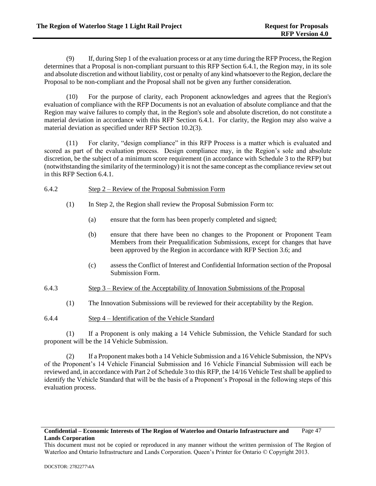(9) If, during Step 1 of the evaluation process or at any time during the RFP Process, the Region determines that a Proposal is non-compliant pursuant to this RFP Sectio[n 6.4.1,](#page-50-0) the Region may, in its sole and absolute discretion and without liability, cost or penalty of any kind whatsoever to the Region, declare the Proposal to be non-compliant and the Proposal shall not be given any further consideration.

(10) For the purpose of clarity, each Proponent acknowledges and agrees that the Region's evaluation of compliance with the RFP Documents is not an evaluation of absolute compliance and that the Region may waive failures to comply that, in the Region's sole and absolute discretion, do not constitute a material deviation in accordance with this RFP Section [6.4.1.](#page-50-0) For clarity, the Region may also waive a material deviation as specified under RFP Sectio[n 10.2\(3\).](#page-64-1)

(11) For clarity, "design compliance" in this RFP Process is a matter which is evaluated and scored as part of the evaluation process. Design compliance may, in the Region's sole and absolute discretion, be the subject of a minimum score requirement (in accordance with Schedule 3 to the RFP) but (notwithstanding the similarity of the terminology) it is not the same concept as the compliance review set out in this RFP Section [6.4.1.](#page-50-0)

### 6.4.2 Step 2 – Review of the Proposal Submission Form

- (1) In Step 2, the Region shall review the Proposal Submission Form to:
	- (a) ensure that the form has been properly completed and signed;
	- (b) ensure that there have been no changes to the Proponent or Proponent Team Members from their Prequalification Submissions, except for changes that have been approved by the Region in accordance with RFP Section 3.6; and
	- (c) assess the Conflict of Interest and Confidential Information section of the Proposal Submission Form.

# 6.4.3 Step 3 – Review of the Acceptability of Innovation Submissions of the Proposal

- (1) The Innovation Submissions will be reviewed for their acceptability by the Region.
- 6.4.4 Step 4 Identification of the Vehicle Standard

(1) If a Proponent is only making a 14 Vehicle Submission, the Vehicle Standard for such proponent will be the 14 Vehicle Submission.

(2) If a Proponent makes both a 14 Vehicle Submission and a 16 Vehicle Submission, the NPVs of the Proponent's 14 Vehicle Financial Submission and 16 Vehicle Financial Submission will each be reviewed and, in accordance with Part 2 of Schedule 3 to this RFP, the 14/16 Vehicle Test shall be applied to identify the Vehicle Standard that will be the basis of a Proponent's Proposal in the following steps of this evaluation process.

This document must not be copied or reproduced in any manner without the written permission of The Region of Waterloo and Ontario Infrastructure and Lands Corporation. Queen's Printer for Ontario © Copyright 2013.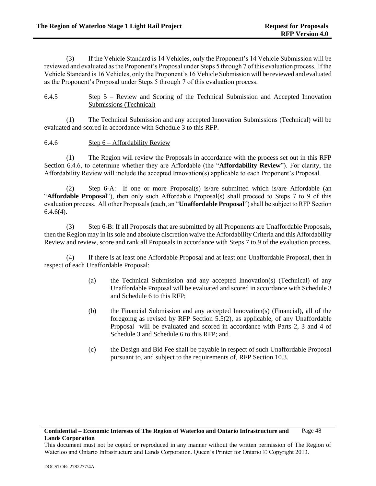(3) If the Vehicle Standard is 14 Vehicles, only the Proponent's 14 Vehicle Submission will be reviewed and evaluated as the Proponent's Proposal under Steps 5 through 7 of this evaluation process. If the Vehicle Standard is 16 Vehicles, only the Proponent's 16 Vehicle Submission will be reviewed and evaluated as the Proponent's Proposal under Steps 5 through 7 of this evaluation process.

6.4.5 Step 5 – Review and Scoring of the Technical Submission and Accepted Innovation Submissions (Technical)

(1) The Technical Submission and any accepted Innovation Submissions (Technical) will be evaluated and scored in accordance with Schedule 3 to this RFP.

6.4.6 Step 6 – Affordability Review

(1) The Region will review the Proposals in accordance with the process set out in this RFP Section 6.4.6, to determine whether they are Affordable (the "**Affordability Review**"). For clarity, the Affordability Review will include the accepted Innovation(s) applicable to each Proponent's Proposal.

(2) Step 6-A: If one or more Proposal(s) is/are submitted which is/are Affordable (an "**Affordable Proposal**"), then only such Affordable Proposal(s) shall proceed to Steps 7 to 9 of this evaluation process. All other Proposals (each, an "**Unaffordable Proposal**") shall be subject to RFP Section  $6.4.6(4)$ .

(3) Step 6-B: If all Proposals that are submitted by all Proponents are Unaffordable Proposals, then the Region may in its sole and absolute discretion waive the Affordability Criteria and this Affordability Review and review, score and rank all Proposals in accordance with Steps 7 to 9 of the evaluation process.

(4) If there is at least one Affordable Proposal and at least one Unaffordable Proposal, then in respect of each Unaffordable Proposal:

- (a) the Technical Submission and any accepted Innovation(s) (Technical) of any Unaffordable Proposal will be evaluated and scored in accordance with Schedule 3 and Schedule 6 to this RFP;
- (b) the Financial Submission and any accepted Innovation(s) (Financial), all of the foregoing as revised by RFP Section 5.5(2), as applicable, of any Unaffordable Proposal will be evaluated and scored in accordance with Parts 2, 3 and 4 of Schedule 3 and Schedule 6 to this RFP; and
- (c) the Design and Bid Fee shall be payable in respect of such Unaffordable Proposal pursuant to, and subject to the requirements of, RFP Section 10.3.

This document must not be copied or reproduced in any manner without the written permission of The Region of Waterloo and Ontario Infrastructure and Lands Corporation. Queen's Printer for Ontario © Copyright 2013.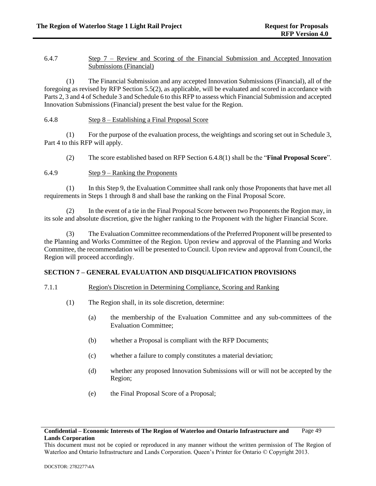# 6.4.7 Step 7 – Review and Scoring of the Financial Submission and Accepted Innovation Submissions (Financial)

(1) The Financial Submission and any accepted Innovation Submissions (Financial), all of the foregoing as revised by RFP Section [5.5\(2\),](#page-34-0) as applicable, will be evaluated and scored in accordance with Parts 2, 3 and 4 of Schedule 3 and Schedule 6 to this RFP to assess which Financial Submission and accepted Innovation Submissions (Financial) present the best value for the Region.

# 6.4.8 Step 8 – Establishing a Final Proposal Score

<span id="page-54-0"></span>(1) For the purpose of the evaluation process, the weightings and scoring set out in Schedule 3, Part 4 to this RFP will apply.

(2) The score established based on RFP Section [6.4.8\(1\)](#page-54-0) shall be the "**Final Proposal Score**".

### <span id="page-54-1"></span>6.4.9 Step 9 – Ranking the Proponents

(1) In this Step 9, the Evaluation Committee shall rank only those Proponents that have met all requirements in Steps 1 through 8 and shall base the ranking on the Final Proposal Score.

(2) In the event of a tie in the Final Proposal Score between two Proponents the Region may, in its sole and absolute discretion, give the higher ranking to the Proponent with the higher Financial Score.

(3) The Evaluation Committee recommendations of the Preferred Proponent will be presented to the Planning and Works Committee of the Region. Upon review and approval of the Planning and Works Committee, the recommendation will be presented to Council. Upon review and approval from Council, the Region will proceed accordingly.

# **SECTION 7 – GENERAL EVALUATION AND DISQUALIFICATION PROVISIONS**

### 7.1.1 Region's Discretion in Determining Compliance, Scoring and Ranking

- (1) The Region shall, in its sole discretion, determine:
	- (a) the membership of the Evaluation Committee and any sub-committees of the Evaluation Committee;
	- (b) whether a Proposal is compliant with the RFP Documents;
	- (c) whether a failure to comply constitutes a material deviation;
	- (d) whether any proposed Innovation Submissions will or will not be accepted by the Region;
	- (e) the Final Proposal Score of a Proposal;

**Confidential – Economic Interests of The Region of Waterloo and Ontario Infrastructure and Lands Corporation** Page 49

This document must not be copied or reproduced in any manner without the written permission of The Region of Waterloo and Ontario Infrastructure and Lands Corporation. Queen's Printer for Ontario © Copyright 2013.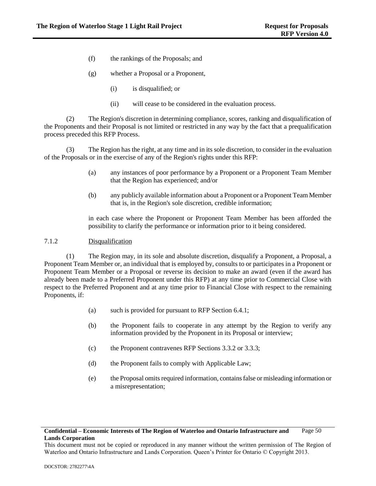- (f) the rankings of the Proposals; and
- (g) whether a Proposal or a Proponent,
	- (i) is disqualified; or
	- (ii) will cease to be considered in the evaluation process.

(2) The Region's discretion in determining compliance, scores, ranking and disqualification of the Proponents and their Proposal is not limited or restricted in any way by the fact that a prequalification process preceded this RFP Process.

(3) The Region has the right, at any time and in its sole discretion, to consider in the evaluation of the Proposals or in the exercise of any of the Region's rights under this RFP:

- (a) any instances of poor performance by a Proponent or a Proponent Team Member that the Region has experienced; and/or
- (b) any publicly available information about a Proponent or a Proponent Team Member that is, in the Region's sole discretion, credible information;

in each case where the Proponent or Proponent Team Member has been afforded the possibility to clarify the performance or information prior to it being considered.

### <span id="page-55-0"></span>7.1.2 Disqualification

(1) The Region may, in its sole and absolute discretion, disqualify a Proponent, a Proposal, a Proponent Team Member or, an individual that is employed by, consults to or participates in a Proponent or Proponent Team Member or a Proposal or reverse its decision to make an award (even if the award has already been made to a Preferred Proponent under this RFP) at any time prior to Commercial Close with respect to the Preferred Proponent and at any time prior to Financial Close with respect to the remaining Proponents, if:

- (a) such is provided for pursuant to RFP Section [6.4.1;](#page-50-0)
- (b) the Proponent fails to cooperate in any attempt by the Region to verify any information provided by the Proponent in its Proposal or interview;
- (c) the Proponent contravenes RFP Sections [3.3.2](#page-14-0) or [3.3.3;](#page-15-0)
- (d) the Proponent fails to comply with Applicable Law;
- (e) the Proposal omits required information, contains false or misleading information or a misrepresentation;

### **Confidential – Economic Interests of The Region of Waterloo and Ontario Infrastructure and Lands Corporation** Page 50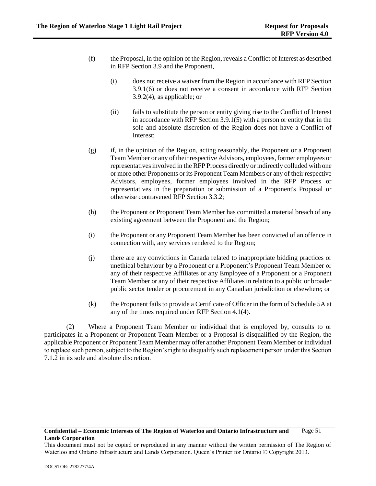- (f) the Proposal, in the opinion of the Region, reveals a Conflict of Interest as described in RFP Section [3.9](#page-26-0) and the Proponent,
	- (i) does not receive a waiver from the Region in accordance with RFP Section [3.9.1\(6\)](#page-27-1) or does not receive a consent in accordance with RFP Section [3.9.2\(4\),](#page-28-2) as applicable; or
	- (ii) fails to substitute the person or entity giving rise to the Conflict of Interest in accordance with RFP Sectio[n 3.9.1\(5\)](#page-26-1) with a person or entity that in the sole and absolute discretion of the Region does not have a Conflict of Interest;
- (g) if, in the opinion of the Region, acting reasonably, the Proponent or a Proponent Team Member or any of their respective Advisors, employees, former employees or representatives involved in the RFP Process directly or indirectly colluded with one or more other Proponents or its Proponent Team Members or any of their respective Advisors, employees, former employees involved in the RFP Process or representatives in the preparation or submission of a Proponent's Proposal or otherwise contravened RFP Section 3.3.2;
- (h) the Proponent or Proponent Team Member has committed a material breach of any existing agreement between the Proponent and the Region;
- (i) the Proponent or any Proponent Team Member has been convicted of an offence in connection with, any services rendered to the Region;
- (j) there are any convictions in Canada related to inappropriate bidding practices or unethical behaviour by a Proponent or a Proponent's Proponent Team Member or any of their respective Affiliates or any Employee of a Proponent or a Proponent Team Member or any of their respective Affiliates in relation to a public or broader public sector tender or procurement in any Canadian jurisdiction or elsewhere; or
- (k) the Proponent fails to provide a Certificate of Officer in the form of Schedule 5A at any of the times required under RFP Section 4.1(4).

(2) Where a Proponent Team Member or individual that is employed by, consults to or participates in a Proponent or Proponent Team Member or a Proposal is disqualified by the Region, the applicable Proponent or Proponent Team Member may offer another Proponent Team Member or individual to replace such person, subject to the Region's right to disqualify such replacement person under this Section [7.1.2](#page-55-0) in its sole and absolute discretion.

This document must not be copied or reproduced in any manner without the written permission of The Region of Waterloo and Ontario Infrastructure and Lands Corporation. Queen's Printer for Ontario © Copyright 2013.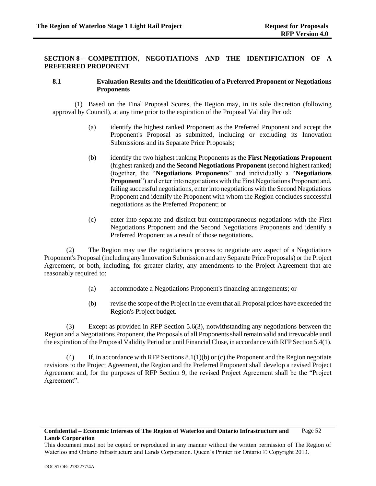# **SECTION 8 – COMPETITION, NEGOTIATIONS AND THE IDENTIFICATION OF A PREFERRED PROPONENT**

### <span id="page-57-4"></span>**8.1 Evaluation Results and the Identification of a Preferred Proponent or Negotiations Proponents**

<span id="page-57-6"></span>(1) Based on the Final Proposal Scores, the Region may, in its sole discretion (following approval by Council), at any time prior to the expiration of the Proposal Validity Period:

- (a) identify the highest ranked Proponent as the Preferred Proponent and accept the Proponent's Proposal as submitted, including or excluding its Innovation Submissions and its Separate Price Proposals;
- <span id="page-57-0"></span>(b) identify the two highest ranking Proponents as the **First Negotiations Proponent** (highest ranked) and the **Second Negotiations Proponent** (second highest ranked) (together, the "**Negotiations Proponents**" and individually a "**Negotiations Proponent**") and enter into negotiations with the First Negotiations Proponent and, failing successful negotiations, enter into negotiations with the Second Negotiations Proponent and identify the Proponent with whom the Region concludes successful negotiations as the Preferred Proponent; or
- (c) enter into separate and distinct but contemporaneous negotiations with the First Negotiations Proponent and the Second Negotiations Proponents and identify a Preferred Proponent as a result of those negotiations.

<span id="page-57-5"></span><span id="page-57-1"></span>(2) The Region may use the negotiations process to negotiate any aspect of a Negotiations Proponent's Proposal (including any Innovation Submission and any Separate Price Proposals) or the Project Agreement, or both, including, for greater clarity, any amendments to the Project Agreement that are reasonably required to:

- (a) accommodate a Negotiations Proponent's financing arrangements; or
- (b) revise the scope of the Project in the event that all Proposal prices have exceeded the Region's Project budget.

<span id="page-57-2"></span>(3) Except as provided in RFP Section [5.6\(3\),](#page-48-1) notwithstanding any negotiations between the Region and a Negotiations Proponent, the Proposals of all Proponents shall remain valid and irrevocable until the expiration of the Proposal Validity Period or until Financial Close, in accordance with RFP Sectio[n 5.4\(1\).](#page-33-0)

<span id="page-57-3"></span>(4) If, in accordance with RFP Sections  $8.1(1)(b)$  o[r \(c\)](#page-57-5) the Proponent and the Region negotiate revisions to the Project Agreement, the Region and the Preferred Proponent shall develop a revised Project Agreement and, for the purposes of RFP Section 9, the revised Project Agreement shall be the "Project Agreement".

This document must not be copied or reproduced in any manner without the written permission of The Region of Waterloo and Ontario Infrastructure and Lands Corporation. Queen's Printer for Ontario © Copyright 2013.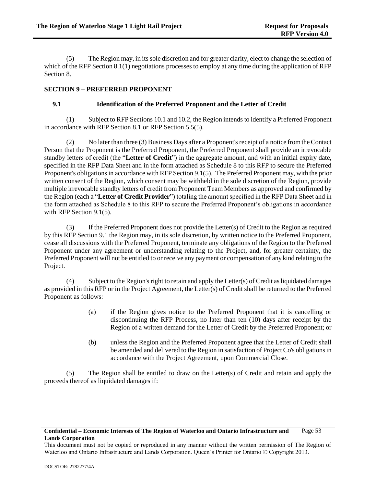(5) The Region may, in its sole discretion and for greater clarity, elect to change the selection of which of the RFP Sectio[n 8.1\(1\)](#page-57-6) negotiations processes to employ at any time during the application of RFP Section 8.

# **SECTION 9 – PREFERRED PROPONENT**

# <span id="page-58-2"></span>**9.1 Identification of the Preferred Proponent and the Letter of Credit**

(1) Subject to RFP Sections [10.1](#page-62-0) an[d 10.2,](#page-63-0) the Region intends to identify a Preferred Proponent in accordance with RFP Section [8.1](#page-57-4) or RFP Section [5.5\(5\).](#page-44-1)

<span id="page-58-0"></span>(2) No later than three (3) Business Days after a Proponent's receipt of a notice from the Contact Person that the Proponent is the Preferred Proponent, the Preferred Proponent shall provide an irrevocable standby letters of credit (the "**Letter of Credit**") in the aggregate amount, and with an initial expiry date, specified in the RFP Data Sheet and in the form attached as Schedule 8 to this RFP to secure the Preferred Proponent's obligations in accordance with RFP Sectio[n 9.1\(5\).](#page-58-1) The Preferred Proponent may, with the prior written consent of the Region, which consent may be withheld in the sole discretion of the Region, provide multiple irrevocable standby letters of credit from Proponent Team Members as approved and confirmed by the Region (each a "**Letter of Credit Provider**") totaling the amount specified in the RFP Data Sheet and in the form attached as Schedule 8 to this RFP to secure the Preferred Proponent's obligations in accordance with RFP Section [9.1\(5\).](#page-58-1)

(3) If the Preferred Proponent does not provide the Letter(s) of Credit to the Region as required by this RFP Sectio[n 9.1](#page-58-2) the Region may, in its sole discretion, by written notice to the Preferred Proponent, cease all discussions with the Preferred Proponent, terminate any obligations of the Region to the Preferred Proponent under any agreement or understanding relating to the Project, and, for greater certainty, the Preferred Proponent will not be entitled to or receive any payment or compensation of any kind relating to the Project.

(4) Subject to the Region's right to retain and apply the Letter(s) of Credit as liquidated damages as provided in this RFP or in the Project Agreement, the Letter(s) of Credit shall be returned to the Preferred Proponent as follows:

- (a) if the Region gives notice to the Preferred Proponent that it is cancelling or discontinuing the RFP Process, no later than ten (10) days after receipt by the Region of a written demand for the Letter of Credit by the Preferred Proponent; or
- (b) unless the Region and the Preferred Proponent agree that the Letter of Credit shall be amended and delivered to the Region in satisfaction of Project Co's obligations in accordance with the Project Agreement, upon Commercial Close.

<span id="page-58-1"></span>(5) The Region shall be entitled to draw on the Letter(s) of Credit and retain and apply the proceeds thereof as liquidated damages if:

This document must not be copied or reproduced in any manner without the written permission of The Region of Waterloo and Ontario Infrastructure and Lands Corporation. Queen's Printer for Ontario © Copyright 2013.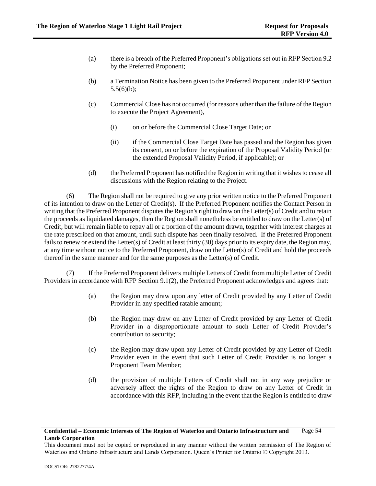- (a) there is a breach of the Preferred Proponent's obligations set out in RFP Sectio[n 9.2](#page-60-0) by the Preferred Proponent;
- (b) a Termination Notice has been given to the Preferred Proponent under RFP Section [5.5\(6\)\(b\);](#page-45-1)
- (c) Commercial Close has not occurred (for reasons other than the failure of the Region to execute the Project Agreement),
	- (i) on or before the Commercial Close Target Date; or
	- (ii) if the Commercial Close Target Date has passed and the Region has given its consent, on or before the expiration of the Proposal Validity Period (or the extended Proposal Validity Period, if applicable); or
- (d) the Preferred Proponent has notified the Region in writing that it wishes to cease all discussions with the Region relating to the Project.

(6) The Region shall not be required to give any prior written notice to the Preferred Proponent of its intention to draw on the Letter of Credit(s). If the Preferred Proponent notifies the Contact Person in writing that the Preferred Proponent disputes the Region's right to draw on the Letter(s) of Credit and to retain the proceeds as liquidated damages, then the Region shall nonetheless be entitled to draw on the Letter(s) of Credit, but will remain liable to repay all or a portion of the amount drawn, together with interest charges at the rate prescribed on that amount, until such dispute has been finally resolved. If the Preferred Proponent fails to renew or extend the Letter(s) of Credit at least thirty (30) days prior to its expiry date, the Region may, at any time without notice to the Preferred Proponent, draw on the Letter(s) of Credit and hold the proceeds thereof in the same manner and for the same purposes as the Letter(s) of Credit.

(7) If the Preferred Proponent delivers multiple Letters of Credit from multiple Letter of Credit Providers in accordance with RFP Section [9.1\(2\),](#page-58-0) the Preferred Proponent acknowledges and agrees that:

- (a) the Region may draw upon any letter of Credit provided by any Letter of Credit Provider in any specified ratable amount;
- (b) the Region may draw on any Letter of Credit provided by any Letter of Credit Provider in a disproportionate amount to such Letter of Credit Provider's contribution to security;
- (c) the Region may draw upon any Letter of Credit provided by any Letter of Credit Provider even in the event that such Letter of Credit Provider is no longer a Proponent Team Member;
- (d) the provision of multiple Letters of Credit shall not in any way prejudice or adversely affect the rights of the Region to draw on any Letter of Credit in accordance with this RFP, including in the event that the Region is entitled to draw

This document must not be copied or reproduced in any manner without the written permission of The Region of Waterloo and Ontario Infrastructure and Lands Corporation. Queen's Printer for Ontario © Copyright 2013.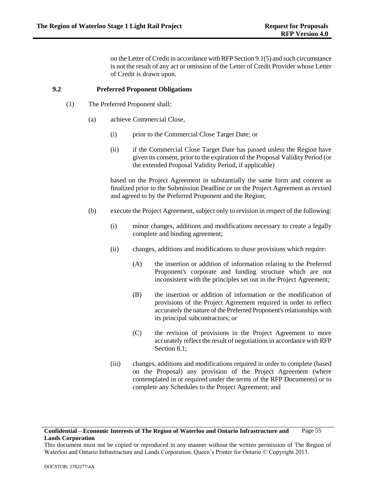on the Letter of Credit in accordance with RFP Sectio[n 9.1\(5\)](#page-58-1) and such circumstance is not the result of any act or omission of the Letter of Credit Provider whose Letter of Credit is drawn upon.

### <span id="page-60-0"></span>**9.2 Preferred Proponent Obligations**

- (1) The Preferred Proponent shall:
	- (a) achieve Commercial Close,
		- (i) prior to the Commercial Close Target Date; or
		- (ii) if the Commercial Close Target Date has passed unless the Region have given its consent, prior to the expiration of the Proposal Validity Period (or the extended Proposal Validity Period, if applicable)

based on the Project Agreement in substantially the same form and content as finalized prior to the Submission Deadline or on the Project Agreement as revised and agreed to by the Preferred Proponent and the Region;

- <span id="page-60-1"></span>(b) execute the Project Agreement, subject only to revision in respect of the following:
	- (i) minor changes, additions and modifications necessary to create a legally complete and binding agreement;
	- (ii) changes, additions and modifications to those provisions which require:
		- (A) the insertion or addition of information relating to the Preferred Proponent's corporate and funding structure which are not inconsistent with the principles set out in the Project Agreement;
		- (B) the insertion or addition of information or the modification of provisions of the Project Agreement required in order to reflect accurately the nature of the Preferred Proponent's relationships with its principal subcontractors; or
		- (C) the revision of provisions in the Project Agreement to more accurately reflect the result of negotiations in accordance with RFP Section 8.1:
	- (iii) changes, additions and modifications required in order to complete (based on the Proposal) any provision of the Project Agreement (where contemplated in or required under the terms of the RFP Documents) or to complete any Schedules to the Project Agreement; and

#### **Confidential – Economic Interests of The Region of Waterloo and Ontario Infrastructure and Lands Corporation** Page 55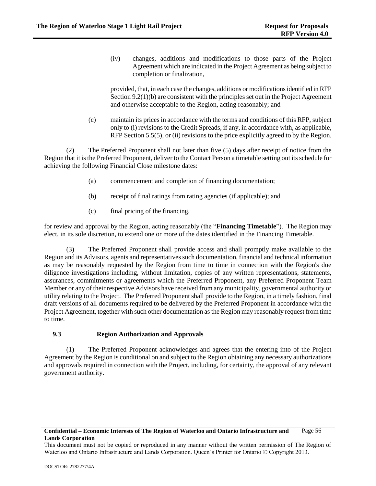(iv) changes, additions and modifications to those parts of the Project Agreement which are indicated in the Project Agreement as being subject to completion or finalization,

provided, that, in each case the changes, additions or modifications identified in RFP Sectio[n 9.2\(1\)\(b\)](#page-60-1) are consistent with the principles set out in the Project Agreement and otherwise acceptable to the Region, acting reasonably; and

(c) maintain its prices in accordance with the terms and conditions of this RFP, subject only t[o \(i\)](#page-27-0) revisions to the Credit Spreads, if any, in accordance with, as applicable, RFP Sectio[n 5.5\(5\),](#page-44-1) or (ii) revisions to the price explicitly agreed to by the Region.

<span id="page-61-0"></span>(2) The Preferred Proponent shall not later than five (5) days after receipt of notice from the Region that it is the Preferred Proponent, deliver to the Contact Person a timetable setting out its schedule for achieving the following Financial Close milestone dates:

- (a) commencement and completion of financing documentation;
- (b) receipt of final ratings from rating agencies (if applicable); and
- (c) final pricing of the financing,

for review and approval by the Region, acting reasonably (the "**Financing Timetable**"). The Region may elect, in its sole discretion, to extend one or more of the dates identified in the Financing Timetable.

(3) The Preferred Proponent shall provide access and shall promptly make available to the Region and its Advisors, agents and representatives such documentation, financial and technical information as may be reasonably requested by the Region from time to time in connection with the Region's due diligence investigations including, without limitation, copies of any written representations, statements, assurances, commitments or agreements which the Preferred Proponent, any Preferred Proponent Team Member or any of their respective Advisors have received from any municipality, governmental authority or utility relating to the Project. The Preferred Proponent shall provide to the Region, in a timely fashion, final draft versions of all documents required to be delivered by the Preferred Proponent in accordance with the Project Agreement, together with such other documentation as the Region may reasonably request from time to time.

# **9.3 Region Authorization and Approvals**

(1) The Preferred Proponent acknowledges and agrees that the entering into of the Project Agreement by the Region is conditional on and subject to the Region obtaining any necessary authorizations and approvals required in connection with the Project, including, for certainty, the approval of any relevant government authority.

#### **Confidential – Economic Interests of The Region of Waterloo and Ontario Infrastructure and Lands Corporation** Page 56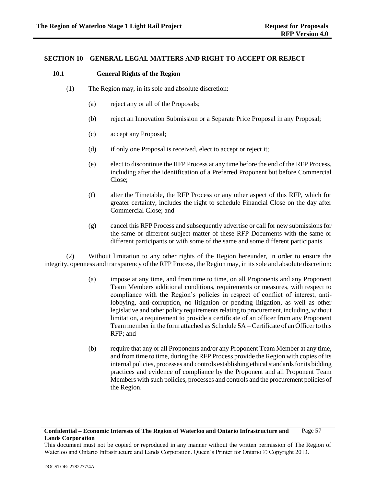### **SECTION 10 – GENERAL LEGAL MATTERS AND RIGHT TO ACCEPT OR REJECT**

### <span id="page-62-2"></span><span id="page-62-0"></span>**10.1 General Rights of the Region**

- (1) The Region may, in its sole and absolute discretion:
	- (a) reject any or all of the Proposals;
	- (b) reject an Innovation Submission or a Separate Price Proposal in any Proposal;
	- (c) accept any Proposal;
	- (d) if only one Proposal is received, elect to accept or reject it;
	- (e) elect to discontinue the RFP Process at any time before the end of the RFP Process, including after the identification of a Preferred Proponent but before Commercial Close;
	- (f) alter the Timetable, the RFP Process or any other aspect of this RFP, which for greater certainty, includes the right to schedule Financial Close on the day after Commercial Close; and
	- (g) cancel this RFP Process and subsequently advertise or call for new submissions for the same or different subject matter of these RFP Documents with the same or different participants or with some of the same and some different participants.

<span id="page-62-1"></span>(2) Without limitation to any other rights of the Region hereunder, in order to ensure the integrity, openness and transparency of the RFP Process, the Region may, in its sole and absolute discretion:

- (a) impose at any time, and from time to time, on all Proponents and any Proponent Team Members additional conditions, requirements or measures, with respect to compliance with the Region's policies in respect of conflict of interest, antilobbying, anti-corruption, no litigation or pending litigation, as well as other legislative and other policy requirements relating to procurement, including, without limitation, a requirement to provide a certificate of an officer from any Proponent Team member in the form attached as Schedule 5A – Certificate of an Officer to this RFP; and
- (b) require that any or all Proponents and/or any Proponent Team Member at any time, and from time to time, during the RFP Process provide the Region with copies of its internal policies, processes and controls establishing ethical standards for its bidding practices and evidence of compliance by the Proponent and all Proponent Team Members with such policies, processes and controls and the procurement policies of the Region.

This document must not be copied or reproduced in any manner without the written permission of The Region of Waterloo and Ontario Infrastructure and Lands Corporation. Queen's Printer for Ontario © Copyright 2013.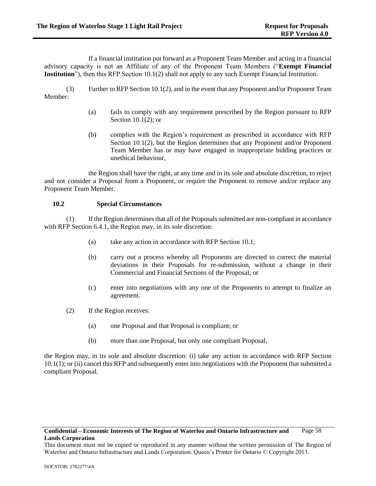If a financial institution put forward as a Proponent Team Member and acting in a financial advisory capacity is not an Affiliate of any of the Proponent Team Members ("**Exempt Financial Institution**"), then this RFP Section [10.1\(2\)](#page-62-1) shall not apply to any such Exempt Financial Institution.

(3) Further to RFP Sectio[n 10.1\(2\),](#page-62-1) and in the event that any Proponent and/or Proponent Team Member:

- (a) fails to comply with any requirement prescribed by the Region pursuant to RFP Sectio[n 10.1\(2\);](#page-62-1) or
- (b) complies with the Region's requirement as prescribed in accordance with RFP Section [10.1\(2\),](#page-62-1) but the Region determines that any Proponent and/or Proponent Team Member has or may have engaged in inappropriate bidding practices or unethical behaviour,

the Region shall have the right, at any time and in its sole and absolute discretion, to reject and not consider a Proposal from a Proponent, or require the Proponent to remove and/or replace any Proponent Team Member.

### <span id="page-63-0"></span>**10.2 Special Circumstances**

(1) If the Region determines that all of the Proposals submitted are non-compliant in accordance with RFP Section [6.4.1,](#page-50-0) the Region may, in its sole discretion:

- (a) take any action in accordance with RFP Section 10.1;
- (b) carry out a process whereby all Proponents are directed to correct the material deviations in their Proposals for re-submission, without a change in their Commercial and Financial Sections of the Proposal; or
- (c) enter into negotiations with any one of the Proponents to attempt to finalize an agreement.
- (2) If the Region receives:
	- (a) one Proposal and that Proposal is compliant; or
	- (b) more than one Proposal, but only one compliant Proposal,

the Region may, in its sole and absolute discretion: (i) take any action in accordance with RFP Section [10.1\(1\);](#page-62-2) or (ii) cancel this RFP and subsequently enter into negotiations with the Proponent that submitted a compliant Proposal.

This document must not be copied or reproduced in any manner without the written permission of The Region of Waterloo and Ontario Infrastructure and Lands Corporation. Queen's Printer for Ontario © Copyright 2013.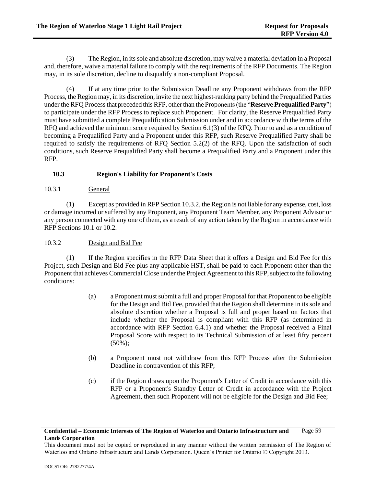<span id="page-64-1"></span>(3) The Region, in its sole and absolute discretion, may waive a material deviation in a Proposal and, therefore, waive a material failure to comply with the requirements of the RFP Documents. The Region may, in its sole discretion, decline to disqualify a non-compliant Proposal.

(4) If at any time prior to the Submission Deadline any Proponent withdraws from the RFP Process, the Region may, in its discretion, invite the next highest-ranking party behind the Prequalified Parties under the RFQ Process that preceded this RFP, other than the Proponents (the "**Reserve Prequalified Party**") to participate under the RFP Process to replace such Proponent. For clarity, the Reserve Prequalified Party must have submitted a complete Prequalification Submission under and in accordance with the terms of the RFQ and achieved the minimum score required by Section 6.1(3) of the RFQ. Prior to and as a condition of becoming a Prequalified Party and a Proponent under this RFP, such Reserve Prequalified Party shall be required to satisfy the requirements of RFQ Section 5.2(2) of the RFQ. Upon the satisfaction of such conditions, such Reserve Prequalified Party shall become a Prequalified Party and a Proponent under this RFP.

# **10.3 Region's Liability for Proponent's Costs**

10.3.1 General

(1) Except as provided in RFP Sectio[n 10.3.2,](#page-64-0) the Region is not liable for any expense, cost, loss or damage incurred or suffered by any Proponent, any Proponent Team Member, any Proponent Advisor or any person connected with any one of them, as a result of any action taken by the Region in accordance with RFP Sections [10.1](#page-62-0) or [10.2.](#page-63-0)

# <span id="page-64-0"></span>10.3.2 Design and Bid Fee

<span id="page-64-2"></span>(1) If the Region specifies in the RFP Data Sheet that it offers a Design and Bid Fee for this Project, such Design and Bid Fee plus any applicable HST, shall be paid to each Proponent other than the Proponent that achieves Commercial Close under the Project Agreement to this RFP, subject to the following conditions:

- (a) a Proponent must submit a full and proper Proposal for that Proponent to be eligible for the Design and Bid Fee, provided that the Region shall determine in its sole and absolute discretion whether a Proposal is full and proper based on factors that include whether the Proposal is compliant with this RFP (as determined in accordance with RFP Section [6.4.1\)](#page-50-0) and whether the Proposal received a Final Proposal Score with respect to its Technical Submission of at least fifty percent  $(50\%)$ :
- (b) a Proponent must not withdraw from this RFP Process after the Submission Deadline in contravention of this RFP;
- (c) if the Region draws upon the Proponent's Letter of Credit in accordance with this RFP or a Proponent's Standby Letter of Credit in accordance with the Project Agreement, then such Proponent will not be eligible for the Design and Bid Fee;

### **Confidential – Economic Interests of The Region of Waterloo and Ontario Infrastructure and Lands Corporation** Page 59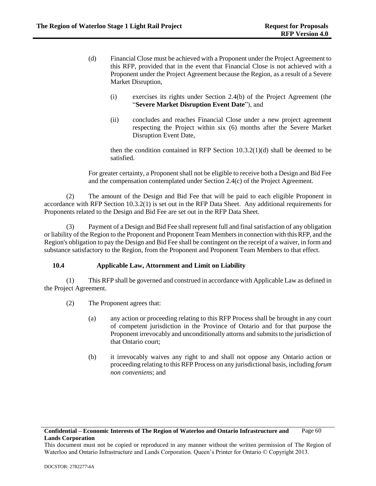- <span id="page-65-0"></span>(d) Financial Close must be achieved with a Proponent under the Project Agreement to this RFP, provided that in the event that Financial Close is not achieved with a Proponent under the Project Agreement because the Region, as a result of a Severe Market Disruption,
	- (i) exercises its rights under Section 2.4(b) of the Project Agreement (the "**Severe Market Disruption Event Date**"), and
	- (ii) concludes and reaches Financial Close under a new project agreement respecting the Project within six (6) months after the Severe Market Disruption Event Date,

then the condition contained in RFP Section  $10.3.2(1)(d)$  shall be deemed to be satisfied.

For greater certainty, a Proponent shall not be eligible to receive both a Design and Bid Fee and the compensation contemplated under Section 2.4(c) of the Project Agreement.

(2) The amount of the Design and Bid Fee that will be paid to each eligible Proponent in accordance with RFP Section [10.3.2\(1\)](#page-64-2) is set out in the RFP Data Sheet. Any additional requirements for Proponents related to the Design and Bid Fee are set out in the RFP Data Sheet.

(3) Payment of a Design and Bid Fee shall represent full and final satisfaction of any obligation or liability of the Region to the Proponent and Proponent Team Members in connection with this RFP, and the Region's obligation to pay the Design and Bid Fee shall be contingent on the receipt of a waiver, in form and substance satisfactory to the Region, from the Proponent and Proponent Team Members to that effect.

# <span id="page-65-1"></span>**10.4 Applicable Law, Attornment and Limit on Liability**

(1) This RFP shall be governed and construed in accordance with Applicable Law as defined in the Project Agreement.

- (2) The Proponent agrees that:
	- (a) any action or proceeding relating to this RFP Process shall be brought in any court of competent jurisdiction in the Province of Ontario and for that purpose the Proponent irrevocably and unconditionally attorns and submits to the jurisdiction of that Ontario court;
	- (b) it irrevocably waives any right to and shall not oppose any Ontario action or proceeding relating to this RFP Process on any jurisdictional basis, including *forum non conveniens*; and

This document must not be copied or reproduced in any manner without the written permission of The Region of Waterloo and Ontario Infrastructure and Lands Corporation. Queen's Printer for Ontario © Copyright 2013.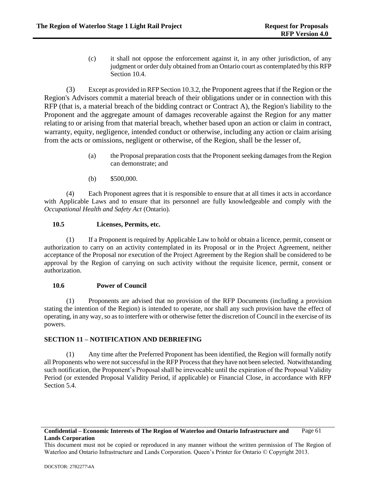(c) it shall not oppose the enforcement against it, in any other jurisdiction, of any judgment or order duly obtained from an Ontario court as contemplated by this RFP Sectio[n 10.4.](#page-65-1)

(3) Except as provided in RFP Section 10.3.2, the Proponent agrees that if the Region or the Region's Advisors commit a material breach of their obligations under or in connection with this RFP (that is, a material breach of the bidding contract or Contract A), the Region's liability to the Proponent and the aggregate amount of damages recoverable against the Region for any matter relating to or arising from that material breach, whether based upon an action or claim in contract, warranty, equity, negligence, intended conduct or otherwise, including any action or claim arising from the acts or omissions, negligent or otherwise, of the Region, shall be the lesser of,

- (a) the Proposal preparation costs that the Proponent seeking damages from the Region can demonstrate; and
- (b) \$500,000.

(4) Each Proponent agrees that it is responsible to ensure that at all times it acts in accordance with Applicable Laws and to ensure that its personnel are fully knowledgeable and comply with the *Occupational Health and Safety Act* (Ontario).

# **10.5 Licenses, Permits, etc.**

(1) If a Proponent is required by Applicable Law to hold or obtain a licence, permit, consent or authorization to carry on an activity contemplated in its Proposal or in the Project Agreement, neither acceptance of the Proposal nor execution of the Project Agreement by the Region shall be considered to be approval by the Region of carrying on such activity without the requisite licence, permit, consent or authorization.

### **10.6 Power of Council**

(1) Proponents are advised that no provision of the RFP Documents (including a provision stating the intention of the Region) is intended to operate, nor shall any such provision have the effect of operating, in any way, so as to interfere with or otherwise fetter the discretion of Council in the exercise of its powers.

# **SECTION 11 – NOTIFICATION AND DEBRIEFING**

(1) Any time after the Preferred Proponent has been identified, the Region will formally notify all Proponents who were not successful in the RFP Process that they have not been selected. Notwithstanding such notification, the Proponent's Proposal shall be irrevocable until the expiration of the Proposal Validity Period (or extended Proposal Validity Period, if applicable) or Financial Close, in accordance with RFP Sectio[n 5.4.](#page-33-1)

### **Confidential – Economic Interests of The Region of Waterloo and Ontario Infrastructure and Lands Corporation** Page 61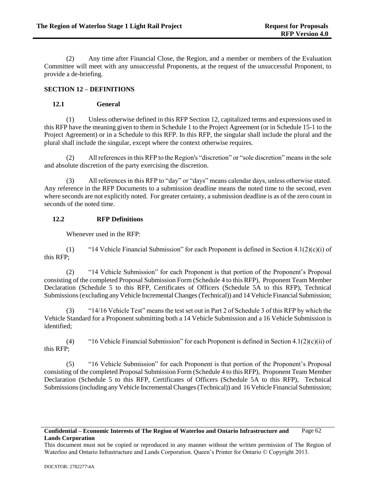(2) Any time after Financial Close, the Region, and a member or members of the Evaluation Committee will meet with any unsuccessful Proponents, at the request of the unsuccessful Proponent, to provide a de-briefing.

# **SECTION 12 – DEFINITIONS**

# **12.1 General**

(1) Unless otherwise defined in this RFP Section 12, capitalized terms and expressions used in this RFP have the meaning given to them in Schedule 1 to the Project Agreement (or in Schedule 15-1 to the Project Agreement) or in a Schedule to this RFP. In this RFP, the singular shall include the plural and the plural shall include the singular, except where the context otherwise requires.

(2) All references in this RFP to the Region's "discretion" or "sole discretion" means in the sole and absolute discretion of the party exercising the discretion.

(3) All references in this RFP to "day" or "days" means calendar days, unless otherwise stated. Any reference in the RFP Documents to a submission deadline means the noted time to the second, even where seconds are not explicitly noted. For greater certainty, a submission deadline is as of the zero count in seconds of the noted time.

# **12.2 RFP Definitions**

Whenever used in the RFP:

(1) "14 Vehicle Financial Submission" for each Proponent is defined in Section  $4.1(2)(c)(i)$  of this RFP;

(2) "14 Vehicle Submission" for each Proponent is that portion of the Proponent's Proposal consisting of the completed Proposal Submission Form (Schedule 4 to this RFP), Proponent Team Member Declaration (Schedule 5 to this RFP, Certificates of Officers (Schedule 5A to this RFP), Technical Submissions (excluding any Vehicle Incremental Changes (Technical)) and 14 Vehicle Financial Submission;

(3) "14/16 Vehicle Test" means the test set out in Part 2 of Schedule 3 of this RFP by which the Vehicle Standard for a Proponent submitting both a 14 Vehicle Submission and a 16 Vehicle Submission is identified;

(4) "16 Vehicle Financial Submission" for each Proponent is defined in Section 4.1(2)(c)(ii) of this RFP;

(5) "16 Vehicle Submission" for each Proponent is that portion of the Proponent's Proposal consisting of the completed Proposal Submission Form (Schedule 4 to this RFP), Proponent Team Member Declaration (Schedule 5 to this RFP, Certificates of Officers (Schedule 5A to this RFP), Technical Submissions (including any Vehicle Incremental Changes (Technical)) and 16 Vehicle Financial Submission;

### **Confidential – Economic Interests of The Region of Waterloo and Ontario Infrastructure and Lands Corporation** Page 62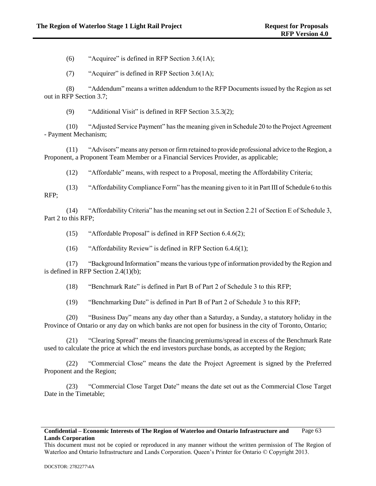(6) "Acquiree" is defined in RFP Section  $3.6(1A)$ ;

(7) "Acquirer" is defined in RFP Section 3.6(1A);

<span id="page-68-1"></span><span id="page-68-0"></span>(8) "Addendum" means a written addendum to the RFP Documents issued by the Region as set out in RFP Section 3.7;

(9) "Additional Visit" is defined in RFP Section [3.5.3\(2\);](#page-19-0)

(10) "Adjusted Service Payment" has the meaning given in Schedule 20 to the Project Agreement - Payment Mechanism;

(11) "Advisors" means any person or firm retained to provide professional advice to the Region, a Proponent, a Proponent Team Member or a Financial Services Provider, as applicable;

(12) "Affordable" means, with respect to a Proposal, meeting the Affordability Criteria;

(13) "Affordability Compliance Form" has the meaning given to it in Part III of Schedule 6 to this RFP;

(14) "Affordability Criteria" has the meaning set out in Section 2.21 of Section E of Schedule 3, Part 2 to this RFP;

(15) "Affordable Proposal" is defined in RFP Section 6.4.6(2);

(16) "Affordability Review" is defined in RFP Section 6.4.6(1);

(17) "Background Information" means the various type of information provided by the Region and is defined in RFP Section [2.4\(1\)\(b\);](#page-10-0)

(18) "Benchmark Rate" is defined in Part B of Part 2 of Schedule 3 to this RFP;

(19) "Benchmarking Date" is defined in Part B of Part 2 of Schedule 3 to this RFP;

(20) "Business Day" means any day other than a Saturday, a Sunday, a statutory holiday in the Province of Ontario or any day on which banks are not open for business in the city of Toronto, Ontario;

(21) "Clearing Spread" means the financing premiums/spread in excess of the Benchmark Rate used to calculate the price at which the end investors purchase bonds, as accepted by the Region;

(22) "Commercial Close" means the date the Project Agreement is signed by the Preferred Proponent and the Region;

(23) "Commercial Close Target Date" means the date set out as the Commercial Close Target Date in the Timetable;

### **Confidential – Economic Interests of The Region of Waterloo and Ontario Infrastructure and Lands Corporation** Page 63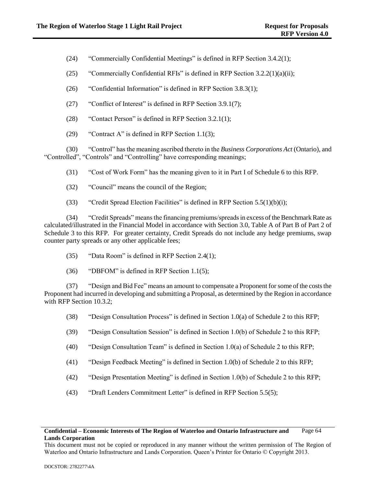(24) "Commercially Confidential Meetings" is defined in RFP Section [3.4.2\(1\);](#page-17-0)

(25) "Commercially Confidential RFIs" is defined in RFP Section  $3.2.2(1)(a)(ii)$ ;

(26) "Confidential Information" is defined in RFP Section [3.8.3\(1\);](#page-23-0)

(27) "Conflict of Interest" is defined in RFP Section [3.9.1\(7\);](#page-27-2)

- (28) "Contact Person" is defined in RFP Section [3.2.1\(1\);](#page-12-1)
- (29) "Contract A" is defined in RFP Section [1.1\(3\);](#page-6-0)

(30) "Control" has the meaning ascribed thereto in the *Business Corporations Act* (Ontario), and "Controlled", "Controls" and "Controlling" have corresponding meanings;

(31) "Cost of Work Form" has the meaning given to it in Part I of Schedule 6 to this RFP.

- (32) "Council" means the council of the Region;
- (33) "Credit Spread Election Facilities" is defined in RFP Section  $5.5(1)(b)(i)$ ;

(34) "Credit Spreads" means the financing premiums/spreads in excess of the Benchmark Rate as calculated/illustrated in the Financial Model in accordance with Section 3.0, Table A of Part B of Part 2 of Schedule 3 to this RFP. For greater certainty, Credit Spreads do not include any hedge premiums, swap counter party spreads or any other applicable fees;

- (35) "Data Room" is defined in RFP Section [2.4\(1\);](#page-10-1)
- (36) "DBFOM" is defined in RFP Section [1.1\(5\);](#page-6-1)

(37) "Design and Bid Fee" means an amount to compensate a Proponent for some of the costs the Proponent had incurred in developing and submitting a Proposal, as determined by the Region in accordance with RFP Section 10.3.2:

- (38) "Design Consultation Process" is defined in Section 1.0(a) of Schedule 2 to this RFP;
- (39) "Design Consultation Session" is defined in Section 1.0(b) of Schedule 2 to this RFP;
- (40) "Design Consultation Team" is defined in Section 1.0(a) of Schedule 2 to this RFP;
- (41) "Design Feedback Meeting" is defined in Section 1.0(b) of Schedule 2 to this RFP;
- (42) "Design Presentation Meeting" is defined in Section 1.0(b) of Schedule 2 to this RFP;
- (43) "Draft Lenders Commitment Letter" is defined in RFP Section [5.5\(5\);](#page-44-1)

This document must not be copied or reproduced in any manner without the written permission of The Region of Waterloo and Ontario Infrastructure and Lands Corporation. Queen's Printer for Ontario © Copyright 2013.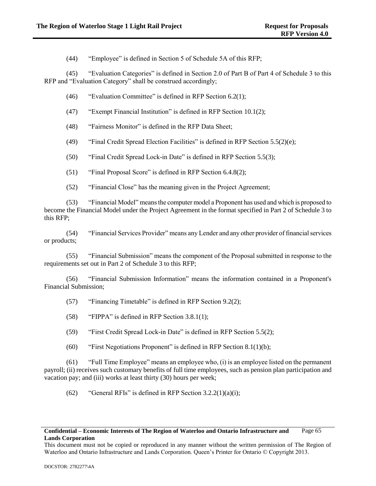(44) "Employee" is defined in Section 5 of Schedule 5A of this RFP;

(45) "Evaluation Categories" is defined in Section 2.0 of Part B of Part 4 of Schedule 3 to this RFP and "Evaluation Category" shall be construed accordingly;

- (46) "Evaluation Committee" is defined in RFP Section [6.2\(1\);](#page-49-1)
- (47) "Exempt Financial Institution" is defined in RFP Section [10.1\(2\);](#page-62-1)
- (48) "Fairness Monitor" is defined in the RFP Data Sheet;
- (49) "Final Credit Spread Election Facilities" is defined in RFP Section [5.5\(2\)\(e\);](#page-38-2)
- (50) "Final Credit Spread Lock-in Date" is defined in RFP Section [5.5\(3\);](#page-38-0)
- (51) "Final Proposal Score" is defined in RFP Section [6.4.8\(2\);](#page-54-1)
- (52) "Financial Close" has the meaning given in the Project Agreement;

(53) "Financial Model" means the computer model a Proponent has used and which is proposed to become the Financial Model under the Project Agreement in the format specified in Part 2 of Schedule 3 to this RFP;

(54) "Financial Services Provider" means any Lender and any other provider of financial services or products;

(55) "Financial Submission" means the component of the Proposal submitted in response to the requirements set out in Part 2 of Schedule 3 to this RFP;

(56) "Financial Submission Information" means the information contained in a Proponent's Financial Submission;

- (57) "Financing Timetable" is defined in RFP Section [9.2\(2\);](#page-61-0)
- (58) "FIPPA" is defined in RFP Sectio[n 3.8.1\(1\);](#page-23-1)
- (59) "First Credit Spread Lock-in Date" is defined in RFP Section [5.5\(2\);](#page-34-0)
- (60) "First Negotiations Proponent" is defined in RFP Section [8.1\(1\)\(b\);](#page-57-0)

(61) "Full Time Employee" means an employee who, (i) is an employee listed on the permanent payroll; (ii) receives such customary benefits of full time employees, such as pension plan participation and vacation pay; and (iii) works at least thirty (30) hours per week;

(62) "General RFIs" is defined in RFP Section  $3.2.2(1)(a)(i)$ ;

### **Confidential – Economic Interests of The Region of Waterloo and Ontario Infrastructure and Lands Corporation** Page 65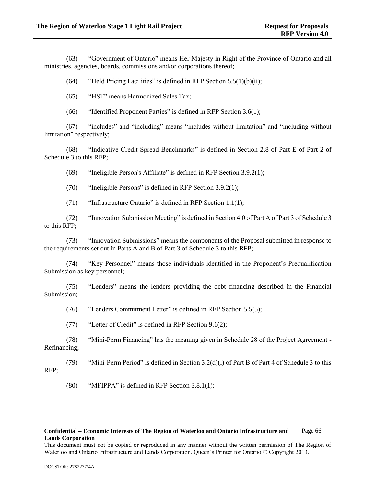(63) "Government of Ontario" means Her Majesty in Right of the Province of Ontario and all ministries, agencies, boards, commissions and/or corporations thereof;

(64) "Held Pricing Facilities" is defined in RFP Section  $5.5(1)(b)(ii)$ ;

(65) "HST" means Harmonized Sales Tax;

(66) "Identified Proponent Parties" is defined in RFP Section [3.6\(1\);](#page-20-0)

(67) "includes" and "including" means "includes without limitation" and "including without limitation" respectively;

(68) "Indicative Credit Spread Benchmarks" is defined in Section 2.8 of Part E of Part 2 of Schedule 3 to this RFP;

(69) "Ineligible Person's Affiliate" is defined in RFP Section [3.9.2\(1\);](#page-27-3)

(70) "Ineligible Persons" is defined in RFP Section [3.9.2\(1\);](#page-27-3)

(71) "Infrastructure Ontario" is defined in RFP Section [1.1\(1\);](#page-6-2)

(72) "Innovation Submission Meeting" is defined in Section 4.0 of Part A of Part 3 of Schedule 3 to this RFP;

(73) "Innovation Submissions" means the components of the Proposal submitted in response to the requirements set out in Parts A and B of Part 3 of Schedule 3 to this RFP;

(74) "Key Personnel" means those individuals identified in the Proponent's Prequalification Submission as key personnel;

(75) "Lenders" means the lenders providing the debt financing described in the Financial Submission;

(76) "Lenders Commitment Letter" is defined in RFP Section [5.5\(5\);](#page-44-1)

(77) "Letter of Credit" is defined in RFP Section [9.1\(2\);](#page-58-0)

(78) "Mini-Perm Financing" has the meaning given in Schedule 28 of the Project Agreement - Refinancing;

(79) "Mini-Perm Period" is defined in Section  $3.2(d)(i)$  of Part B of Part 4 of Schedule 3 to this RFP;

(80) "MFIPPA" is defined in RFP Section [3.8.1\(1\);](#page-23-1)

### **Confidential – Economic Interests of The Region of Waterloo and Ontario Infrastructure and Lands Corporation** Page 66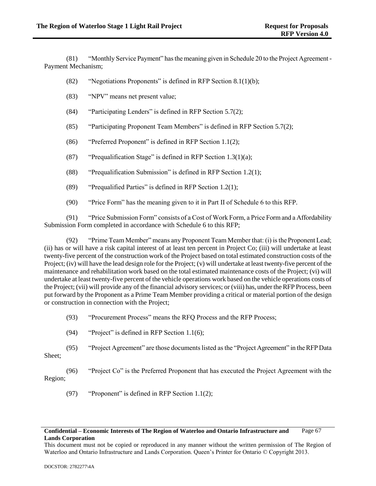(81) "Monthly Service Payment" has the meaning given in Schedule 20 to the Project Agreement - Payment Mechanism;

- (82) "Negotiations Proponents" is defined in RFP Section [8.1\(1\)\(b\);](#page-57-0)
- (83) "NPV" means net present value;
- (84) "Participating Lenders" is defined in RFP Section [5.7\(2\);](#page-49-0)
- (85) "Participating Proponent Team Members" is defined in RFP Section [5.7\(2\);](#page-49-0)
- (86) "Preferred Proponent" is defined in RFP Sectio[n 1.1\(2\);](#page-6-0)
- (87) "Prequalification Stage" is defined in RFP Section  $1.3(1)(a)$ ;
- (88) "Prequalification Submission" is defined in RFP Section [1.2\(1\);](#page-7-1)
- (89) "Prequalified Parties" is defined in RFP Section [1.2\(1\);](#page-7-1)
- (90) "Price Form" has the meaning given to it in Part II of Schedule 6 to this RFP.

(91) "Price Submission Form" consists of a Cost of Work Form, a Price Form and a Affordability Submission Form completed in accordance with Schedule 6 to this RFP;

(92) "Prime Team Member" means any Proponent Team Member that: (i) is the Proponent Lead; (ii) has or will have a risk capital interest of at least ten percent in Project Co; (iii) will undertake at least twenty-five percent of the construction work of the Project based on total estimated construction costs of the Project; (iv) will have the lead design role for the Project; (v) will undertake at least twenty-five percent of the maintenance and rehabilitation work based on the total estimated maintenance costs of the Project; (vi) will undertake at least twenty-five percent of the vehicle operations work based on the vehicle operations costs of the Project; (vii) will provide any of the financial advisory services; or (viii) has, under the RFP Process, been put forward by the Proponent as a Prime Team Member providing a critical or material portion of the design or construction in connection with the Project;

- (93) "Procurement Process" means the RFQ Process and the RFP Process;
- (94) "Project" is defined in RFP Section [1.1\(6\);](#page-6-1)
- (95) "Project Agreement" are those documents listed as the "Project Agreement" in the RFP Data Sheet;

(96) "Project Co" is the Preferred Proponent that has executed the Project Agreement with the Region;

(97) "Proponent" is defined in RFP Section [1.1\(2\);](#page-6-0)

## **Confidential – Economic Interests of The Region of Waterloo and Ontario Infrastructure and Lands Corporation** Page 67

This document must not be copied or reproduced in any manner without the written permission of The Region of Waterloo and Ontario Infrastructure and Lands Corporation. Queen's Printer for Ontario © Copyright 2013.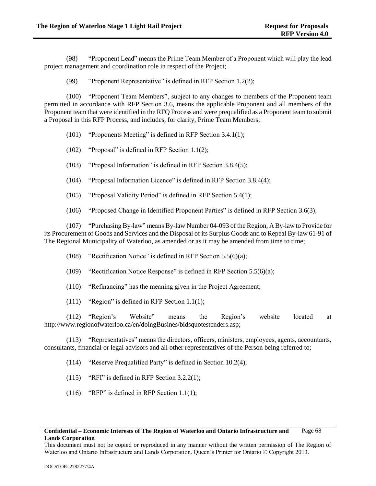(98) "Proponent Lead" means the Prime Team Member of a Proponent which will play the lead project management and coordination role in respect of the Project;

(99) "Proponent Representative" is defined in RFP Section [1.2\(2\);](#page-7-2)

(100) "Proponent Team Members", subject to any changes to members of the Proponent team permitted in accordance with RFP Section [3.6,](#page-20-0) means the applicable Proponent and all members of the Proponent team that were identified in the RFQ Process and were prequalified as a Proponent team to submit a Proposal in this RFP Process, and includes, for clarity, Prime Team Members;

- (101) "Proponents Meeting" is defined in RFP Sectio[n 3.4.1\(1\);](#page-16-0)
- (102) "Proposal" is defined in RFP Section [1.1\(2\);](#page-6-0)
- (103) "Proposal Information" is defined in RFP Section [3.8.4\(5\);](#page-26-0)
- (104) "Proposal Information Licence" is defined in RFP Section [3.8.4\(4\);](#page-25-0)
- (105) "Proposal Validity Period" is defined in RFP Section [5.4\(1\);](#page-33-0)
- (106) "Proposed Change in Identified Proponent Parties" is defined in RFP Section [3.6\(3\);](#page-21-0)

(107) "Purchasing By-law" means By-law Number 04-093 of the Region, A By-law to Provide for its Procurement of Goods and Services and the Disposal of its Surplus Goods and to Repeal By-law 61-91 of The Regional Municipality of Waterloo, as amended or as it may be amended from time to time;

- (108) "Rectification Notice" is defined in RFP Sectio[n 5.5\(6\)\(a\);](#page-45-0)
- (109) "Rectification Notice Response" is defined in RFP Section [5.5\(6\)\(a\);](#page-45-0)
- (110) "Refinancing" has the meaning given in the Project Agreement;
- (111) "Region" is defined in RFP Section [1.1\(1\);](#page-6-2)

(112) "Region's Website" means the Region's website located at http://www.regionofwaterloo.ca/en/doingBusines/bidsquotestenders.asp;

(113) "Representatives" means the directors, officers, ministers, employees, agents, accountants, consultants, financial or legal advisors and all other representatives of the Person being referred to;

- (114) "Reserve Prequalified Party" is defined in Section [10.2\(4\);](#page-64-0)
- (115) "RFI" is defined in RFP Section [3.2.2\(1\);](#page-12-0)
- (116) "RFP" is defined in RFP Section [1.1\(1\);](#page-6-2)

This document must not be copied or reproduced in any manner without the written permission of The Region of Waterloo and Ontario Infrastructure and Lands Corporation. Queen's Printer for Ontario © Copyright 2013.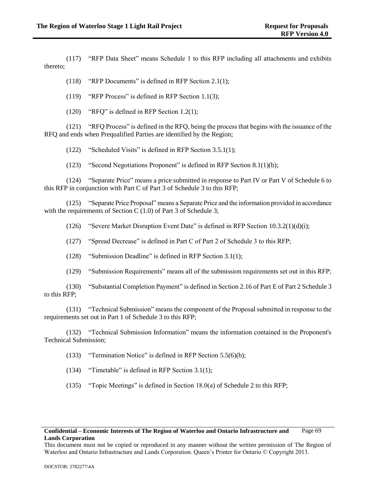(117) "RFP Data Sheet" means Schedule 1 to this RFP including all attachments and exhibits thereto;

(118) "RFP Documents" is defined in RFP Section [2.1\(1\);](#page-8-0)

(119) "RFP Process" is defined in RFP Sectio[n 1.1\(3\);](#page-6-3)

(120) "RFQ" is defined in RFP Section [1.2\(1\);](#page-7-1)

(121) "RFQ Process" is defined in the RFQ, being the process that begins with the issuance of the RFQ and ends when Prequalified Parties are identified by the Region;

(122) "Scheduled Visits" is defined in RFP Section [3.5.1\(1\);](#page-18-0)

(123) "Second Negotiations Proponent" is defined in RFP Section [8.1\(1\)\(b\);](#page-57-0)

(124) "Separate Price" means a price submitted in response to Part IV or Part V of Schedule 6 to this RFP in conjunction with Part C of Part 3 of Schedule 3 to this RFP;

(125) "Separate Price Proposal" means a Separate Price and the information provided in accordance with the requirements of Section C (1.0) of Part 3 of Schedule 3;

(126) "Severe Market Disruption Event Date" is defined in RFP Section [10.3.2\(1\)\(d\)\(i\);](#page-65-0)

(127) "Spread Decrease" is defined in Part C of Part 2 of Schedule 3 to this RFP;

(128) "Submission Deadline" is defined in RFP Section [3.1\(1\);](#page-11-0)

(129) "Submission Requirements" means all of the submission requirements set out in this RFP;

(130) "Substantial Completion Payment" is defined in Section 2.16 of Part E of Part 2 Schedule 3 to this RFP;

(131) "Technical Submission" means the component of the Proposal submitted in response to the requirements set out in Part 1 of Schedule 3 to this RFP;

(132) "Technical Submission Information" means the information contained in the Proponent's Technical Submission;

(133) "Termination Notice" is defined in RFP Section [5.5\(6\)\(b\);](#page-45-1)

(134) "Timetable" is defined in RFP Section [3.1\(1\);](#page-11-0)

(135) "Topic Meetings" is defined in Section 18.0(a) of Schedule 2 to this RFP;

## **Confidential – Economic Interests of The Region of Waterloo and Ontario Infrastructure and Lands Corporation** Page 69

This document must not be copied or reproduced in any manner without the written permission of The Region of Waterloo and Ontario Infrastructure and Lands Corporation. Queen's Printer for Ontario © Copyright 2013.